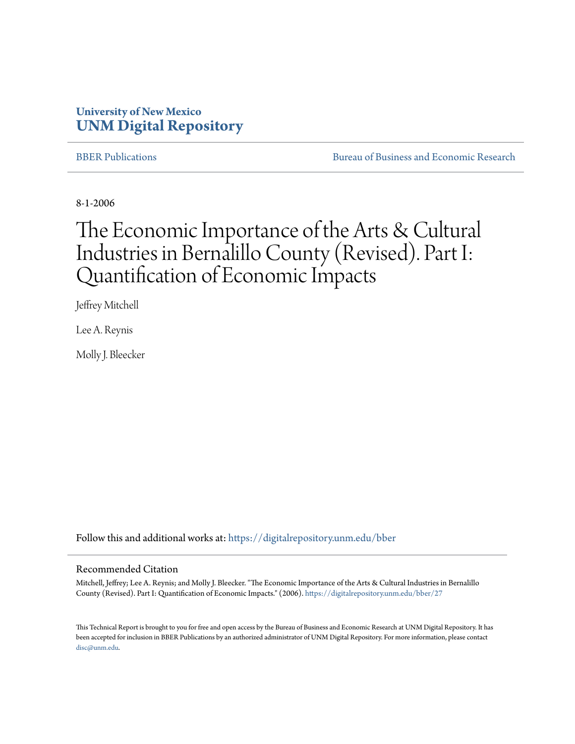## **University of New Mexico [UNM Digital Repository](https://digitalrepository.unm.edu?utm_source=digitalrepository.unm.edu%2Fbber%2F27&utm_medium=PDF&utm_campaign=PDFCoverPages)**

[BBER Publications](https://digitalrepository.unm.edu/bber?utm_source=digitalrepository.unm.edu%2Fbber%2F27&utm_medium=PDF&utm_campaign=PDFCoverPages) **BUREAU SERVICES** [Bureau of Business and Economic Research](https://digitalrepository.unm.edu/business_economic_research?utm_source=digitalrepository.unm.edu%2Fbber%2F27&utm_medium=PDF&utm_campaign=PDFCoverPages)

8-1-2006

## The Economic Importance of the Arts & Cultural Industries in Bernalillo County (Revised). Part I: Quantification of Economic Impacts

Jeffrey Mitchell

Lee A. Reynis

Molly J. Bleecker

Follow this and additional works at: [https://digitalrepository.unm.edu/bber](https://digitalrepository.unm.edu/bber?utm_source=digitalrepository.unm.edu%2Fbber%2F27&utm_medium=PDF&utm_campaign=PDFCoverPages)

#### Recommended Citation

Mitchell, Jeffrey; Lee A. Reynis; and Molly J. Bleecker. "The Economic Importance of the Arts & Cultural Industries in Bernalillo County (Revised). Part I: Quantification of Economic Impacts." (2006). [https://digitalrepository.unm.edu/bber/27](https://digitalrepository.unm.edu/bber/27?utm_source=digitalrepository.unm.edu%2Fbber%2F27&utm_medium=PDF&utm_campaign=PDFCoverPages)

This Technical Report is brought to you for free and open access by the Bureau of Business and Economic Research at UNM Digital Repository. It has been accepted for inclusion in BBER Publications by an authorized administrator of UNM Digital Repository. For more information, please contact [disc@unm.edu](mailto:disc@unm.edu).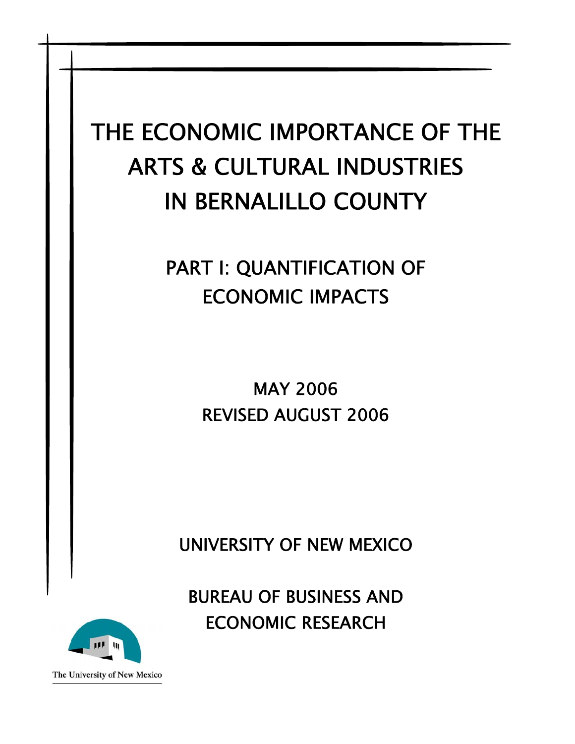# THE ECONOMIC IMPORTANCE OF THE ARTS & CULTURAL INDUSTRIES IN BERNALILLO COUNTY

## PART I: QUANTIFICATION OF ECONOMIC IMPACTS

MAY 2006 REVISED AUGUST 2006

UNIVERSITY OF NEW MEXICO

BUREAU OF BUSINESS AND ECONOMIC RESEARCH



The University of New Mexico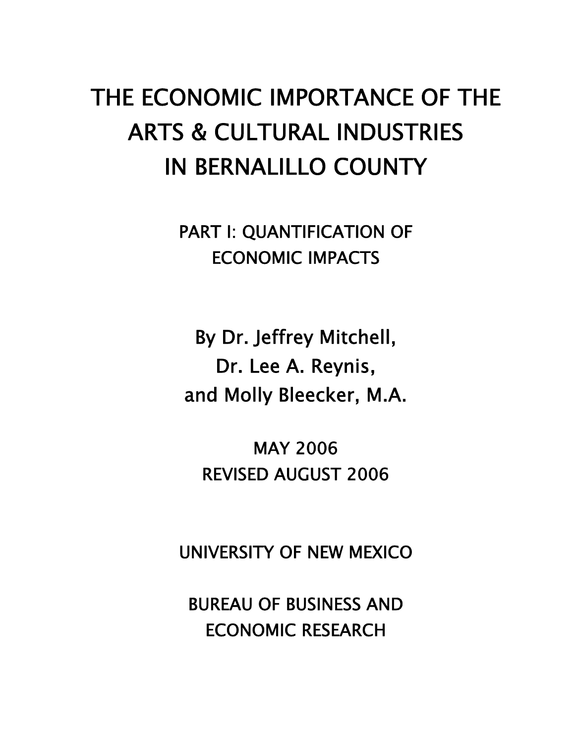# THE ECONOMIC IMPORTANCE OF THE ARTS & CULTURAL INDUSTRIES IN BERNALILLO COUNTY

PART I: QUANTIFICATION OF ECONOMIC IMPACTS

By Dr. Jeffrey Mitchell, Dr. Lee A. Reynis, and Molly Bleecker, M.A.

MAY 2006 REVISED AUGUST 2006

UNIVERSITY OF NEW MEXICO

BUREAU OF BUSINESS AND ECONOMIC RESEARCH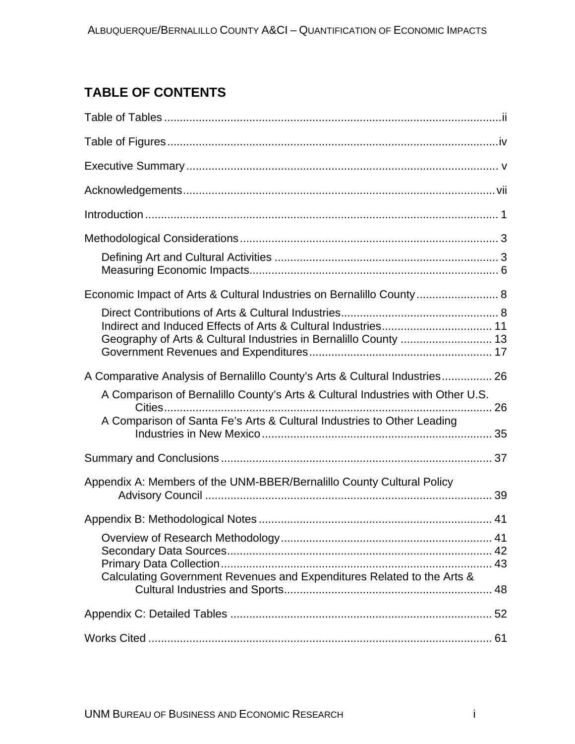## **TABLE OF CONTENTS**

| Economic Impact of Arts & Cultural Industries on Bernalillo County 8                                                                                                     |  |
|--------------------------------------------------------------------------------------------------------------------------------------------------------------------------|--|
| Geography of Arts & Cultural Industries in Bernalillo County  13                                                                                                         |  |
| A Comparative Analysis of Bernalillo County's Arts & Cultural Industries 26                                                                                              |  |
| A Comparison of Bernalillo County's Arts & Cultural Industries with Other U.S.<br>Cities<br>26<br>A Comparison of Santa Fe's Arts & Cultural Industries to Other Leading |  |
|                                                                                                                                                                          |  |
| Appendix A: Members of the UNM-BBER/Bernalillo County Cultural Policy                                                                                                    |  |
|                                                                                                                                                                          |  |
| Calculating Government Revenues and Expenditures Related to the Arts &                                                                                                   |  |
|                                                                                                                                                                          |  |
|                                                                                                                                                                          |  |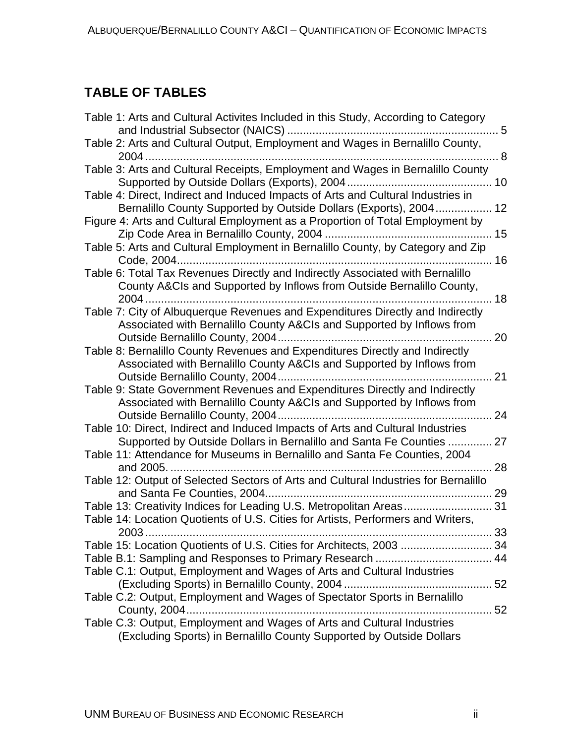## <span id="page-4-0"></span>**TABLE OF TABLES**

| Table 1: Arts and Cultural Activites Included in this Study, According to Category                                                                      | 5   |
|---------------------------------------------------------------------------------------------------------------------------------------------------------|-----|
| Table 2: Arts and Cultural Output, Employment and Wages in Bernalillo County,                                                                           |     |
| Table 3: Arts and Cultural Receipts, Employment and Wages in Bernalillo County                                                                          |     |
| Table 4: Direct, Indirect and Induced Impacts of Arts and Cultural Industries in<br>Bernalillo County Supported by Outside Dollars (Exports), 2004 12   |     |
| Figure 4: Arts and Cultural Employment as a Proportion of Total Employment by                                                                           |     |
| Table 5: Arts and Cultural Employment in Bernalillo County, by Category and Zip                                                                         |     |
| Table 6: Total Tax Revenues Directly and Indirectly Associated with Bernalillo<br>County A&CIs and Supported by Inflows from Outside Bernalillo County, | .18 |
| Table 7: City of Albuquerque Revenues and Expenditures Directly and Indirectly<br>Associated with Bernalillo County A&CIs and Supported by Inflows from |     |
| Table 8: Bernalillo County Revenues and Expenditures Directly and Indirectly<br>Associated with Bernalillo County A&CIs and Supported by Inflows from   | 21  |
| Table 9: State Government Revenues and Expenditures Directly and Indirectly<br>Associated with Bernalillo County A&CIs and Supported by Inflows from    |     |
| Table 10: Direct, Indirect and Induced Impacts of Arts and Cultural Industries<br>Supported by Outside Dollars in Bernalillo and Santa Fe Counties      | 27  |
| Table 11: Attendance for Museums in Bernalillo and Santa Fe Counties, 2004                                                                              | 28  |
| Table 12: Output of Selected Sectors of Arts and Cultural Industries for Bernalillo<br>and Santa Fe Counties, 2004                                      |     |
| Table 14: Location Quotients of U.S. Cities for Artists, Performers and Writers,                                                                        | 31  |
| Table 15: Location Quotients of U.S. Cities for Architects, 2003  34                                                                                    |     |
| Table C.1: Output, Employment and Wages of Arts and Cultural Industries                                                                                 |     |
| Table C.2: Output, Employment and Wages of Spectator Sports in Bernalillo                                                                               |     |
| Table C.3: Output, Employment and Wages of Arts and Cultural Industries<br>(Excluding Sports) in Bernalillo County Supported by Outside Dollars         |     |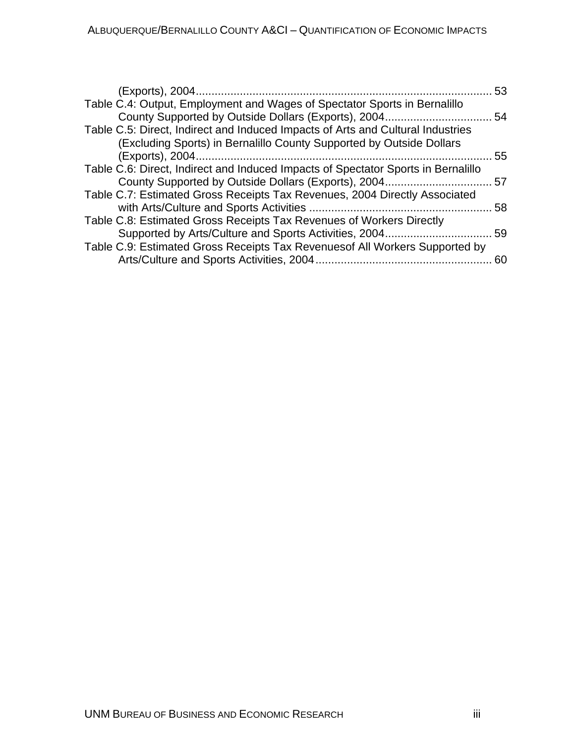|                                                                                   | 53 |
|-----------------------------------------------------------------------------------|----|
| Table C.4: Output, Employment and Wages of Spectator Sports in Bernalillo         |    |
| Table C.5: Direct, Indirect and Induced Impacts of Arts and Cultural Industries   |    |
| (Excluding Sports) in Bernalillo County Supported by Outside Dollars              | 55 |
| Table C.6: Direct, Indirect and Induced Impacts of Spectator Sports in Bernalillo |    |
| Table C.7: Estimated Gross Receipts Tax Revenues, 2004 Directly Associated        |    |
|                                                                                   | 58 |
| Table C.8: Estimated Gross Receipts Tax Revenues of Workers Directly              |    |
|                                                                                   |    |
| Table C.9: Estimated Gross Receipts Tax Revenues of All Workers Supported by      | 60 |
|                                                                                   |    |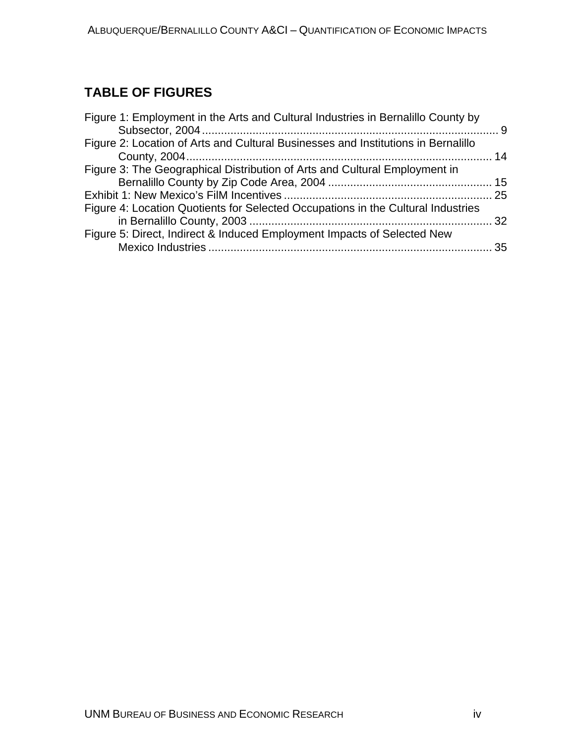## <span id="page-6-0"></span>**TABLE OF FIGURES**

| Figure 1: Employment in the Arts and Cultural Industries in Bernalillo County by  |  |
|-----------------------------------------------------------------------------------|--|
| Figure 2: Location of Arts and Cultural Businesses and Institutions in Bernalillo |  |
| Figure 3: The Geographical Distribution of Arts and Cultural Employment in        |  |
|                                                                                   |  |
| Figure 4: Location Quotients for Selected Occupations in the Cultural Industries  |  |
| Figure 5: Direct, Indirect & Induced Employment Impacts of Selected New           |  |
|                                                                                   |  |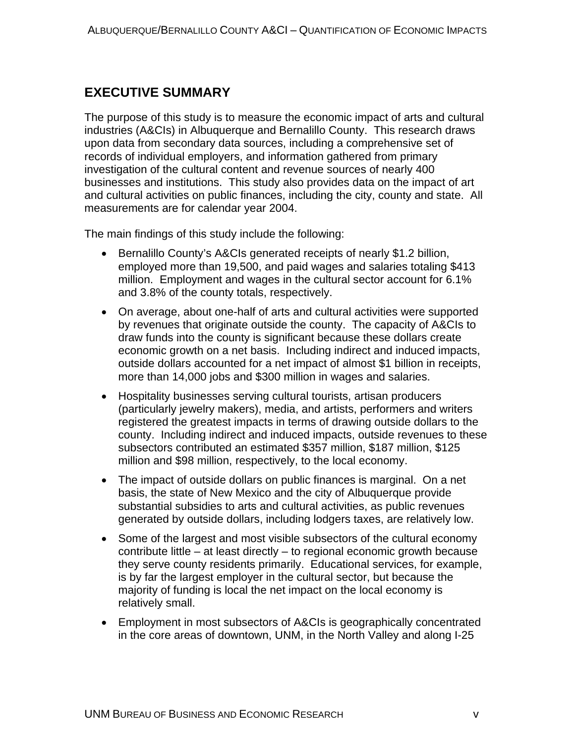## <span id="page-7-0"></span>**EXECUTIVE SUMMARY**

The purpose of this study is to measure the economic impact of arts and cultural industries (A&CIs) in Albuquerque and Bernalillo County. This research draws upon data from secondary data sources, including a comprehensive set of records of individual employers, and information gathered from primary investigation of the cultural content and revenue sources of nearly 400 businesses and institutions. This study also provides data on the impact of art and cultural activities on public finances, including the city, county and state. All measurements are for calendar year 2004.

The main findings of this study include the following:

- Bernalillo County's A&CIs generated receipts of nearly \$1.2 billion, employed more than 19,500, and paid wages and salaries totaling \$413 million. Employment and wages in the cultural sector account for 6.1% and 3.8% of the county totals, respectively.
- On average, about one-half of arts and cultural activities were supported by revenues that originate outside the county. The capacity of A&CIs to draw funds into the county is significant because these dollars create economic growth on a net basis. Including indirect and induced impacts, outside dollars accounted for a net impact of almost \$1 billion in receipts, more than 14,000 jobs and \$300 million in wages and salaries.
- Hospitality businesses serving cultural tourists, artisan producers (particularly jewelry makers), media, and artists, performers and writers registered the greatest impacts in terms of drawing outside dollars to the county. Including indirect and induced impacts, outside revenues to these subsectors contributed an estimated \$357 million, \$187 million, \$125 million and \$98 million, respectively, to the local economy.
- The impact of outside dollars on public finances is marginal. On a net basis, the state of New Mexico and the city of Albuquerque provide substantial subsidies to arts and cultural activities, as public revenues generated by outside dollars, including lodgers taxes, are relatively low.
- Some of the largest and most visible subsectors of the cultural economy contribute little – at least directly – to regional economic growth because they serve county residents primarily. Educational services, for example, is by far the largest employer in the cultural sector, but because the majority of funding is local the net impact on the local economy is relatively small.
- Employment in most subsectors of A&CIs is geographically concentrated in the core areas of downtown, UNM, in the North Valley and along I-25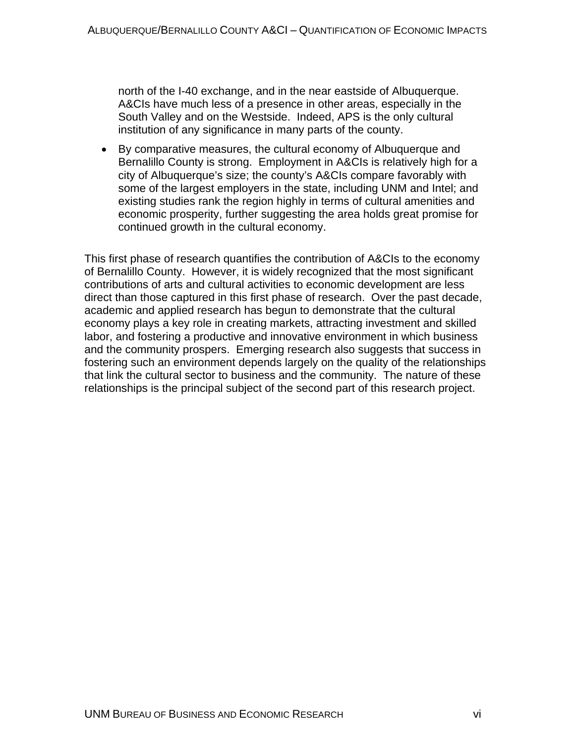north of the I-40 exchange, and in the near eastside of Albuquerque. A&CIs have much less of a presence in other areas, especially in the South Valley and on the Westside. Indeed, APS is the only cultural institution of any significance in many parts of the county.

• By comparative measures, the cultural economy of Albuquerque and Bernalillo County is strong. Employment in A&CIs is relatively high for a city of Albuquerque's size; the county's A&CIs compare favorably with some of the largest employers in the state, including UNM and Intel; and existing studies rank the region highly in terms of cultural amenities and economic prosperity, further suggesting the area holds great promise for continued growth in the cultural economy.

This first phase of research quantifies the contribution of A&CIs to the economy of Bernalillo County. However, it is widely recognized that the most significant contributions of arts and cultural activities to economic development are less direct than those captured in this first phase of research. Over the past decade, academic and applied research has begun to demonstrate that the cultural economy plays a key role in creating markets, attracting investment and skilled labor, and fostering a productive and innovative environment in which business and the community prospers. Emerging research also suggests that success in fostering such an environment depends largely on the quality of the relationships that link the cultural sector to business and the community. The nature of these relationships is the principal subject of the second part of this research project.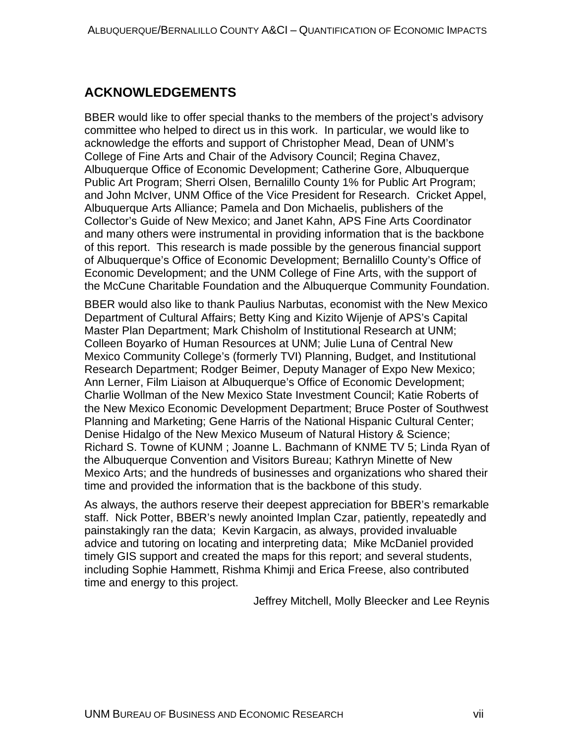## <span id="page-9-0"></span>**ACKNOWLEDGEMENTS**

BBER would like to offer special thanks to the members of the project's advisory committee who helped to direct us in this work. In particular, we would like to acknowledge the efforts and support of Christopher Mead, Dean of UNM's College of Fine Arts and Chair of the Advisory Council; Regina Chavez, Albuquerque Office of Economic Development; Catherine Gore, Albuquerque Public Art Program; Sherri Olsen, Bernalillo County 1% for Public Art Program; and John McIver, UNM Office of the Vice President for Research. Cricket Appel, Albuquerque Arts Alliance; Pamela and Don Michaelis, publishers of the Collector's Guide of New Mexico; and Janet Kahn, APS Fine Arts Coordinator and many others were instrumental in providing information that is the backbone of this report. This research is made possible by the generous financial support of Albuquerque's Office of Economic Development; Bernalillo County's Office of Economic Development; and the UNM College of Fine Arts, with the support of the McCune Charitable Foundation and the Albuquerque Community Foundation.

BBER would also like to thank Paulius Narbutas, economist with the New Mexico Department of Cultural Affairs; Betty King and Kizito Wijenje of APS's Capital Master Plan Department; Mark Chisholm of Institutional Research at UNM; Colleen Boyarko of Human Resources at UNM; Julie Luna of Central New Mexico Community College's (formerly TVI) Planning, Budget, and Institutional Research Department; Rodger Beimer, Deputy Manager of Expo New Mexico; Ann Lerner, Film Liaison at Albuquerque's Office of Economic Development; Charlie Wollman of the New Mexico State Investment Council; Katie Roberts of the New Mexico Economic Development Department; Bruce Poster of Southwest Planning and Marketing; Gene Harris of the National Hispanic Cultural Center; Denise Hidalgo of the New Mexico Museum of Natural History & Science; Richard S. Towne of KUNM ; Joanne L. Bachmann of KNME TV 5; Linda Ryan of the Albuquerque Convention and Visitors Bureau; Kathryn Minette of New Mexico Arts; and the hundreds of businesses and organizations who shared their time and provided the information that is the backbone of this study.

As always, the authors reserve their deepest appreciation for BBER's remarkable staff. Nick Potter, BBER's newly anointed Implan Czar, patiently, repeatedly and painstakingly ran the data; Kevin Kargacin, as always, provided invaluable advice and tutoring on locating and interpreting data; Mike McDaniel provided timely GIS support and created the maps for this report; and several students, including Sophie Hammett, Rishma Khimji and Erica Freese, also contributed time and energy to this project.

Jeffrey Mitchell, Molly Bleecker and Lee Reynis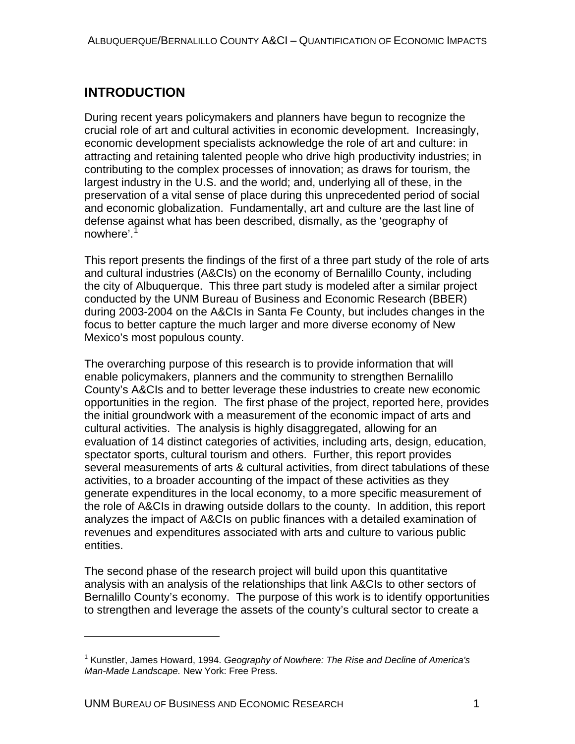## <span id="page-10-0"></span>**INTRODUCTION**

During recent years policymakers and planners have begun to recognize the crucial role of art and cultural activities in economic development. Increasingly, economic development specialists acknowledge the role of art and culture: in attracting and retaining talented people who drive high productivity industries; in contributing to the complex processes of innovation; as draws for tourism, the largest industry in the U.S. and the world; and, underlying all of these, in the preservation of a vital sense of place during this unprecedented period of social and economic globalization. Fundamentally, art and culture are the last line of defense against what has been described, dismally, as the 'geography of nowhere'.<sup>[1](#page-10-1)</sup>

This report presents the findings of the first of a three part study of the role of arts and cultural industries (A&CIs) on the economy of Bernalillo County, including the city of Albuquerque. This three part study is modeled after a similar project conducted by the UNM Bureau of Business and Economic Research (BBER) during 2003-2004 on the A&CIs in Santa Fe County, but includes changes in the focus to better capture the much larger and more diverse economy of New Mexico's most populous county.

The overarching purpose of this research is to provide information that will enable policymakers, planners and the community to strengthen Bernalillo County's A&CIs and to better leverage these industries to create new economic opportunities in the region. The first phase of the project, reported here, provides the initial groundwork with a measurement of the economic impact of arts and cultural activities. The analysis is highly disaggregated, allowing for an evaluation of 14 distinct categories of activities, including arts, design, education, spectator sports, cultural tourism and others. Further, this report provides several measurements of arts & cultural activities, from direct tabulations of these activities, to a broader accounting of the impact of these activities as they generate expenditures in the local economy, to a more specific measurement of the role of A&CIs in drawing outside dollars to the county. In addition, this report analyzes the impact of A&CIs on public finances with a detailed examination of revenues and expenditures associated with arts and culture to various public entities.

The second phase of the research project will build upon this quantitative analysis with an analysis of the relationships that link A&CIs to other sectors of Bernalillo County's economy. The purpose of this work is to identify opportunities to strengthen and leverage the assets of the county's cultural sector to create a

 $\overline{a}$ 

<span id="page-10-1"></span><sup>1</sup> Kunstler, James Howard, 1994. *Geography of Nowhere: The Rise and Decline of America's Man-Made Landscape.* New York: Free Press.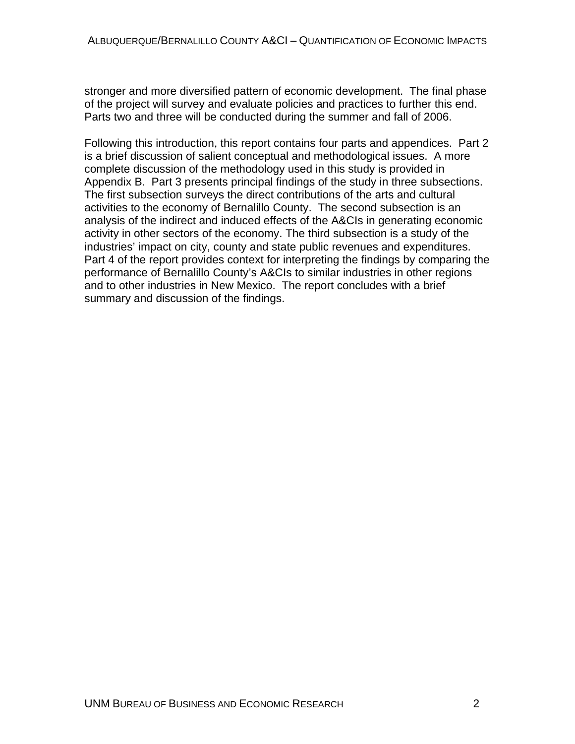stronger and more diversified pattern of economic development. The final phase of the project will survey and evaluate policies and practices to further this end. Parts two and three will be conducted during the summer and fall of 2006.

Following this introduction, this report contains four parts and appendices. Part 2 is a brief discussion of salient conceptual and methodological issues. A more complete discussion of the methodology used in this study is provided in Appendix B. Part 3 presents principal findings of the study in three subsections. The first subsection surveys the direct contributions of the arts and cultural activities to the economy of Bernalillo County. The second subsection is an analysis of the indirect and induced effects of the A&CIs in generating economic activity in other sectors of the economy. The third subsection is a study of the industries' impact on city, county and state public revenues and expenditures. Part 4 of the report provides context for interpreting the findings by comparing the performance of Bernalillo County's A&CIs to similar industries in other regions and to other industries in New Mexico. The report concludes with a brief summary and discussion of the findings.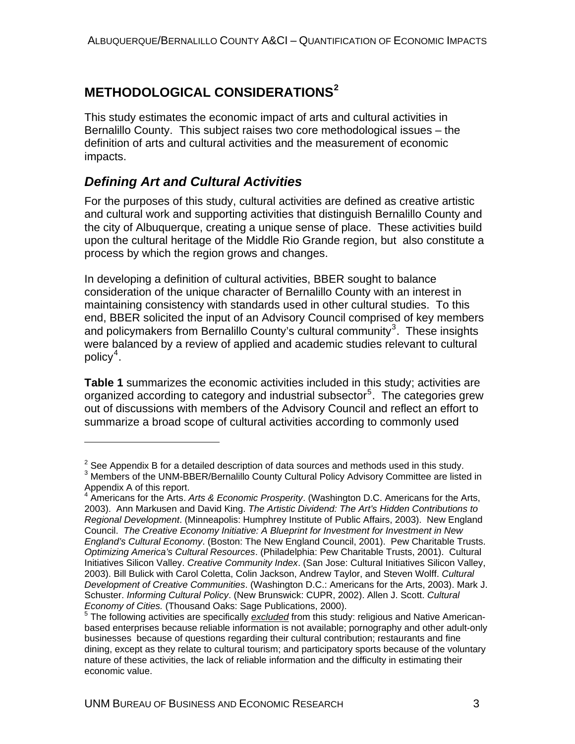## <span id="page-12-0"></span>**METHODOLOGICAL CONSIDERATIONS[2](#page-12-1)**

This study estimates the economic impact of arts and cultural activities in Bernalillo County. This subject raises two core methodological issues – the definition of arts and cultural activities and the measurement of economic impacts.

## *Defining Art and Cultural Activities*

 $\overline{a}$ 

For the purposes of this study, cultural activities are defined as creative artistic and cultural work and supporting activities that distinguish Bernalillo County and the city of Albuquerque, creating a unique sense of place. These activities build upon the cultural heritage of the Middle Rio Grande region, but also constitute a process by which the region grows and changes.

In developing a definition of cultural activities, BBER sought to balance consideration of the unique character of Bernalillo County with an interest in maintaining consistency with standards used in other cultural studies. To this end, BBER solicited the input of an Advisory Council comprised of key members and policymakers from Bernalillo County's cultural community<sup>[3](#page-12-2)</sup>. These insights were balanced by a review of applied and academic studies relevant to cultural policy $\rm ^4$  $\rm ^4$  .

**Table 1** summarizes the economic activities included in this study; activities are organized according to category and industrial subsector<sup>[5](#page-12-4)</sup>. The categories grew out of discussions with members of the Advisory Council and reflect an effort to summarize a broad scope of cultural activities according to commonly used

<sup>&</sup>lt;sup>2</sup> See Appendix B for a detailed description of data sources and methods used in this study.<br><sup>3</sup> Mombers of the UNM BREB/Bernalille County Cultural Boliov Advisory Committee are liste

<span id="page-12-2"></span><span id="page-12-1"></span><sup>&</sup>lt;sup>3</sup> Members of the UNM-BBER/Bernalillo County Cultural Policy Advisory Committee are listed in Appendix A of this report.

<span id="page-12-3"></span><sup>&</sup>lt;sup>4</sup> Americans for the Arts. Arts & Economic Prosperity. (Washington D.C. Americans for the Arts, 2003). Ann Markusen and David King. *The Artistic Dividend: The Art's Hidden Contributions to Regional Development*. (Minneapolis: Humphrey Institute of Public Affairs, 2003). New England Council. *The Creative Economy Initiative: A Blueprint for Investment for Investment in New England's Cultural Economy*. (Boston: The New England Council, 2001). Pew Charitable Trusts. *Optimizing America's Cultural Resources*. (Philadelphia: Pew Charitable Trusts, 2001). Cultural Initiatives Silicon Valley. *Creative Community Index*. (San Jose: Cultural Initiatives Silicon Valley, 2003). Bill Bulick with Carol Coletta, Colin Jackson, Andrew Taylor, and Steven Wolff. *Cultural Development of Creative Communities*. (Washington D.C.: Americans for the Arts, 2003). Mark J. Schuster. *Informing Cultural Policy*. (New Brunswick: CUPR, 2002). Allen J. Scott. *Cultural Economy of Cities.* (Thousand Oaks: Sage Publications, 2000).

<span id="page-12-4"></span><sup>&</sup>lt;sup>5</sup> The following activities are specifically *excluded* from this study: religious and Native Americanbased enterprises because reliable information is not available; pornography and other adult-only businesses because of questions regarding their cultural contribution; restaurants and fine dining, except as they relate to cultural tourism; and participatory sports because of the voluntary nature of these activities, the lack of reliable information and the difficulty in estimating their economic value.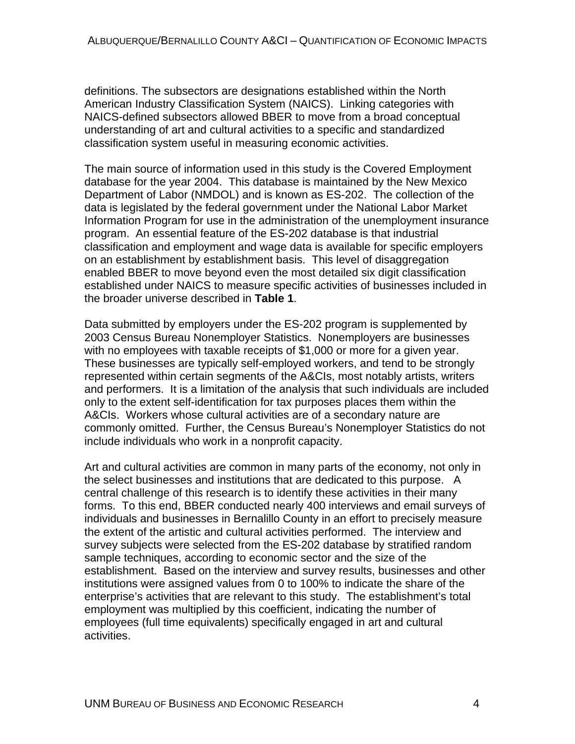definitions. The subsectors are designations established within the North American Industry Classification System (NAICS). Linking categories with NAICS-defined subsectors allowed BBER to move from a broad conceptual understanding of art and cultural activities to a specific and standardized classification system useful in measuring economic activities.

The main source of information used in this study is the Covered Employment database for the year 2004. This database is maintained by the New Mexico Department of Labor (NMDOL) and is known as ES-202. The collection of the data is legislated by the federal government under the National Labor Market Information Program for use in the administration of the unemployment insurance program. An essential feature of the ES-202 database is that industrial classification and employment and wage data is available for specific employers on an establishment by establishment basis. This level of disaggregation enabled BBER to move beyond even the most detailed six digit classification established under NAICS to measure specific activities of businesses included in the broader universe described in **Table 1**.

Data submitted by employers under the ES-202 program is supplemented by 2003 Census Bureau Nonemployer Statistics. Nonemployers are businesses with no employees with taxable receipts of \$1,000 or more for a given year. These businesses are typically self-employed workers, and tend to be strongly represented within certain segments of the A&CIs, most notably artists, writers and performers. It is a limitation of the analysis that such individuals are included only to the extent self-identification for tax purposes places them within the A&CIs. Workers whose cultural activities are of a secondary nature are commonly omitted. Further, the Census Bureau's Nonemployer Statistics do not include individuals who work in a nonprofit capacity.

Art and cultural activities are common in many parts of the economy, not only in the select businesses and institutions that are dedicated to this purpose. A central challenge of this research is to identify these activities in their many forms. To this end, BBER conducted nearly 400 interviews and email surveys of individuals and businesses in Bernalillo County in an effort to precisely measure the extent of the artistic and cultural activities performed. The interview and survey subjects were selected from the ES-202 database by stratified random sample techniques, according to economic sector and the size of the establishment. Based on the interview and survey results, businesses and other institutions were assigned values from 0 to 100% to indicate the share of the enterprise's activities that are relevant to this study. The establishment's total employment was multiplied by this coefficient, indicating the number of employees (full time equivalents) specifically engaged in art and cultural activities.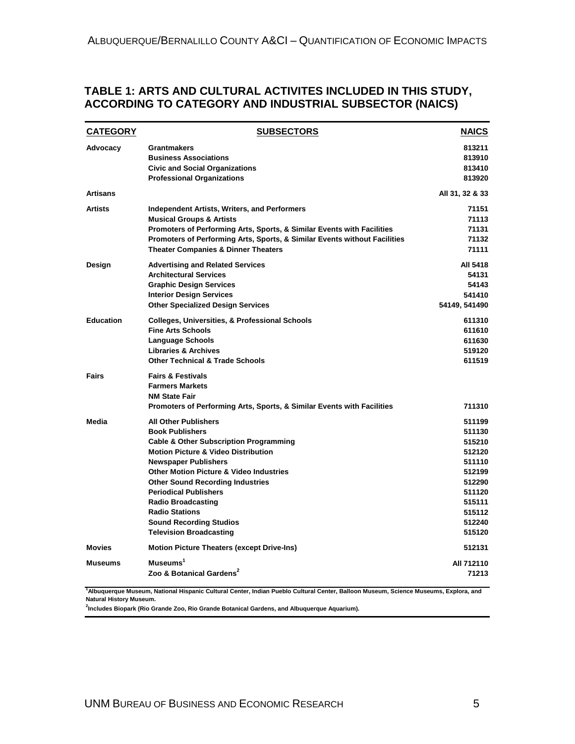#### <span id="page-14-0"></span>**TABLE 1: ARTS AND CULTURAL ACTIVITES INCLUDED IN THIS STUDY, ACCORDING TO CATEGORY AND INDUSTRIAL SUBSECTOR (NAICS)**

| <b>CATEGORY</b>  | <b>SUBSECTORS</b>                                                                                                                                                                                                                                                                                                                                                                                                                                      | <b>NAICS</b>                                                                                                         |
|------------------|--------------------------------------------------------------------------------------------------------------------------------------------------------------------------------------------------------------------------------------------------------------------------------------------------------------------------------------------------------------------------------------------------------------------------------------------------------|----------------------------------------------------------------------------------------------------------------------|
| Advocacy         | Grantmakers<br><b>Business Associations</b><br><b>Civic and Social Organizations</b><br><b>Professional Organizations</b>                                                                                                                                                                                                                                                                                                                              | 813211<br>813910<br>813410<br>813920                                                                                 |
| <b>Artisans</b>  |                                                                                                                                                                                                                                                                                                                                                                                                                                                        | All 31, 32 & 33                                                                                                      |
| <b>Artists</b>   | <b>Independent Artists, Writers, and Performers</b><br><b>Musical Groups &amp; Artists</b><br>Promoters of Performing Arts, Sports, & Similar Events with Facilities<br>Promoters of Performing Arts, Sports, & Similar Events without Facilities<br><b>Theater Companies &amp; Dinner Theaters</b>                                                                                                                                                    | 71151<br>71113<br>71131<br>71132<br>71111                                                                            |
| Design           | <b>Advertising and Related Services</b><br><b>Architectural Services</b><br><b>Graphic Design Services</b><br><b>Interior Design Services</b><br><b>Other Specialized Design Services</b>                                                                                                                                                                                                                                                              | All 5418<br>54131<br>54143<br>541410<br>54149, 541490                                                                |
| <b>Education</b> | <b>Colleges, Universities, &amp; Professional Schools</b><br><b>Fine Arts Schools</b><br>Language Schools<br><b>Libraries &amp; Archives</b><br><b>Other Technical &amp; Trade Schools</b>                                                                                                                                                                                                                                                             | 611310<br>611610<br>611630<br>519120<br>611519                                                                       |
| Fairs            | <b>Fairs &amp; Festivals</b><br><b>Farmers Markets</b><br><b>NM State Fair</b><br>Promoters of Performing Arts, Sports, & Similar Events with Facilities                                                                                                                                                                                                                                                                                               | 711310                                                                                                               |
| Media            | <b>All Other Publishers</b><br><b>Book Publishers</b><br><b>Cable &amp; Other Subscription Programming</b><br><b>Motion Picture &amp; Video Distribution</b><br><b>Newspaper Publishers</b><br><b>Other Motion Picture &amp; Video Industries</b><br><b>Other Sound Recording Industries</b><br><b>Periodical Publishers</b><br><b>Radio Broadcasting</b><br><b>Radio Stations</b><br><b>Sound Recording Studios</b><br><b>Television Broadcasting</b> | 511199<br>511130<br>515210<br>512120<br>511110<br>512199<br>512290<br>511120<br>515111<br>515112<br>512240<br>515120 |
| <b>Movies</b>    | <b>Motion Picture Theaters (except Drive-Ins)</b>                                                                                                                                                                                                                                                                                                                                                                                                      | 512131                                                                                                               |
| <b>Museums</b>   | Museums <sup>1</sup><br>Zoo & Botanical Gardens <sup>2</sup>                                                                                                                                                                                                                                                                                                                                                                                           | All 712110<br>71213                                                                                                  |

**1 Albuquerque Museum, National Hispanic Cultural Center, Indian Pueblo Cultural Center, Balloon Museum, Science Museums, Explora, and Natural History Museum.**

**2 Includes Biopark (Rio Grande Zoo, Rio Grande Botanical Gardens, and Albuquerque Aquarium).**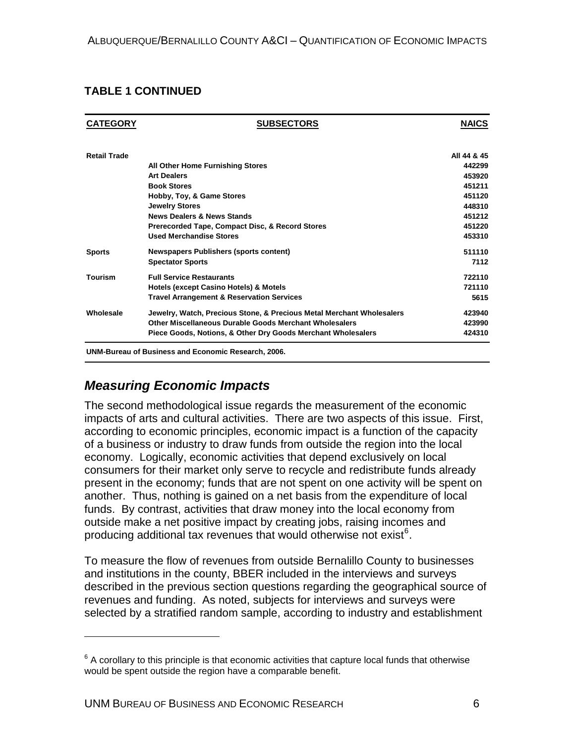#### <span id="page-15-0"></span>**TABLE 1 CONTINUED**

| <b>CATEGORY</b>     | <b>SUBSECTORS</b>                                                     | <b>NAICS</b> |
|---------------------|-----------------------------------------------------------------------|--------------|
| <b>Retail Trade</b> |                                                                       | All 44 & 45  |
|                     | All Other Home Furnishing Stores                                      | 442299       |
|                     | <b>Art Dealers</b>                                                    | 453920       |
|                     | <b>Book Stores</b>                                                    | 451211       |
|                     | Hobby, Toy, & Game Stores                                             | 451120       |
|                     | <b>Jewelry Stores</b>                                                 | 448310       |
|                     | <b>News Dealers &amp; News Stands</b>                                 | 451212       |
|                     | Prerecorded Tape, Compact Disc, & Record Stores                       | 451220       |
|                     | <b>Used Merchandise Stores</b>                                        | 453310       |
| <b>Sports</b>       | <b>Newspapers Publishers (sports content)</b>                         | 511110       |
|                     | <b>Spectator Sports</b>                                               | 7112         |
| <b>Tourism</b>      | <b>Full Service Restaurants</b>                                       | 722110       |
|                     | <b>Hotels (except Casino Hotels) &amp; Motels</b>                     | 721110       |
|                     | <b>Travel Arrangement &amp; Reservation Services</b>                  | 5615         |
| Wholesale           | Jewelry, Watch, Precious Stone, & Precious Metal Merchant Wholesalers | 423940       |
|                     | Other Miscellaneous Durable Goods Merchant Wholesalers                | 423990       |
|                     | Piece Goods, Notions, & Other Dry Goods Merchant Wholesalers          | 424310       |

#### *Measuring Economic Impacts*

 $\overline{a}$ 

The second methodological issue regards the measurement of the economic impacts of arts and cultural activities. There are two aspects of this issue. First, according to economic principles, economic impact is a function of the capacity of a business or industry to draw funds from outside the region into the local economy. Logically, economic activities that depend exclusively on local consumers for their market only serve to recycle and redistribute funds already present in the economy; funds that are not spent on one activity will be spent on another. Thus, nothing is gained on a net basis from the expenditure of local funds. By contrast, activities that draw money into the local economy from outside make a net positive impact by creating jobs, raising incomes and producing additional tax revenues that would otherwise not exist<sup>[6](#page-15-1)</sup>.

To measure the flow of revenues from outside Bernalillo County to businesses and institutions in the county, BBER included in the interviews and surveys described in the previous section questions regarding the geographical source of revenues and funding. As noted, subjects for interviews and surveys were selected by a stratified random sample, according to industry and establishment

<span id="page-15-1"></span> $6$  A corollary to this principle is that economic activities that capture local funds that otherwise would be spent outside the region have a comparable benefit.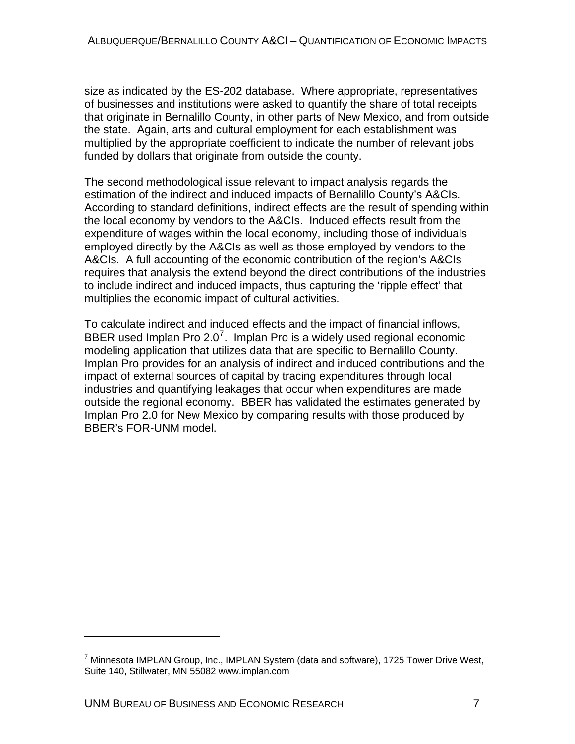size as indicated by the ES-202 database. Where appropriate, representatives of businesses and institutions were asked to quantify the share of total receipts that originate in Bernalillo County, in other parts of New Mexico, and from outside the state. Again, arts and cultural employment for each establishment was multiplied by the appropriate coefficient to indicate the number of relevant jobs funded by dollars that originate from outside the county.

The second methodological issue relevant to impact analysis regards the estimation of the indirect and induced impacts of Bernalillo County's A&CIs. According to standard definitions, indirect effects are the result of spending within the local economy by vendors to the A&CIs. Induced effects result from the expenditure of wages within the local economy, including those of individuals employed directly by the A&CIs as well as those employed by vendors to the A&CIs. A full accounting of the economic contribution of the region's A&CIs requires that analysis the extend beyond the direct contributions of the industries to include indirect and induced impacts, thus capturing the 'ripple effect' that multiplies the economic impact of cultural activities.

To calculate indirect and induced effects and the impact of financial inflows, BBER used Implan Pro 2.0<sup>[7](#page-16-0)</sup>. Implan Pro is a widely used regional economic modeling application that utilizes data that are specific to Bernalillo County. Implan Pro provides for an analysis of indirect and induced contributions and the impact of external sources of capital by tracing expenditures through local industries and quantifying leakages that occur when expenditures are made outside the regional economy. BBER has validated the estimates generated by Implan Pro 2.0 for New Mexico by comparing results with those produced by BBER's FOR-UNM model.

 $\overline{a}$ 

<span id="page-16-0"></span><sup>&</sup>lt;sup>7</sup> Minnesota IMPLAN Group, Inc., IMPLAN System (data and software), 1725 Tower Drive West, Suite 140, Stillwater, MN 55082 www.implan.com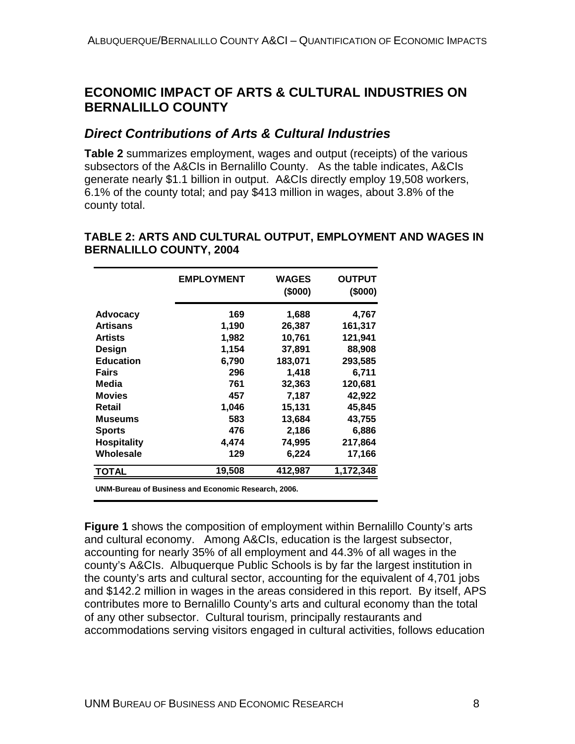## <span id="page-17-0"></span>**ECONOMIC IMPACT OF ARTS & CULTURAL INDUSTRIES ON BERNALILLO COUNTY**

## *Direct Contributions of Arts & Cultural Industries*

**Table 2** summarizes employment, wages and output (receipts) of the various subsectors of the A&CIs in Bernalillo County. As the table indicates, A&CIs generate nearly \$1.1 billion in output. A&CIs directly employ 19,508 workers, 6.1% of the county total; and pay \$413 million in wages, about 3.8% of the county total.

|                    | <b>EMPLOYMENT</b> | <b>WAGES</b><br>(\$000) | <b>OUTPUT</b><br>(\$000) |
|--------------------|-------------------|-------------------------|--------------------------|
| <b>Advocacy</b>    | 169               | 1,688                   | 4,767                    |
| <b>Artisans</b>    | 1,190             | 26,387                  | 161,317                  |
| <b>Artists</b>     | 1,982             | 10,761                  | 121,941                  |
| Design             | 1,154             | 37,891                  | 88,908                   |
| <b>Education</b>   | 6,790             | 183,071                 | 293,585                  |
| <b>Fairs</b>       | 296               | 1,418                   | 6,711                    |
| Media              | 761               | 32,363                  | 120,681                  |
| <b>Movies</b>      | 457               | 7,187                   | 42,922                   |
| Retail             | 1,046             | 15,131                  | 45,845                   |
| <b>Museums</b>     | 583               | 13,684                  | 43,755                   |
| <b>Sports</b>      | 476               | 2,186                   | 6,886                    |
| <b>Hospitality</b> | 4,474             | 74,995                  | 217,864                  |
| Wholesale          | 129               | 6,224                   | 17,166                   |
| <b>TOTAL</b>       | 19,508            | 412,987                 | 1,172,348                |

#### **TABLE 2: ARTS AND CULTURAL OUTPUT, EMPLOYMENT AND WAGES IN BERNALILLO COUNTY, 2004**

**UNM-Bureau of Business and Economic Research, 2006.**

**Figure 1** shows the composition of employment within Bernalillo County's arts and cultural economy. Among A&CIs, education is the largest subsector, accounting for nearly 35% of all employment and 44.3% of all wages in the county's A&CIs. Albuquerque Public Schools is by far the largest institution in the county's arts and cultural sector, accounting for the equivalent of 4,701 jobs and \$142.2 million in wages in the areas considered in this report. By itself, APS contributes more to Bernalillo County's arts and cultural economy than the total of any other subsector. Cultural tourism, principally restaurants and accommodations serving visitors engaged in cultural activities, follows education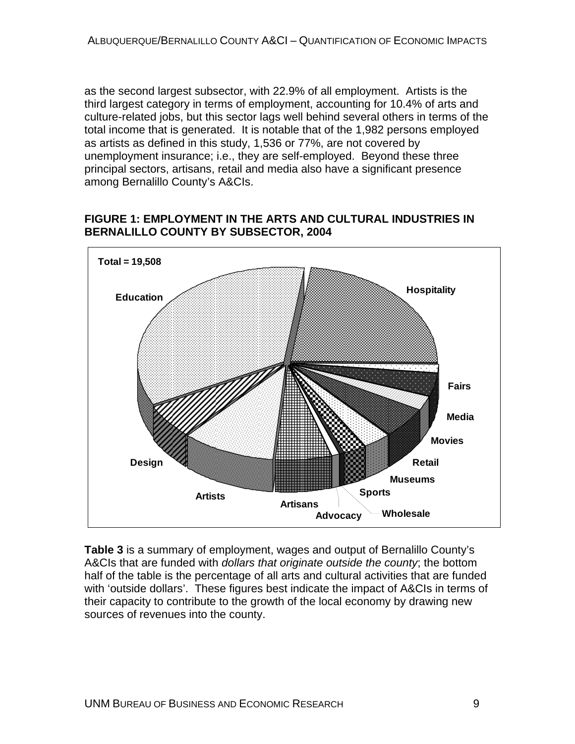<span id="page-18-0"></span>as the second largest subsector, with 22.9% of all employment. Artists is the third largest category in terms of employment, accounting for 10.4% of arts and culture-related jobs, but this sector lags well behind several others in terms of the total income that is generated. It is notable that of the 1,982 persons employed as artists as defined in this study, 1,536 or 77%, are not covered by unemployment insurance; i.e., they are self-employed. Beyond these three principal sectors, artisans, retail and media also have a significant presence among Bernalillo County's A&CIs.

#### **FIGURE 1: EMPLOYMENT IN THE ARTS AND CULTURAL INDUSTRIES IN BERNALILLO COUNTY BY SUBSECTOR, 2004**



**Table 3** is a summary of employment, wages and output of Bernalillo County's A&CIs that are funded with *dollars that originate outside the county*; the bottom half of the table is the percentage of all arts and cultural activities that are funded with 'outside dollars'. These figures best indicate the impact of A&CIs in terms of their capacity to contribute to the growth of the local economy by drawing new sources of revenues into the county.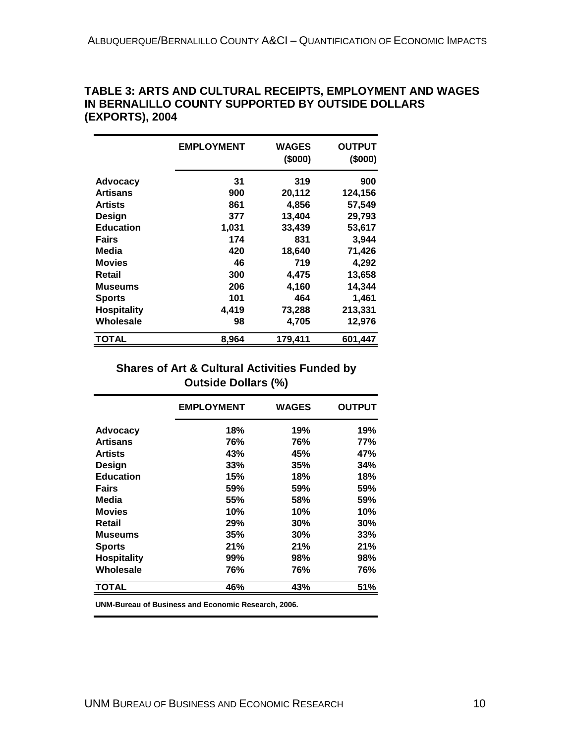|                    | <b>EMPLOYMENT</b> | <b>WAGES</b><br>(\$000) | <b>OUTPUT</b><br>(\$000) |
|--------------------|-------------------|-------------------------|--------------------------|
| Advocacy           | 31                | 319                     | 900                      |
| <b>Artisans</b>    | 900               | 20,112                  | 124,156                  |
| <b>Artists</b>     | 861               | 4,856                   | 57,549                   |
| Design             | 377               | 13,404                  | 29,793                   |
| <b>Education</b>   | 1,031             | 33,439                  | 53,617                   |
| <b>Fairs</b>       | 174               | 831                     | 3,944                    |
| Media              | 420               | 18,640                  | 71,426                   |
| <b>Movies</b>      | 46                | 719                     | 4,292                    |
| Retail             | 300               | 4,475                   | 13,658                   |
| <b>Museums</b>     | 206               | 4,160                   | 14,344                   |
| <b>Sports</b>      | 101               | 464                     | 1,461                    |
| <b>Hospitality</b> | 4,419             | 73,288                  | 213,331                  |
| Wholesale          | 98                | 4,705                   | 12,976                   |
| <b>TOTAL</b>       | 8,964             | 179,411                 | 601,447                  |

#### <span id="page-19-0"></span>**TABLE 3: ARTS AND CULTURAL RECEIPTS, EMPLOYMENT AND WAGES IN BERNALILLO COUNTY SUPPORTED BY OUTSIDE DOLLARS (EXPORTS), 2004**

#### **Shares of Art & Cultural Activities Funded by Outside Dollars (%)**

|                    | <b>EMPLOYMENT</b> | <b>WAGES</b> | <b>OUTPUT</b> |
|--------------------|-------------------|--------------|---------------|
| <b>Advocacy</b>    | 18%               | 19%          | 19%           |
| <b>Artisans</b>    | 76%               | 76%          | 77%           |
| <b>Artists</b>     | 43%               | 45%          | 47%           |
| Design             | 33%               | 35%          | 34%           |
| <b>Education</b>   | 15%               | 18%          | 18%           |
| <b>Fairs</b>       | 59%               | 59%          | 59%           |
| Media              | 55%               | 58%          | 59%           |
| <b>Movies</b>      | 10%               | 10%          | 10%           |
| Retail             | 29%               | 30%          | 30%           |
| Museums            | 35%               | 30%          | 33%           |
| <b>Sports</b>      | 21%               | 21%          | 21%           |
| <b>Hospitality</b> | 99%               | 98%          | 98%           |
| Wholesale          | 76%               | 76%          | 76%           |
| <b>TOTAL</b>       | 46%               | 43%          | 51%           |

**UNM-Bureau of Business and Economic Research, 2006.**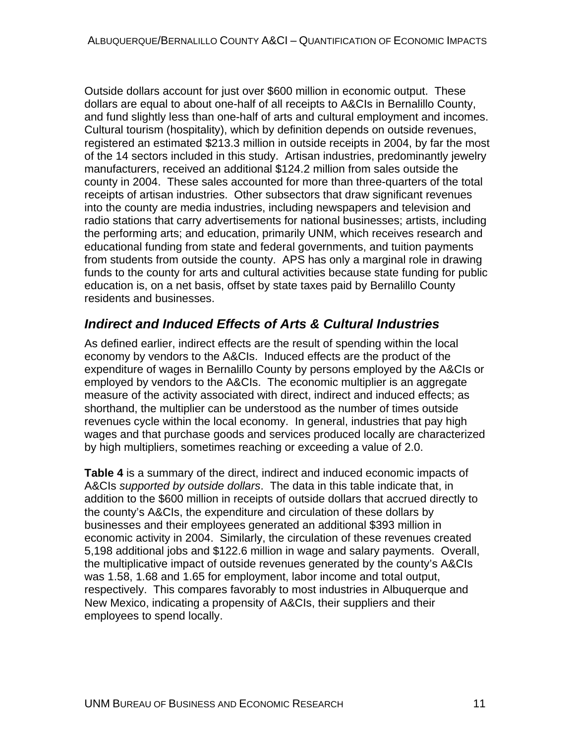<span id="page-20-0"></span>Outside dollars account for just over \$600 million in economic output. These dollars are equal to about one-half of all receipts to A&CIs in Bernalillo County, and fund slightly less than one-half of arts and cultural employment and incomes. Cultural tourism (hospitality), which by definition depends on outside revenues, registered an estimated \$213.3 million in outside receipts in 2004, by far the most of the 14 sectors included in this study. Artisan industries, predominantly jewelry manufacturers, received an additional \$124.2 million from sales outside the county in 2004. These sales accounted for more than three-quarters of the total receipts of artisan industries. Other subsectors that draw significant revenues into the county are media industries, including newspapers and television and radio stations that carry advertisements for national businesses; artists, including the performing arts; and education, primarily UNM, which receives research and educational funding from state and federal governments, and tuition payments from students from outside the county. APS has only a marginal role in drawing funds to the county for arts and cultural activities because state funding for public education is, on a net basis, offset by state taxes paid by Bernalillo County residents and businesses.

## *Indirect and Induced Effects of Arts & Cultural Industries*

As defined earlier, indirect effects are the result of spending within the local economy by vendors to the A&CIs. Induced effects are the product of the expenditure of wages in Bernalillo County by persons employed by the A&CIs or employed by vendors to the A&CIs. The economic multiplier is an aggregate measure of the activity associated with direct, indirect and induced effects; as shorthand, the multiplier can be understood as the number of times outside revenues cycle within the local economy. In general, industries that pay high wages and that purchase goods and services produced locally are characterized by high multipliers, sometimes reaching or exceeding a value of 2.0.

**Table 4** is a summary of the direct, indirect and induced economic impacts of A&CIs *supported by outside dollars*. The data in this table indicate that, in addition to the \$600 million in receipts of outside dollars that accrued directly to the county's A&CIs, the expenditure and circulation of these dollars by businesses and their employees generated an additional \$393 million in economic activity in 2004. Similarly, the circulation of these revenues created 5,198 additional jobs and \$122.6 million in wage and salary payments. Overall, the multiplicative impact of outside revenues generated by the county's A&CIs was 1.58, 1.68 and 1.65 for employment, labor income and total output, respectively. This compares favorably to most industries in Albuquerque and New Mexico, indicating a propensity of A&CIs, their suppliers and their employees to spend locally.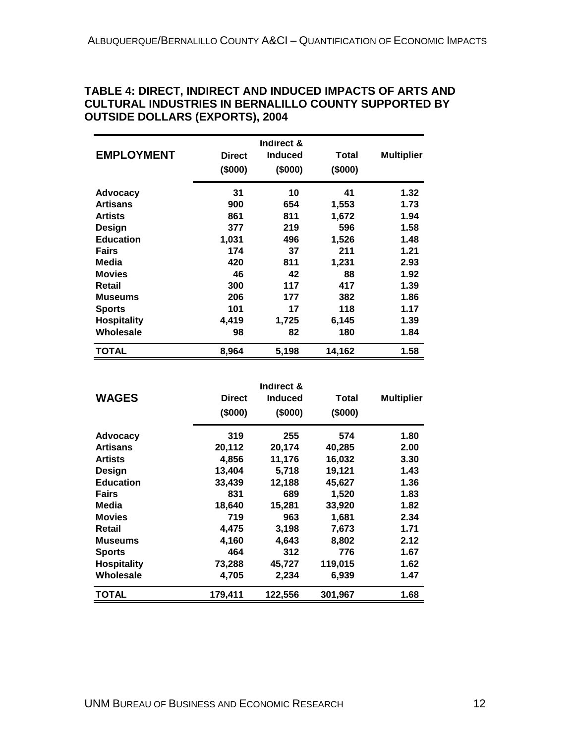|                                     |                     | Indirect &     |              |                      |
|-------------------------------------|---------------------|----------------|--------------|----------------------|
| <b>EMPLOYMENT</b>                   | <b>Direct</b>       | <b>Induced</b> | Total        | <b>Multiplier</b>    |
|                                     | (\$000)             | (\$000)        | (\$000)      |                      |
| Advocacy                            | 31                  | 10             | 41           | 1.32                 |
| <b>Artisans</b>                     | 900                 | 654            | 1,553        | 1.73                 |
| <b>Artists</b>                      | 861                 | 811            | 1,672        | 1.94                 |
| Design<br><b>Education</b><br>Fairs | 377<br>1,031<br>174 | 219            | 596<br>1,526 | 1.58<br>1.48<br>1.21 |
|                                     |                     | 496            |              |                      |
|                                     |                     | 37             | 211          |                      |
| Media                               | 420                 | 811            | 1,231        | 2.93                 |
| <b>Movies</b>                       | 46                  | 42             | 88           | 1.92                 |
| Retail                              | 300                 | 117            | 417          | 1.39                 |
| Museums                             | 206                 | 177            | 382          | 1.86                 |
| <b>Sports</b>                       | 101                 | 17             | 118          | 1.17                 |
| <b>Hospitality</b>                  | 4,419               | 1,725          | 6,145        | 1.39                 |
| Wholesale                           | 98                  | 82             | 180          | 1.84                 |
| TOTAL                               | 8,964               | 5,198          | 14,162       | 1.58                 |

#### <span id="page-21-0"></span>**TABLE 4: DIRECT, INDIRECT AND INDUCED IMPACTS OF ARTS AND CULTURAL INDUSTRIES IN BERNALILLO COUNTY SUPPORTED BY OUTSIDE DOLLARS (EXPORTS), 2004**

|                    |               | Indirect &     |         |                   |
|--------------------|---------------|----------------|---------|-------------------|
| <b>WAGES</b>       | <b>Direct</b> | <b>Induced</b> | Total   | <b>Multiplier</b> |
|                    | (\$000)       | (\$000)        | (\$000) |                   |
| <b>Advocacy</b>    | 319           | 255            | 574     | 1.80              |
| <b>Artisans</b>    | 20,112        | 20,174         | 40,285  | 2.00              |
| <b>Artists</b>     | 4,856         | 11,176         | 16,032  | 3.30              |
| Design             | 13,404        | 5,718          | 19,121  | 1.43              |
| <b>Education</b>   | 33,439        | 12,188         | 45,627  | 1.36              |
| <b>Fairs</b>       | 831           | 689            | 1,520   | 1.83              |
| Media              | 18,640        | 15,281         | 33,920  | 1.82              |
| <b>Movies</b>      | 719           | 963            | 1,681   | 2.34              |
| Retail             | 4,475         | 3,198          | 7,673   | 1.71              |
| <b>Museums</b>     | 4,160         | 4,643          | 8,802   | 2.12              |
| <b>Sports</b>      | 464           | 312            | 776     | 1.67              |
| <b>Hospitality</b> | 73,288        | 45,727         | 119,015 | 1.62              |
| Wholesale          | 4,705         | 2,234          | 6,939   | 1.47              |
| <b>TOTAL</b>       | 179,411       | 122,556        | 301,967 | 1.68              |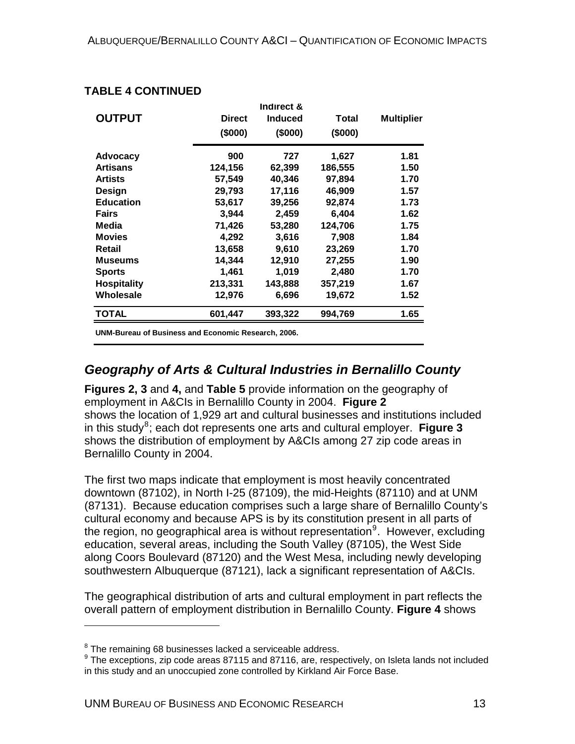|                    |               | Indirect &     |         |                   |
|--------------------|---------------|----------------|---------|-------------------|
| <b>OUTPUT</b>      | <b>Direct</b> | <b>Induced</b> | Total   | <b>Multiplier</b> |
|                    | (\$000)       | (\$000)        | (\$000) |                   |
| <b>Advocacy</b>    | 900           | 727            | 1,627   | 1.81              |
| <b>Artisans</b>    | 124,156       | 62,399         | 186,555 | 1.50              |
| <b>Artists</b>     | 57,549        | 40,346         | 97,894  | 1.70              |
| Design             | 29,793        | 17,116         | 46.909  | 1.57              |
| <b>Education</b>   | 53,617        | 39,256         | 92,874  | 1.73              |
| Fairs              | 3,944         | 2,459          | 6,404   | 1.62              |
| Media              | 71,426        | 53,280         | 124,706 | 1.75              |
| <b>Movies</b>      | 4,292         | 3,616          | 7,908   | 1.84              |
| Retail             | 13,658        | 9,610          | 23,269  | 1.70              |
| Museums            | 14,344        | 12,910         | 27,255  | 1.90              |
| <b>Sports</b>      | 1,461         | 1.019          | 2,480   | 1.70              |
| <b>Hospitality</b> | 213,331       | 143,888        | 357,219 | 1.67              |
| Wholesale          | 12,976        | 6,696          | 19,672  | 1.52              |
| <b>TOTAL</b>       | 601,447       | 393,322        | 994,769 | 1.65              |

#### <span id="page-22-0"></span>**TABLE 4 CONTINUED**

**UNM-Bureau of Business and Economic Research, 2006.**

## *Geography of Arts & Cultural Industries in Bernalillo County*

**Figures 2, 3** and **4,** and **Table 5** provide information on the geography of employment in A&CIs in Bernalillo County in 2004. **Figure 2** shows the location of 1,929 art and cultural businesses and institutions included in this study<sup>[8](#page-22-1)</sup>; each dot represents one arts and cultural employer. Figure 3 shows the distribution of employment by A&CIs among 27 zip code areas in Bernalillo County in 2004.

The first two maps indicate that employment is most heavily concentrated downtown (87102), in North I-25 (87109), the mid-Heights (87110) and at UNM (87131). Because education comprises such a large share of Bernalillo County's cultural economy and because APS is by its constitution present in all parts of the region, no geographical area is without representation<sup>[9](#page-22-2)</sup>. However, excluding education, several areas, including the South Valley (87105), the West Side along Coors Boulevard (87120) and the West Mesa, including newly developing southwestern Albuquerque (87121), lack a significant representation of A&CIs.

The geographical distribution of arts and cultural employment in part reflects the overall pattern of employment distribution in Bernalillo County. **Figure 4** shows

 $\overline{a}$ 

<span id="page-22-1"></span> $8$  The remaining 68 businesses lacked a serviceable address.

<span id="page-22-2"></span><sup>&</sup>lt;sup>9</sup> The exceptions, zip code areas 87115 and 87116, are, respectively, on Isleta lands not included in this study and an unoccupied zone controlled by Kirkland Air Force Base.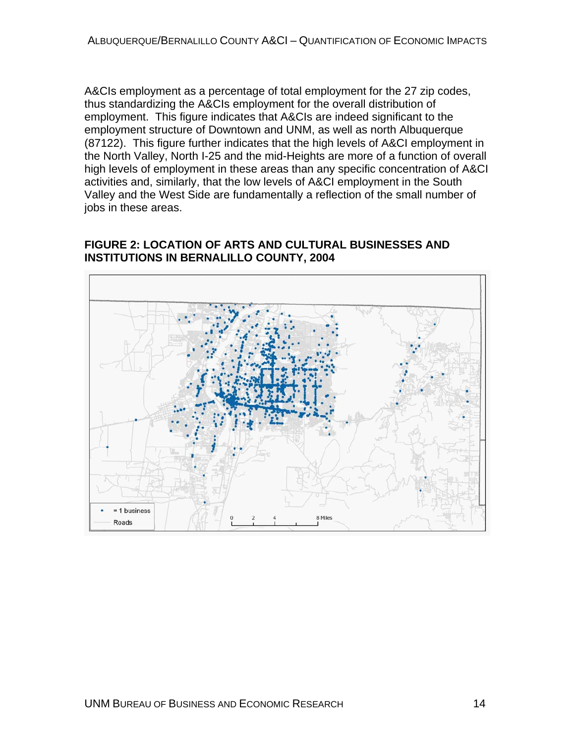<span id="page-23-0"></span>A&CIs employment as a percentage of total employment for the 27 zip codes, thus standardizing the A&CIs employment for the overall distribution of employment. This figure indicates that A&CIs are indeed significant to the employment structure of Downtown and UNM, as well as north Albuquerque (87122). This figure further indicates that the high levels of A&CI employment in the North Valley, North I-25 and the mid-Heights are more of a function of overall high levels of employment in these areas than any specific concentration of A&CI activities and, similarly, that the low levels of A&CI employment in the South Valley and the West Side are fundamentally a reflection of the small number of jobs in these areas.

#### **FIGURE 2: LOCATION OF ARTS AND CULTURAL BUSINESSES AND INSTITUTIONS IN BERNALILLO COUNTY, 2004**

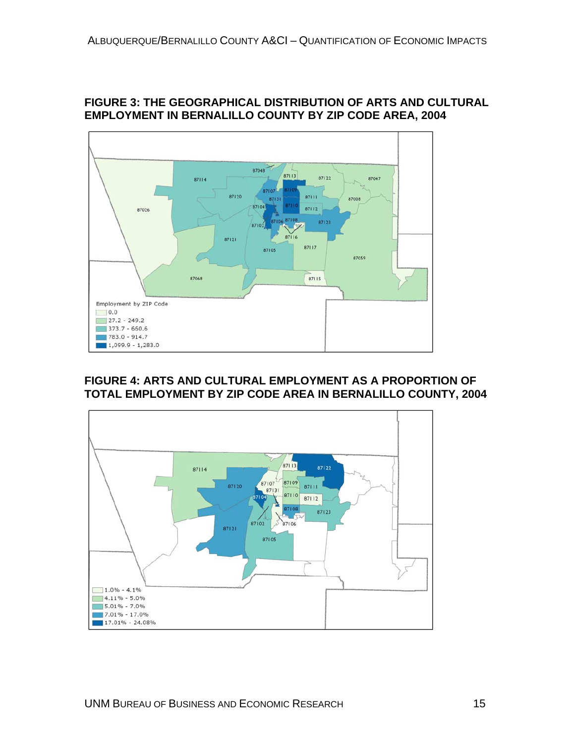

#### <span id="page-24-0"></span>**FIGURE 3: THE GEOGRAPHICAL DISTRIBUTION OF ARTS AND CULTURAL EMPLOYMENT IN BERNALILLO COUNTY BY ZIP CODE AREA, 2004**

#### **FIGURE 4: ARTS AND CULTURAL EMPLOYMENT AS A PROPORTION OF TOTAL EMPLOYMENT BY ZIP CODE AREA IN BERNALILLO COUNTY, 2004**

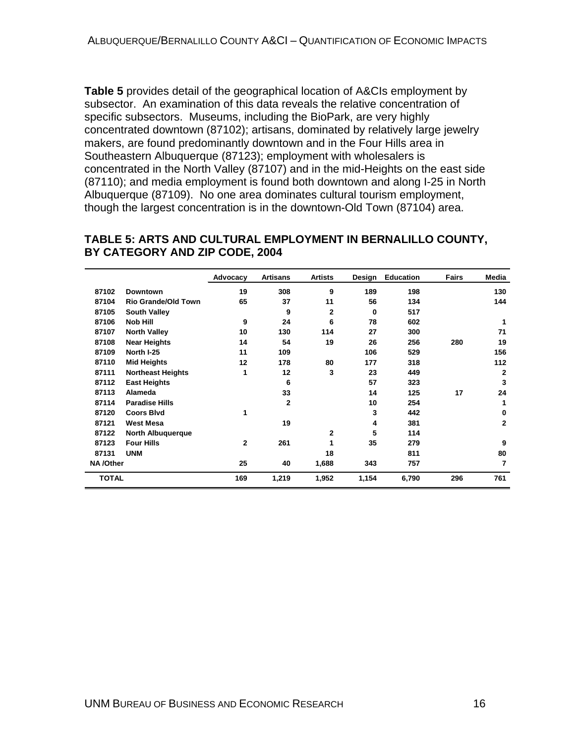<span id="page-25-0"></span>**Table 5** provides detail of the geographical location of A&CIs employment by subsector. An examination of this data reveals the relative concentration of specific subsectors. Museums, including the BioPark, are very highly concentrated downtown (87102); artisans, dominated by relatively large jewelry makers, are found predominantly downtown and in the Four Hills area in Southeastern Albuquerque (87123); employment with wholesalers is concentrated in the North Valley (87107) and in the mid-Heights on the east side (87110); and media employment is found both downtown and along I-25 in North Albuquerque (87109). No one area dominates cultural tourism employment, though the largest concentration is in the downtown-Old Town (87104) area.

#### **TABLE 5: ARTS AND CULTURAL EMPLOYMENT IN BERNALILLO COUNTY, BY CATEGORY AND ZIP CODE, 2004**

|              |                            | Advocacy     | <b>Artisans</b> | <b>Artists</b> | Design   | <b>Education</b> | Fairs | Media        |
|--------------|----------------------------|--------------|-----------------|----------------|----------|------------------|-------|--------------|
| 87102        | <b>Downtown</b>            | 19           | 308             | 9              | 189      | 198              |       | 130          |
| 87104        | <b>Rio Grande/Old Town</b> | 65           | 37              | 11             | 56       | 134              |       | 144          |
| 87105        | <b>South Valley</b>        |              | 9               | $\overline{2}$ | $\Omega$ | 517              |       |              |
| 87106        | <b>Nob Hill</b>            | 9            | 24              | 6              | 78       | 602              |       | 1            |
| 87107        | <b>North Valley</b>        | 10           | 130             | 114            | 27       | 300              |       | 71           |
| 87108        | <b>Near Heights</b>        | 14           | 54              | 19             | 26       | 256              | 280   | 19           |
| 87109        | North I-25                 | 11           | 109             |                | 106      | 529              |       | 156          |
| 87110        | <b>Mid Heights</b>         | 12           | 178             | 80             | 177      | 318              |       | 112          |
| 87111        | <b>Northeast Heights</b>   | 1            | 12              | 3              | 23       | 449              |       | $\mathbf{2}$ |
| 87112        | <b>East Heights</b>        |              | 6               |                | 57       | 323              |       | 3            |
| 87113        | Alameda                    |              | 33              |                | 14       | 125              | 17    | 24           |
| 87114        | <b>Paradise Hills</b>      |              | $\mathbf{2}$    |                | 10       | 254              |       | 1            |
| 87120        | <b>Coors Blvd</b>          | 1            |                 |                | 3        | 442              |       | 0            |
| 87121        | <b>West Mesa</b>           |              | 19              |                | 4        | 381              |       | $\mathbf{2}$ |
| 87122        | <b>North Albuquerque</b>   |              |                 | $\mathbf{2}$   | 5        | 114              |       |              |
| 87123        | <b>Four Hills</b>          | $\mathbf{2}$ | 261             | 1              | 35       | 279              |       | 9            |
| 87131        | <b>UNM</b>                 |              |                 | 18             |          | 811              |       | 80           |
| NA/Other     |                            | 25           | 40              | 1,688          | 343      | 757              |       | 7            |
| <b>TOTAL</b> |                            | 169          | 1,219           | 1,952          | 1,154    | 6,790            | 296   | 761          |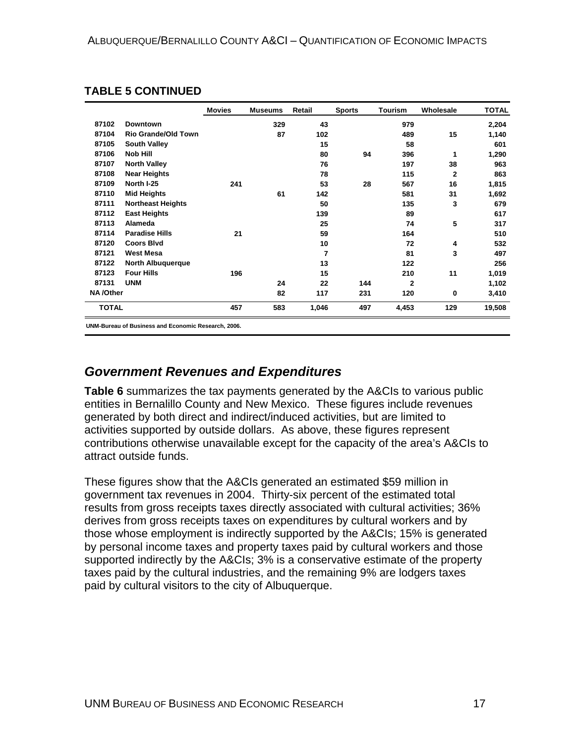|                 |                            | <b>Movies</b> | <b>Museums</b> | Retail | <b>Sports</b> | Tourism        | Wholesale    | <b>TOTAL</b> |
|-----------------|----------------------------|---------------|----------------|--------|---------------|----------------|--------------|--------------|
| 87102           | <b>Downtown</b>            |               | 329            | 43     |               | 979            |              | 2,204        |
| 87104           | <b>Rio Grande/Old Town</b> |               | 87             | 102    |               | 489            | 15           | 1,140        |
| 87105           | <b>South Valley</b>        |               |                | 15     |               | 58             |              | 601          |
| 87106           | <b>Nob Hill</b>            |               |                | 80     | 94            | 396            | 1            | 1,290        |
| 87107           | <b>North Valley</b>        |               |                | 76     |               | 197            | 38           | 963          |
| 87108           | <b>Near Heights</b>        |               |                | 78     |               | 115            | $\mathbf{2}$ | 863          |
| 87109           | North I-25                 | 241           |                | 53     | 28            | 567            | 16           | 1,815        |
| 87110           | <b>Mid Heights</b>         |               | 61             | 142    |               | 581            | 31           | 1,692        |
| 87111           | <b>Northeast Heights</b>   |               |                | 50     |               | 135            | 3            | 679          |
| 87112           | <b>East Heights</b>        |               |                | 139    |               | 89             |              | 617          |
| 87113           | Alameda                    |               |                | 25     |               | 74             | 5            | 317          |
| 87114           | <b>Paradise Hills</b>      | 21            |                | 59     |               | 164            |              | 510          |
| 87120           | <b>Coors Blvd</b>          |               |                | 10     |               | 72             | 4            | 532          |
| 87121           | <b>West Mesa</b>           |               |                | 7      |               | 81             | 3            | 497          |
| 87122           | <b>North Albuquerque</b>   |               |                | 13     |               | 122            |              | 256          |
| 87123           | <b>Four Hills</b>          | 196           |                | 15     |               | 210            | 11           | 1,019        |
| 87131           | <b>UNM</b>                 |               | 24             | 22     | 144           | $\overline{2}$ |              | 1,102        |
| <b>NA/Other</b> |                            |               | 82             | 117    | 231           | 120            | 0            | 3,410        |
| <b>TOTAL</b>    |                            | 457           | 583            | 1,046  | 497           | 4,453          | 129          | 19,508       |

#### <span id="page-26-0"></span>**TABLE 5 CONTINUED**

**UNM-Bureau of Business and Economic Research, 2006.**

## *Government Revenues and Expenditures*

**Table 6** summarizes the tax payments generated by the A&CIs to various public entities in Bernalillo County and New Mexico. These figures include revenues generated by both direct and indirect/induced activities, but are limited to activities supported by outside dollars. As above, these figures represent contributions otherwise unavailable except for the capacity of the area's A&CIs to attract outside funds.

These figures show that the A&CIs generated an estimated \$59 million in government tax revenues in 2004. Thirty-six percent of the estimated total results from gross receipts taxes directly associated with cultural activities; 36% derives from gross receipts taxes on expenditures by cultural workers and by those whose employment is indirectly supported by the A&CIs; 15% is generated by personal income taxes and property taxes paid by cultural workers and those supported indirectly by the A&CIs; 3% is a conservative estimate of the property taxes paid by the cultural industries, and the remaining 9% are lodgers taxes paid by cultural visitors to the city of Albuquerque.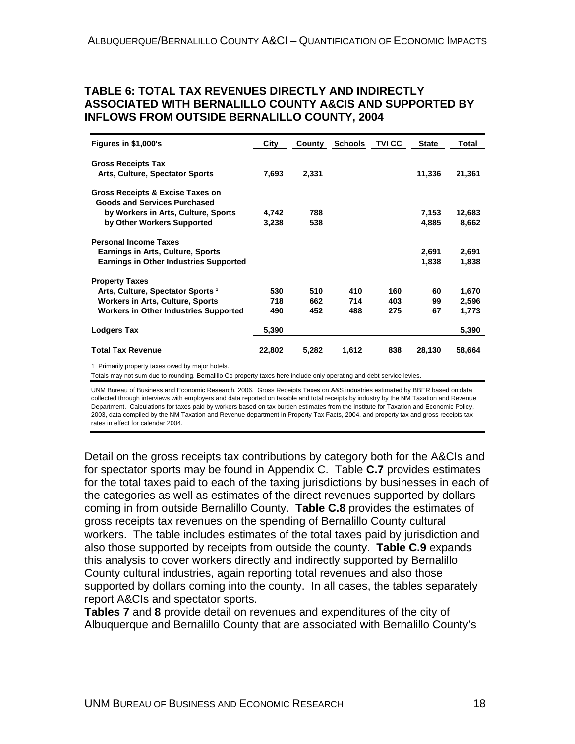#### <span id="page-27-0"></span>**TABLE 6: TOTAL TAX REVENUES DIRECTLY AND INDIRECTLY ASSOCIATED WITH BERNALILLO COUNTY A&CIS AND SUPPORTED BY INFLOWS FROM OUTSIDE BERNALILLO COUNTY, 2004**

| Figures in \$1,000's                                                    | City   | County | <b>Schools</b> | <b>TVICC</b> | <b>State</b> | Total  |
|-------------------------------------------------------------------------|--------|--------|----------------|--------------|--------------|--------|
| <b>Gross Receipts Tax</b>                                               |        |        |                |              |              |        |
| Arts, Culture, Spectator Sports                                         | 7,693  | 2,331  |                |              | 11,336       | 21,361 |
| Gross Receipts & Excise Taxes on<br><b>Goods and Services Purchased</b> |        |        |                |              |              |        |
| by Workers in Arts, Culture, Sports                                     | 4,742  | 788    |                |              | 7,153        | 12,683 |
| by Other Workers Supported                                              | 3,238  | 538    |                |              | 4,885        | 8,662  |
| <b>Personal Income Taxes</b>                                            |        |        |                |              |              |        |
| <b>Earnings in Arts, Culture, Sports</b>                                |        |        |                |              | 2,691        | 2,691  |
| <b>Earnings in Other Industries Supported</b>                           |        |        |                |              | 1,838        | 1,838  |
| <b>Property Taxes</b>                                                   |        |        |                |              |              |        |
| Arts, Culture, Spectator Sports <sup>1</sup>                            | 530    | 510    | 410            | 160          | 60           | 1,670  |
| <b>Workers in Arts, Culture, Sports</b>                                 | 718    | 662    | 714            | 403          | 99           | 2,596  |
| <b>Workers in Other Industries Supported</b>                            | 490    | 452    | 488            | 275          | 67           | 1,773  |
| <b>Lodgers Tax</b>                                                      | 5,390  |        |                |              |              | 5,390  |
| <b>Total Tax Revenue</b>                                                | 22,802 | 5,282  | 1,612          | 838          | 28,130       | 58,664 |
| 1 Primarily property taxes owed by major hotels.                        |        |        |                |              |              |        |

Totals may not sum due to rounding. Bernalillo Co property taxes here include only operating and debt service levies.

UNM Bureau of Business and Economic Research, 2006. Gross Receipts Taxes on A&S industries estimated by BBER based on data collected through interviews with employers and data reported on taxable and total receipts by industry by the NM Taxation and Revenue Department. Calculations for taxes paid by workers based on tax burden estimates from the Institute for Taxation and Economic Policy, 2003, data compiled by the NM Taxation and Revenue department in Property Tax Facts, 2004, and property tax and gross receipts tax rates in effect for calendar 2004.

Detail on the gross receipts tax contributions by category both for the A&CIs and for spectator sports may be found in Appendix C. Table **C.7** provides estimates for the total taxes paid to each of the taxing jurisdictions by businesses in each of the categories as well as estimates of the direct revenues supported by dollars coming in from outside Bernalillo County. **Table C.8** provides the estimates of gross receipts tax revenues on the spending of Bernalillo County cultural workers. The table includes estimates of the total taxes paid by jurisdiction and also those supported by receipts from outside the county. **Table C.9** expands this analysis to cover workers directly and indirectly supported by Bernalillo County cultural industries, again reporting total revenues and also those supported by dollars coming into the county. In all cases, the tables separately report A&CIs and spectator sports.

**Tables 7** and **8** provide detail on revenues and expenditures of the city of Albuquerque and Bernalillo County that are associated with Bernalillo County's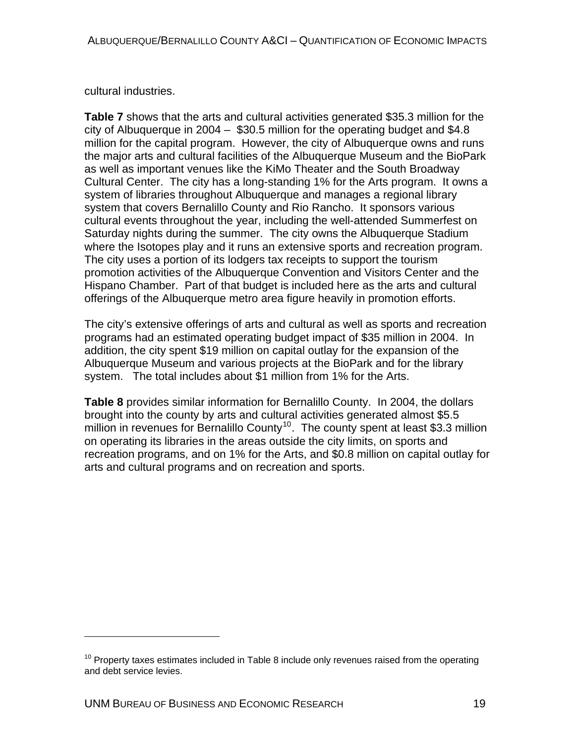cultural industries.

**Table 7** shows that the arts and cultural activities generated \$35.3 million for the city of Albuquerque in 2004 – \$30.5 million for the operating budget and \$4.8 million for the capital program. However, the city of Albuquerque owns and runs the major arts and cultural facilities of the Albuquerque Museum and the BioPark as well as important venues like the KiMo Theater and the South Broadway Cultural Center. The city has a long-standing 1% for the Arts program. It owns a system of libraries throughout Albuquerque and manages a regional library system that covers Bernalillo County and Rio Rancho. It sponsors various cultural events throughout the year, including the well-attended Summerfest on Saturday nights during the summer. The city owns the Albuquerque Stadium where the Isotopes play and it runs an extensive sports and recreation program. The city uses a portion of its lodgers tax receipts to support the tourism promotion activities of the Albuquerque Convention and Visitors Center and the Hispano Chamber. Part of that budget is included here as the arts and cultural offerings of the Albuquerque metro area figure heavily in promotion efforts.

The city's extensive offerings of arts and cultural as well as sports and recreation programs had an estimated operating budget impact of \$35 million in 2004. In addition, the city spent \$19 million on capital outlay for the expansion of the Albuquerque Museum and various projects at the BioPark and for the library system. The total includes about \$1 million from 1% for the Arts.

**Table 8** provides similar information for Bernalillo County. In 2004, the dollars brought into the county by arts and cultural activities generated almost \$5.5 million in revenues for Bernalillo County<sup>[10](#page-28-0)</sup>. The county spent at least \$3.3 million on operating its libraries in the areas outside the city limits, on sports and recreation programs, and on 1% for the Arts, and \$0.8 million on capital outlay for arts and cultural programs and on recreation and sports.

 $\overline{a}$ 

<span id="page-28-0"></span> $10$  Property taxes estimates included in Table 8 include only revenues raised from the operating and debt service levies.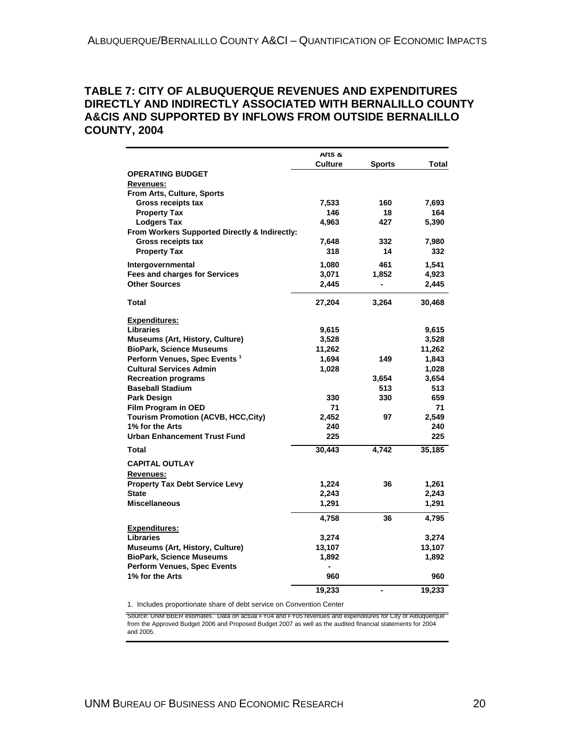#### <span id="page-29-0"></span>**TABLE 7: CITY OF ALBUQUERQUE REVENUES AND EXPENDITURES DIRECTLY AND INDIRECTLY ASSOCIATED WITH BERNALILLO COUNTY A&CIS AND SUPPORTED BY INFLOWS FROM OUTSIDE BERNALILLO COUNTY, 2004**

|                                               | Arts &         |                          |        |
|-----------------------------------------------|----------------|--------------------------|--------|
| <b>OPERATING BUDGET</b>                       | <b>Culture</b> | <b>Sports</b>            | Total  |
| Revenues:                                     |                |                          |        |
| From Arts, Culture, Sports                    |                |                          |        |
| Gross receipts tax                            | 7,533          | 160                      | 7,693  |
| <b>Property Tax</b>                           | 146            | 18                       | 164    |
| <b>Lodgers Tax</b>                            | 4,963          | 427                      | 5,390  |
| From Workers Supported Directly & Indirectly: |                |                          |        |
| Gross receipts tax                            | 7,648          | 332                      | 7,980  |
| <b>Property Tax</b>                           | 318            | 14                       | 332    |
| Intergovernmental                             | 1,080          | 461                      | 1,541  |
| <b>Fees and charges for Services</b>          | 3,071          | 1,852                    | 4,923  |
| <b>Other Sources</b>                          | 2,445          | $\overline{\phantom{0}}$ | 2,445  |
| Total                                         | 27,204         | 3,264                    | 30,468 |
| <b>Expenditures:</b>                          |                |                          |        |
| <b>Libraries</b>                              | 9,615          |                          | 9,615  |
| Museums (Art, History, Culture)               | 3,528          |                          | 3,528  |
| <b>BioPark, Science Museums</b>               | 11,262         |                          | 11,262 |
| Perform Venues, Spec Events <sup>1</sup>      | 1.694          | 149                      | 1,843  |
| <b>Cultural Services Admin</b>                | 1,028          |                          | 1,028  |
| <b>Recreation programs</b>                    |                | 3,654                    | 3,654  |
| <b>Baseball Stadium</b>                       |                | 513                      | 513    |
| Park Design                                   | 330            | 330                      | 659    |
| Film Program in OED                           | 71             |                          | 71     |
| <b>Tourism Promotion (ACVB, HCC, City)</b>    | 2,452          | 97                       | 2,549  |
| 1% for the Arts                               | 240            |                          | 240    |
| <b>Urban Enhancement Trust Fund</b>           | 225            |                          | 225    |
| Total                                         | 30,443         | 4,742                    | 35,185 |
| <b>CAPITAL OUTLAY</b>                         |                |                          |        |
| Revenues:                                     |                |                          |        |
| <b>Property Tax Debt Service Levy</b>         | 1,224          | 36                       | 1,261  |
| <b>State</b>                                  | 2,243          |                          | 2,243  |
| <b>Miscellaneous</b>                          | 1,291          |                          | 1,291  |
|                                               | 4,758          | 36                       | 4,795  |
| <b>Expenditures:</b>                          |                |                          |        |
| Libraries                                     | 3,274          |                          | 3,274  |
| <b>Museums (Art, History, Culture)</b>        | 13,107         |                          | 13,107 |
| <b>BioPark, Science Museums</b>               | 1,892          |                          | 1,892  |
| <b>Perform Venues, Spec Events</b>            | ٠              |                          |        |
| 1% for the Arts                               | 960            |                          | 960    |
|                                               | 19,233         |                          | 19,233 |

1. Includes proportionate share of debt service on Convention Center

Source: UNM BBER estimates. Data on actual FY04 and FY05 revenues and expenditures for City of Albuquerque from the Approved Budget 2006 and Proposed Budget 2007 as well as the audited financial statements for 2004 and 2005.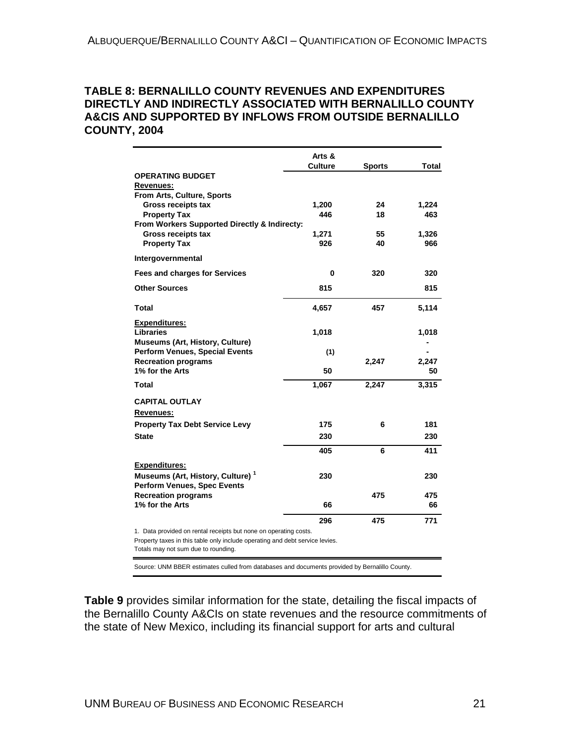#### <span id="page-30-0"></span>**TABLE 8: BERNALILLO COUNTY REVENUES AND EXPENDITURES DIRECTLY AND INDIRECTLY ASSOCIATED WITH BERNALILLO COUNTY A&CIS AND SUPPORTED BY INFLOWS FROM OUTSIDE BERNALILLO COUNTY, 2004**

|                                                                                    | Arts &         |               |              |
|------------------------------------------------------------------------------------|----------------|---------------|--------------|
|                                                                                    | <b>Culture</b> | <b>Sports</b> | <b>Total</b> |
| <b>OPERATING BUDGET</b>                                                            |                |               |              |
| Revenues:                                                                          |                |               |              |
| From Arts, Culture, Sports                                                         |                |               |              |
| <b>Gross receipts tax</b><br><b>Property Tax</b>                                   | 1,200<br>446   | 24<br>18      | 1,224<br>463 |
| From Workers Supported Directly & Indirecty:                                       |                |               |              |
| <b>Gross receipts tax</b>                                                          | 1,271          | 55            | 1,326        |
| <b>Property Tax</b>                                                                | 926            | 40            | 966          |
|                                                                                    |                |               |              |
| Intergovernmental                                                                  |                |               |              |
| <b>Fees and charges for Services</b>                                               | 0              | 320           | 320          |
| <b>Other Sources</b>                                                               | 815            |               | 815          |
| Total                                                                              | 4,657          | 457           | 5,114        |
| Expenditures:                                                                      |                |               |              |
| <b>Libraries</b>                                                                   | 1,018          |               | 1,018        |
| <b>Museums (Art, History, Culture)</b>                                             |                |               |              |
| <b>Perform Venues, Special Events</b>                                              | (1)            |               |              |
| <b>Recreation programs</b>                                                         |                | 2,247         | 2,247        |
| 1% for the Arts                                                                    | 50             |               | 50           |
| <b>Total</b>                                                                       | 1,067          | 2,247         | 3,315        |
| <b>CAPITAL OUTLAY</b>                                                              |                |               |              |
| <u>Revenues:</u>                                                                   |                |               |              |
|                                                                                    | 175            | 6             | 181          |
| <b>Property Tax Debt Service Levy</b>                                              |                |               |              |
| <b>State</b>                                                                       | 230            |               | 230          |
|                                                                                    | 405            | 6             | 411          |
| <b>Expenditures:</b>                                                               |                |               |              |
| Museums (Art, History, Culture) <sup>1</sup><br><b>Perform Venues, Spec Events</b> | 230            |               | 230          |
| <b>Recreation programs</b>                                                         |                | 475           | 475          |
| 1% for the Arts                                                                    | 66             |               | 66           |
|                                                                                    | 296            | 475           | 771          |

1. Data provided on rental receipts but none on operating costs.

Property taxes in this table only include operating and debt service levies.

Totals may not sum due to rounding.

Source: UNM BBER estimates culled from databases and documents provided by Bernalillo County.

**Table 9** provides similar information for the state, detailing the fiscal impacts of the Bernalillo County A&CIs on state revenues and the resource commitments of the state of New Mexico, including its financial support for arts and cultural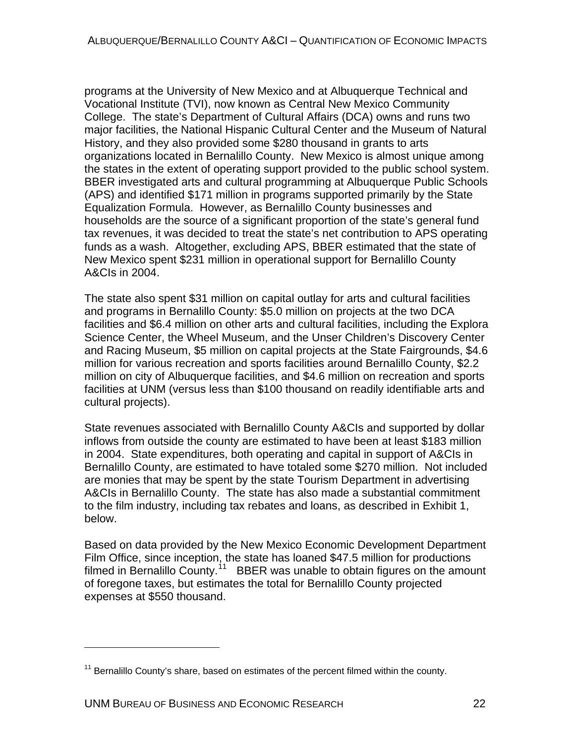programs at the University of New Mexico and at Albuquerque Technical and Vocational Institute (TVI), now known as Central New Mexico Community College. The state's Department of Cultural Affairs (DCA) owns and runs two major facilities, the National Hispanic Cultural Center and the Museum of Natural History, and they also provided some \$280 thousand in grants to arts organizations located in Bernalillo County. New Mexico is almost unique among the states in the extent of operating support provided to the public school system. BBER investigated arts and cultural programming at Albuquerque Public Schools (APS) and identified \$171 million in programs supported primarily by the State Equalization Formula. However, as Bernalillo County businesses and households are the source of a significant proportion of the state's general fund tax revenues, it was decided to treat the state's net contribution to APS operating funds as a wash. Altogether, excluding APS, BBER estimated that the state of New Mexico spent \$231 million in operational support for Bernalillo County A&CIs in 2004.

The state also spent \$31 million on capital outlay for arts and cultural facilities and programs in Bernalillo County: \$5.0 million on projects at the two DCA facilities and \$6.4 million on other arts and cultural facilities, including the Explora Science Center, the Wheel Museum, and the Unser Children's Discovery Center and Racing Museum, \$5 million on capital projects at the State Fairgrounds, \$4.6 million for various recreation and sports facilities around Bernalillo County, \$2.2 million on city of Albuquerque facilities, and \$4.6 million on recreation and sports facilities at UNM (versus less than \$100 thousand on readily identifiable arts and cultural projects).

State revenues associated with Bernalillo County A&CIs and supported by dollar inflows from outside the county are estimated to have been at least \$183 million in 2004. State expenditures, both operating and capital in support of A&CIs in Bernalillo County, are estimated to have totaled some \$270 million. Not included are monies that may be spent by the state Tourism Department in advertising A&CIs in Bernalillo County. The state has also made a substantial commitment to the film industry, including tax rebates and loans, as described in Exhibit 1, below.

Based on data provided by the New Mexico Economic Development Department Film Office, since inception, the state has loaned \$47.5 million for productions filmed in Bernalillo County.<sup>[11](#page-31-0)</sup> BBER was unable to obtain figures on the amount of foregone taxes, but estimates the total for Bernalillo County projected expenses at \$550 thousand.

 $\overline{a}$ 

<span id="page-31-0"></span> $11$  Bernalillo County's share, based on estimates of the percent filmed within the county.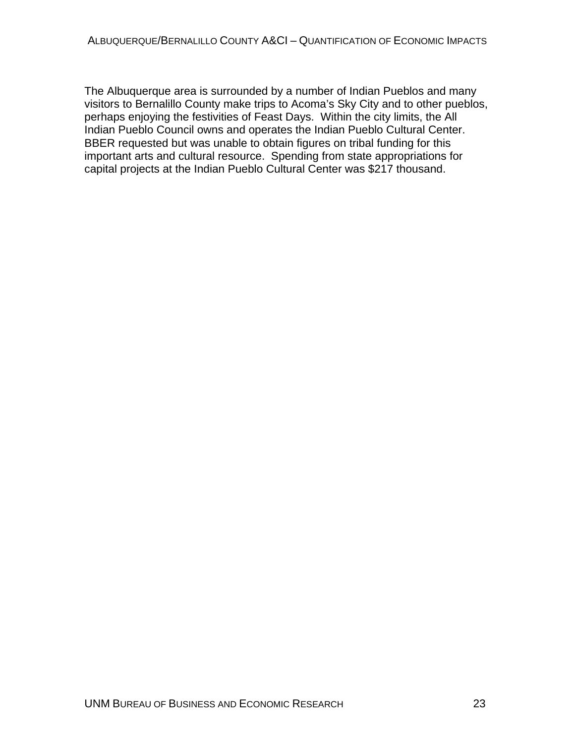The Albuquerque area is surrounded by a number of Indian Pueblos and many visitors to Bernalillo County make trips to Acoma's Sky City and to other pueblos, perhaps enjoying the festivities of Feast Days. Within the city limits, the All Indian Pueblo Council owns and operates the Indian Pueblo Cultural Center. BBER requested but was unable to obtain figures on tribal funding for this important arts and cultural resource. Spending from state appropriations for capital projects at the Indian Pueblo Cultural Center was \$217 thousand.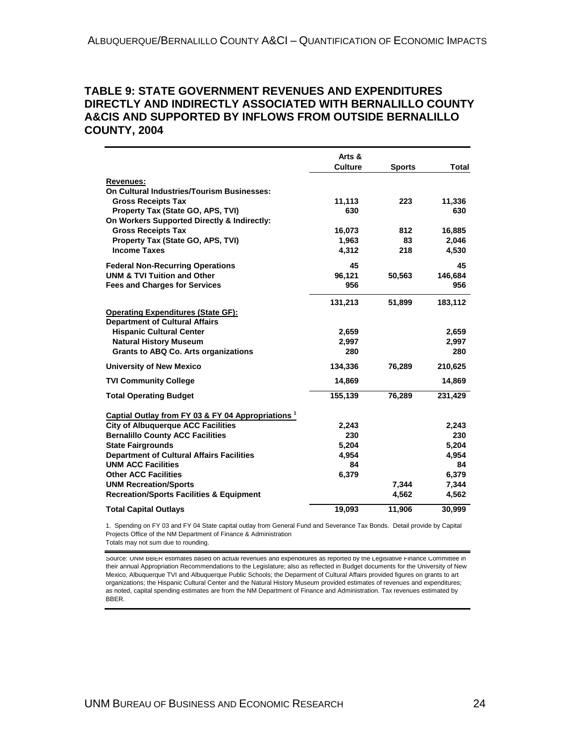#### <span id="page-33-0"></span>**TABLE 9: STATE GOVERNMENT REVENUES AND EXPENDITURES DIRECTLY AND INDIRECTLY ASSOCIATED WITH BERNALILLO COUNTY A&CIS AND SUPPORTED BY INFLOWS FROM OUTSIDE BERNALILLO COUNTY, 2004**

|                                                               | Arts &<br><b>Culture</b> | <b>Sports</b> | Total   |
|---------------------------------------------------------------|--------------------------|---------------|---------|
| <b>Revenues:</b>                                              |                          |               |         |
| On Cultural Industries/Tourism Businesses:                    |                          |               |         |
| <b>Gross Receipts Tax</b>                                     | 11,113                   | 223           | 11,336  |
| Property Tax (State GO, APS, TVI)                             | 630                      |               | 630     |
| On Workers Supported Directly & Indirectly:                   |                          |               |         |
| <b>Gross Receipts Tax</b>                                     | 16,073                   | 812           | 16,885  |
| Property Tax (State GO, APS, TVI)                             | 1,963                    | 83            | 2,046   |
| <b>Income Taxes</b>                                           | 4,312                    | 218           | 4,530   |
| <b>Federal Non-Recurring Operations</b>                       | 45                       |               | 45      |
| <b>UNM &amp; TVI Tuition and Other</b>                        | 96,121                   | 50,563        | 146,684 |
| <b>Fees and Charges for Services</b>                          | 956                      |               | 956     |
|                                                               | 131,213                  | 51,899        | 183,112 |
| <b>Operating Expenditures (State GF):</b>                     |                          |               |         |
| <b>Department of Cultural Affairs</b>                         |                          |               |         |
| <b>Hispanic Cultural Center</b>                               | 2,659                    |               | 2,659   |
| <b>Natural History Museum</b>                                 | 2,997                    |               | 2,997   |
| <b>Grants to ABQ Co. Arts organizations</b>                   | 280                      |               | 280     |
| <b>University of New Mexico</b>                               | 134,336                  | 76,289        | 210,625 |
| <b>TVI Community College</b>                                  | 14,869                   |               | 14,869  |
| <b>Total Operating Budget</b>                                 | 155,139                  | 76,289        | 231,429 |
| Captial Outlay from FY 03 & FY 04 Appropriations <sup>1</sup> |                          |               |         |
| <b>City of Albuquerque ACC Facilities</b>                     | 2,243                    |               | 2,243   |
| <b>Bernalillo County ACC Facilities</b>                       | 230                      |               | 230     |
| <b>State Fairgrounds</b>                                      | 5,204                    |               | 5,204   |
| <b>Department of Cultural Affairs Facilities</b>              | 4,954                    |               | 4,954   |
| <b>UNM ACC Facilities</b>                                     | 84                       |               | 84      |
| <b>Other ACC Facilities</b>                                   | 6,379                    |               | 6,379   |
| <b>UNM Recreation/Sports</b>                                  |                          | 7,344         | 7,344   |
| <b>Recreation/Sports Facilities &amp; Equipment</b>           |                          | 4,562         | 4,562   |
| <b>Total Capital Outlays</b>                                  | 19,093                   | 11,906        | 30,999  |

1. Spending on FY 03 and FY 04 State capital outlay from General Fund and Severance Tax Bonds. Detail provide by Capital Projects Office of the NM Department of Finance & Administration

Totals may not sum due to rounding.

Source: UNM BBER estimates based on actual revenues and expenditures as reported by the Legislative Finance Committee in their annual Appropriation Recommendations to the Legislature; also as reflected in Budget documents for the University of New Mexico, Albuquerque TVI and Albuquerque Public Schools; the Deparment of Cultural Affairs provided figures on grants to art organizations; the Hispanic Cultural Center and the Natural History Museum provided estimates of revenues and expenditures; as noted, capital spending estimates are from the NM Department of Finance and Administration. Tax revenues estimated by BBER.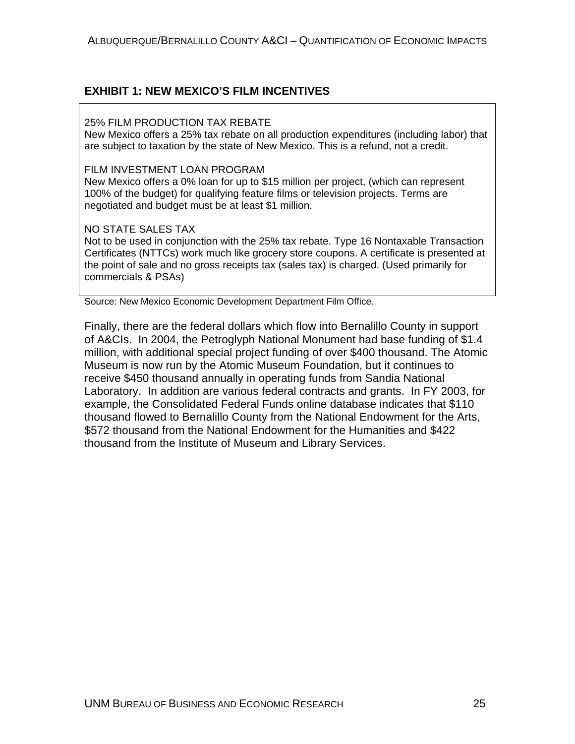#### <span id="page-34-0"></span>**EXHIBIT 1: NEW MEXICO'S FILM INCENTIVES**

#### 25% FILM PRODUCTION TAX REBATE

New Mexico offers a 25% tax rebate on all production expenditures (including labor) that are subject to taxation by the state of New Mexico. This is a refund, not a credit.

#### FILM INVESTMENT LOAN PROGRAM

New Mexico offers a 0% loan for up to \$15 million per project, (which can represent 100% of the budget) for qualifying feature films or television projects. Terms are negotiated and budget must be at least \$1 million.

#### NO STATE SALES TAX

Not to be used in conjunction with the 25% tax rebate. Type 16 Nontaxable Transaction Certificates (NTTCs) work much like grocery store coupons. A certificate is presented at the point of sale and no gross receipts tax (sales tax) is charged. (Used primarily for commercials & PSAs)

Source: New Mexico Economic Development Department Film Office.

Finally, there are the federal dollars which flow into Bernalillo County in support of A&CIs. In 2004, the Petroglyph National Monument had base funding of \$1.4 million, with additional special project funding of over \$400 thousand. The Atomic Museum is now run by the Atomic Museum Foundation, but it continues to receive \$450 thousand annually in operating funds from Sandia National Laboratory. In addition are various federal contracts and grants. In FY 2003, for example, the Consolidated Federal Funds online database indicates that \$110 thousand flowed to Bernalillo County from the National Endowment for the Arts, \$572 thousand from the National Endowment for the Humanities and \$422 thousand from the Institute of Museum and Library Services.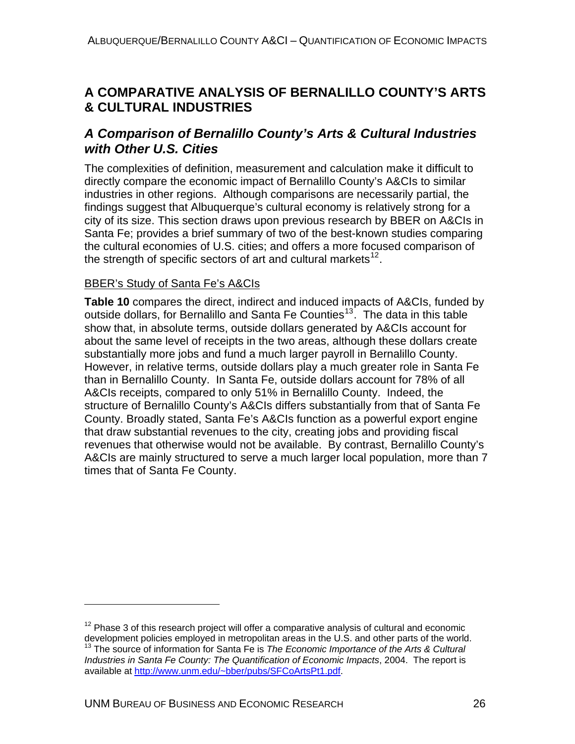## <span id="page-35-0"></span>**A COMPARATIVE ANALYSIS OF BERNALILLO COUNTY'S ARTS & CULTURAL INDUSTRIES**

## *A Comparison of Bernalillo County's Arts & Cultural Industries with Other U.S. Cities*

The complexities of definition, measurement and calculation make it difficult to directly compare the economic impact of Bernalillo County's A&CIs to similar industries in other regions. Although comparisons are necessarily partial, the findings suggest that Albuquerque's cultural economy is relatively strong for a city of its size. This section draws upon previous research by BBER on A&CIs in Santa Fe; provides a brief summary of two of the best-known studies comparing the cultural economies of U.S. cities; and offers a more focused comparison of the strength of specific sectors of art and cultural markets<sup>[12](#page-35-1)</sup>.

#### BBER's Study of Santa Fe's A&CIs

**Table 10** compares the direct, indirect and induced impacts of A&CIs, funded by outside dollars, for Bernalillo and Santa Fe Counties<sup>[13](#page-35-2)</sup>. The data in this table show that, in absolute terms, outside dollars generated by A&CIs account for about the same level of receipts in the two areas, although these dollars create substantially more jobs and fund a much larger payroll in Bernalillo County. However, in relative terms, outside dollars play a much greater role in Santa Fe than in Bernalillo County. In Santa Fe, outside dollars account for 78% of all A&CIs receipts, compared to only 51% in Bernalillo County. Indeed, the structure of Bernalillo County's A&CIs differs substantially from that of Santa Fe County. Broadly stated, Santa Fe's A&CIs function as a powerful export engine that draw substantial revenues to the city, creating jobs and providing fiscal revenues that otherwise would not be available. By contrast, Bernalillo County's A&CIs are mainly structured to serve a much larger local population, more than 7 times that of Santa Fe County.

 $\overline{a}$ 

<span id="page-35-2"></span><span id="page-35-1"></span> $12$  Phase 3 of this research project will offer a comparative analysis of cultural and economic<br>development policies employed in metropolitan areas in the U.S. and other parts of the world. <sup>13</sup> The source of information for Santa Fe is *The Economic Importance of the Arts & Cultural Industries in Santa Fe County: The Quantification of Economic Impacts*, 2004. The report is available at [http://www.unm.edu/~bber/pubs/SFCoArtsPt1.pdf.](http://www.unm.edu/%7Ebber/pubs/SFCoArtsPt1.pdf)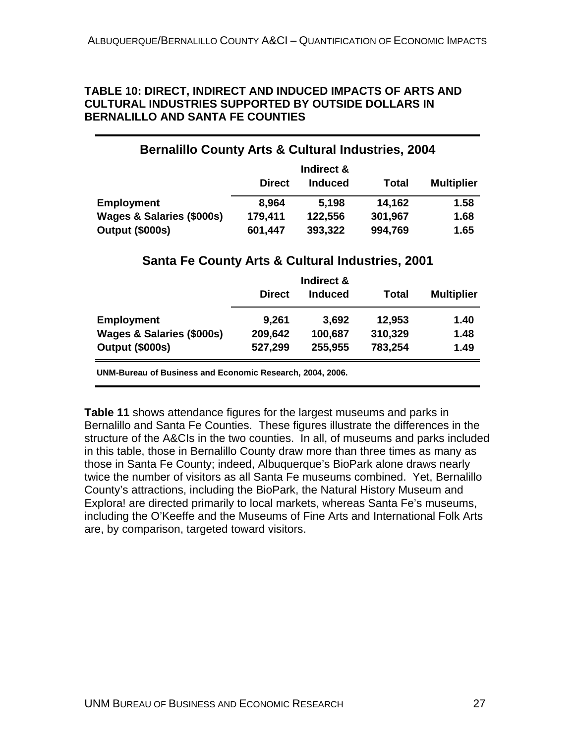#### **TABLE 10: DIRECT, INDIRECT AND INDUCED IMPACTS OF ARTS AND CULTURAL INDUSTRIES SUPPORTED BY OUTSIDE DOLLARS IN BERNALILLO AND SANTA FE COUNTIES**

## **Bernalillo County Arts & Cultural Industries, 2004**

|                           | Indirect &    |                |         |                   |
|---------------------------|---------------|----------------|---------|-------------------|
|                           | <b>Direct</b> | <b>Induced</b> | Total   | <b>Multiplier</b> |
| <b>Employment</b>         | 8,964         | 5.198          | 14,162  | 1.58              |
| Wages & Salaries (\$000s) | 179,411       | 122,556        | 301,967 | 1.68              |
| Output (\$000s)           | 601,447       | 393,322        | 994,769 | 1.65              |

### **Santa Fe County Arts & Cultural Industries, 2001**

|                           |               | Indirect &     |         |                   |
|---------------------------|---------------|----------------|---------|-------------------|
|                           | <b>Direct</b> | <b>Induced</b> | Total   | <b>Multiplier</b> |
| <b>Employment</b>         | 9,261         | 3,692          | 12,953  | 1.40              |
| Wages & Salaries (\$000s) | 209,642       | 100,687        | 310,329 | 1.48              |
| Output (\$000s)           | 527,299       | 255,955        | 783,254 | 1.49              |

**UNM-Bureau of Business and Economic Research, 2004, 2006.**

**Table 11** shows attendance figures for the largest museums and parks in Bernalillo and Santa Fe Counties. These figures illustrate the differences in the structure of the A&CIs in the two counties. In all, of museums and parks included in this table, those in Bernalillo County draw more than three times as many as those in Santa Fe County; indeed, Albuquerque's BioPark alone draws nearly twice the number of visitors as all Santa Fe museums combined. Yet, Bernalillo County's attractions, including the BioPark, the Natural History Museum and Explora! are directed primarily to local markets, whereas Santa Fe's museums, including the O'Keeffe and the Museums of Fine Arts and International Folk Arts are, by comparison, targeted toward visitors.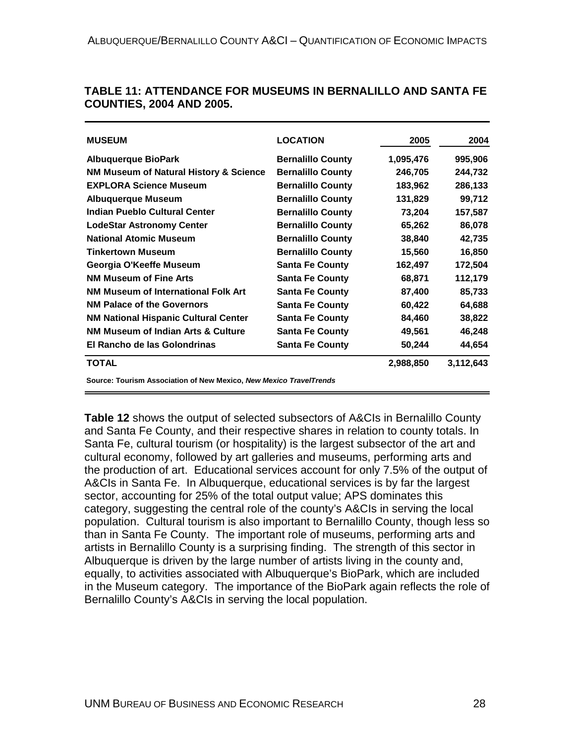| <b>MUSEUM</b>                                                      | <b>LOCATION</b>          | 2005      | 2004      |
|--------------------------------------------------------------------|--------------------------|-----------|-----------|
| Albuquerque BioPark                                                | <b>Bernalillo County</b> | 1,095,476 | 995,906   |
| NM Museum of Natural History & Science                             | <b>Bernalillo County</b> | 246,705   | 244,732   |
| <b>EXPLORA Science Museum</b>                                      | <b>Bernalillo County</b> | 183,962   | 286,133   |
| <b>Albuquerque Museum</b>                                          | <b>Bernalillo County</b> | 131,829   | 99,712    |
| Indian Pueblo Cultural Center                                      | <b>Bernalillo County</b> | 73,204    | 157,587   |
| <b>LodeStar Astronomy Center</b>                                   | <b>Bernalillo County</b> | 65,262    | 86,078    |
| <b>National Atomic Museum</b>                                      | <b>Bernalillo County</b> | 38,840    | 42,735    |
| <b>Tinkertown Museum</b>                                           | <b>Bernalillo County</b> | 15,560    | 16,850    |
| Georgia O'Keeffe Museum                                            | <b>Santa Fe County</b>   | 162,497   | 172,504   |
| <b>NM Museum of Fine Arts</b>                                      | <b>Santa Fe County</b>   | 68,871    | 112,179   |
| <b>NM Museum of International Folk Art</b>                         | <b>Santa Fe County</b>   | 87,400    | 85,733    |
| <b>NM Palace of the Governors</b>                                  | <b>Santa Fe County</b>   | 60,422    | 64,688    |
| <b>NM National Hispanic Cultural Center</b>                        | <b>Santa Fe County</b>   | 84,460    | 38,822    |
| <b>NM Museum of Indian Arts &amp; Culture</b>                      | <b>Santa Fe County</b>   | 49,561    | 46,248    |
| El Rancho de las Golondrinas                                       | <b>Santa Fe County</b>   | 50,244    | 44,654    |
| <b>TOTAL</b>                                                       |                          | 2,988,850 | 3,112,643 |
| Source: Tourism Association of New Mexico, New Mexico TravelTrends |                          |           |           |

#### **TABLE 11: ATTENDANCE FOR MUSEUMS IN BERNALILLO AND SANTA FE COUNTIES, 2004 AND 2005.**

**Table 12** shows the output of selected subsectors of A&CIs in Bernalillo County and Santa Fe County, and their respective shares in relation to county totals. In Santa Fe, cultural tourism (or hospitality) is the largest subsector of the art and cultural economy, followed by art galleries and museums, performing arts and the production of art. Educational services account for only 7.5% of the output of A&CIs in Santa Fe. In Albuquerque, educational services is by far the largest sector, accounting for 25% of the total output value; APS dominates this category, suggesting the central role of the county's A&CIs in serving the local population. Cultural tourism is also important to Bernalillo County, though less so than in Santa Fe County. The important role of museums, performing arts and artists in Bernalillo County is a surprising finding. The strength of this sector in Albuquerque is driven by the large number of artists living in the county and, equally, to activities associated with Albuquerque's BioPark, which are included in the Museum category. The importance of the BioPark again reflects the role of Bernalillo County's A&CIs in serving the local population.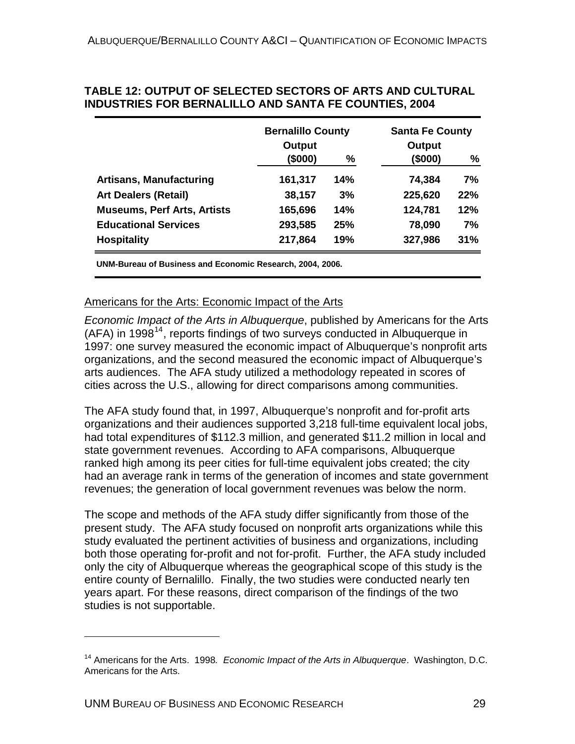|                                    | <b>Bernalillo County</b> |     | <b>Santa Fe County</b> |     |  |
|------------------------------------|--------------------------|-----|------------------------|-----|--|
|                                    | Output                   |     | Output                 |     |  |
|                                    | (\$000)                  | %   | (\$000)                | %   |  |
| <b>Artisans, Manufacturing</b>     | 161,317                  | 14% | 74,384                 | 7%  |  |
| <b>Art Dealers (Retail)</b>        | 38,157                   | 3%  | 225,620                | 22% |  |
| <b>Museums, Perf Arts, Artists</b> | 165,696                  | 14% | 124,781                | 12% |  |
| <b>Educational Services</b>        | 293,585                  | 25% | 78,090                 | 7%  |  |
| <b>Hospitality</b>                 | 217,864                  | 19% | 327,986                | 31% |  |

#### **TABLE 12: OUTPUT OF SELECTED SECTORS OF ARTS AND CULTURAL INDUSTRIES FOR BERNALILLO AND SANTA FE COUNTIES, 2004**

**UNM-Bureau of Business and Economic Research, 2004, 2006.**

#### Americans for the Arts: Economic Impact of the Arts

*Economic Impact of the Arts in Albuquerque*, published by Americans for the Arts (AFA) in 1998<sup>[14](#page-38-0)</sup>, reports findings of two surveys conducted in Albuquerque in 1997: one survey measured the economic impact of Albuquerque's nonprofit arts organizations, and the second measured the economic impact of Albuquerque's arts audiences. The AFA study utilized a methodology repeated in scores of cities across the U.S., allowing for direct comparisons among communities.

The AFA study found that, in 1997, Albuquerque's nonprofit and for-profit arts organizations and their audiences supported 3,218 full-time equivalent local jobs, had total expenditures of \$112.3 million, and generated \$11.2 million in local and state government revenues. According to AFA comparisons, Albuquerque ranked high among its peer cities for full-time equivalent jobs created; the city had an average rank in terms of the generation of incomes and state government revenues; the generation of local government revenues was below the norm.

The scope and methods of the AFA study differ significantly from those of the present study. The AFA study focused on nonprofit arts organizations while this study evaluated the pertinent activities of business and organizations, including both those operating for-profit and not for-profit. Further, the AFA study included only the city of Albuquerque whereas the geographical scope of this study is the entire county of Bernalillo. Finally, the two studies were conducted nearly ten years apart. For these reasons, direct comparison of the findings of the two studies is not supportable.

 $\overline{a}$ 

<span id="page-38-0"></span><sup>14</sup> Americans for the Arts. 1998*. Economic Impact of the Arts in Albuquerque*. Washington, D.C. Americans for the Arts.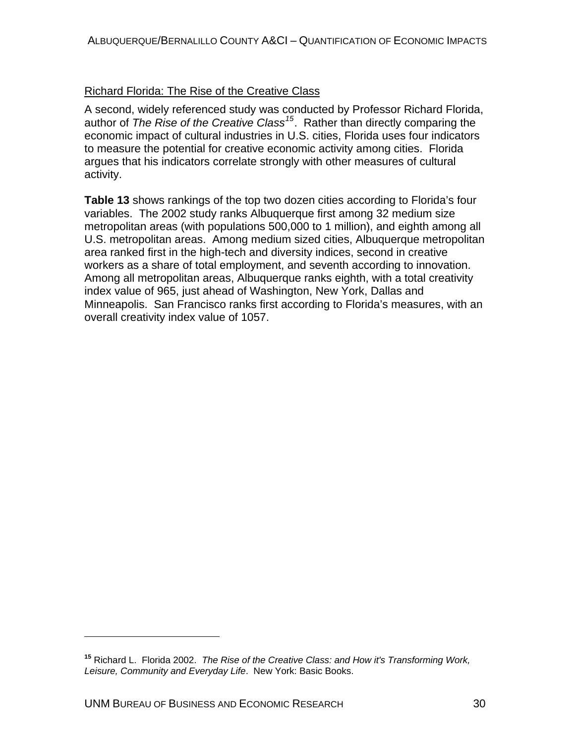#### Richard Florida: The Rise of the Creative Class

A second, widely referenced study was conducted by Professor Richard Florida, author of *The Rise of the Creative Class[15](#page-39-0)*. Rather than directly comparing the economic impact of cultural industries in U.S. cities, Florida uses four indicators to measure the potential for creative economic activity among cities. Florida argues that his indicators correlate strongly with other measures of cultural activity.

**Table 13** shows rankings of the top two dozen cities according to Florida's four variables. The 2002 study ranks Albuquerque first among 32 medium size metropolitan areas (with populations 500,000 to 1 million), and eighth among all U.S. metropolitan areas. Among medium sized cities, Albuquerque metropolitan area ranked first in the high-tech and diversity indices, second in creative workers as a share of total employment, and seventh according to innovation. Among all metropolitan areas, Albuquerque ranks eighth, with a total creativity index value of 965, just ahead of Washington, New York, Dallas and Minneapolis. San Francisco ranks first according to Florida's measures, with an overall creativity index value of 1057.

 $\overline{a}$ 

<span id="page-39-0"></span>**<sup>15</sup>** Richard L. Florida 2002. *The Rise of the Creative Class: and How it's Transforming Work, Leisure, Community and Everyday Life*. New York: Basic Books.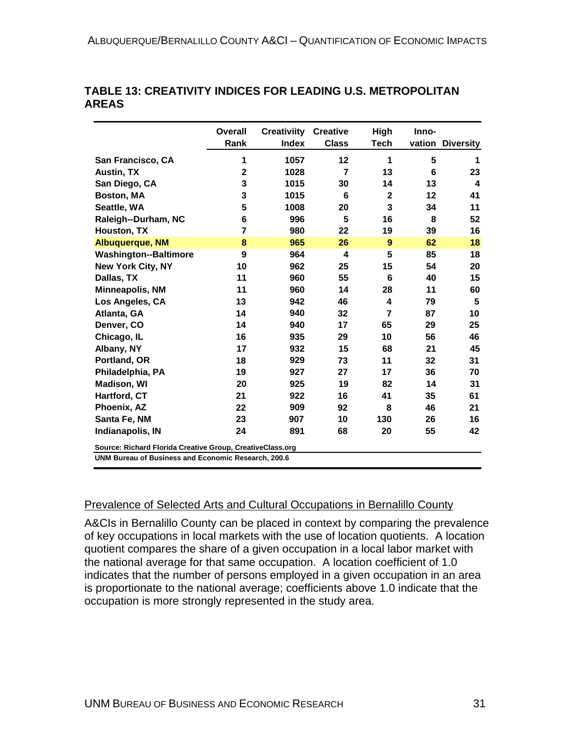|                                                     | <b>Overall</b><br>Rank                                    | <b>Creativiity</b><br><b>Index</b> | <b>Creative</b><br><b>Class</b> | High<br>Tech | Inno-<br>vation | <b>Diversity</b>        |
|-----------------------------------------------------|-----------------------------------------------------------|------------------------------------|---------------------------------|--------------|-----------------|-------------------------|
| San Francisco, CA                                   | 1                                                         | 1057                               | 12                              | 1            | 5               | 1                       |
| <b>Austin, TX</b>                                   | $\mathbf{2}$                                              | 1028                               | $\overline{7}$                  | 13           | 6               | 23                      |
| San Diego, CA                                       | 3                                                         | 1015                               | 30                              | 14           | 13              | $\overline{\mathbf{4}}$ |
| Boston, MA                                          | 3                                                         | 1015                               | 6                               | $\mathbf 2$  | 12              | 41                      |
| Seattle, WA                                         | 5                                                         | 1008                               | 20                              | 3            | 34              | 11                      |
| Raleigh--Durham, NC                                 | 6                                                         | 996                                | 5                               | 16           | 8               | 52                      |
| Houston, TX                                         | 7                                                         | 980                                | 22                              | 19           | 39              | 16                      |
| <b>Albuquerque, NM</b>                              | 8                                                         | 965                                | 26                              | 9            | 62              | 18                      |
| <b>Washington--Baltimore</b>                        | 9                                                         | 964                                | 4                               | 5            | 85              | 18                      |
| <b>New York City, NY</b>                            | 10                                                        | 962                                | 25                              | 15           | 54              | 20                      |
| Dallas, TX                                          | 11                                                        | 960                                | 55                              | 6            | 40              | 15                      |
| <b>Minneapolis, NM</b>                              | 11                                                        | 960                                | 14                              | 28           | 11              | 60                      |
| Los Angeles, CA                                     | 13                                                        | 942                                | 46                              | 4            | 79              | 5                       |
| Atlanta, GA                                         | 14                                                        | 940                                | 32                              | 7            | 87              | 10                      |
| Denver, CO                                          | 14                                                        | 940                                | 17                              | 65           | 29              | 25                      |
| Chicago, IL                                         | 16                                                        | 935                                | 29                              | 10           | 56              | 46                      |
| Albany, NY                                          | 17                                                        | 932                                | 15                              | 68           | 21              | 45                      |
| Portland, OR                                        | 18                                                        | 929                                | 73                              | 11           | 32              | 31                      |
| Philadelphia, PA                                    | 19                                                        | 927                                | 27                              | 17           | 36              | 70                      |
| <b>Madison, WI</b>                                  | 20                                                        | 925                                | 19                              | 82           | 14              | 31                      |
| Hartford, CT                                        | 21                                                        | 922                                | 16                              | 41           | 35              | 61                      |
| Phoenix, AZ                                         | 22                                                        | 909                                | 92                              | 8            | 46              | 21                      |
| Santa Fe, NM                                        | 23                                                        | 907                                | 10                              | 130          | 26              | 16                      |
| Indianapolis, IN                                    | 24                                                        | 891                                | 68                              | 20           | 55              | 42                      |
|                                                     | Source: Richard Florida Creative Group, CreativeClass.org |                                    |                                 |              |                 |                         |
| UNM Bureau of Business and Economic Research, 200.6 |                                                           |                                    |                                 |              |                 |                         |

#### **TABLE 13: CREATIVITY INDICES FOR LEADING U.S. METROPOLITAN AREAS**

### Prevalence of Selected Arts and Cultural Occupations in Bernalillo County

A&CIs in Bernalillo County can be placed in context by comparing the prevalence of key occupations in local markets with the use of location quotients. A location quotient compares the share of a given occupation in a local labor market with the national average for that same occupation. A location coefficient of 1.0 indicates that the number of persons employed in a given occupation in an area is proportionate to the national average; coefficients above 1.0 indicate that the occupation is more strongly represented in the study area.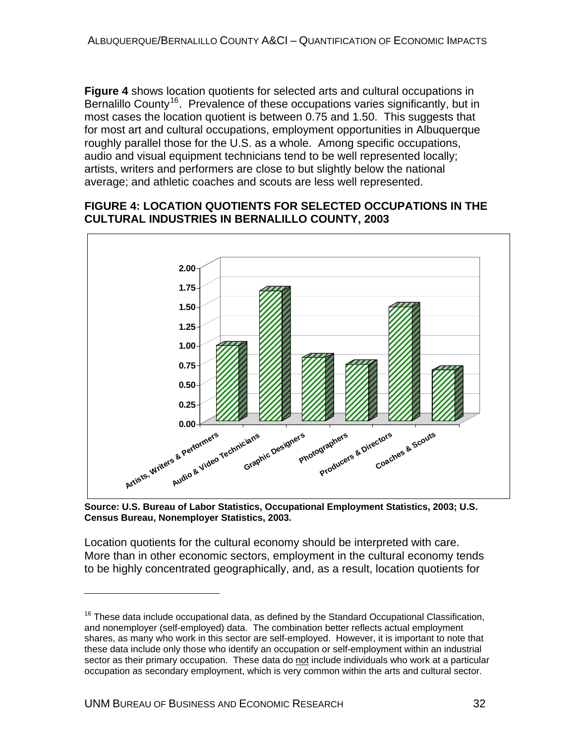**Figure 4** shows location quotients for selected arts and cultural occupations in Bernalillo County<sup>[16](#page-41-0)</sup>. Prevalence of these occupations varies significantly, but in most cases the location quotient is between 0.75 and 1.50. This suggests that for most art and cultural occupations, employment opportunities in Albuquerque roughly parallel those for the U.S. as a whole. Among specific occupations, audio and visual equipment technicians tend to be well represented locally; artists, writers and performers are close to but slightly below the national average; and athletic coaches and scouts are less well represented.

#### **FIGURE 4: LOCATION QUOTIENTS FOR SELECTED OCCUPATIONS IN THE CULTURAL INDUSTRIES IN BERNALILLO COUNTY, 2003**



**Source: U.S. Bureau of Labor Statistics, Occupational Employment Statistics, 2003; U.S. Census Bureau, Nonemployer Statistics, 2003.** 

Location quotients for the cultural economy should be interpreted with care. More than in other economic sectors, employment in the cultural economy tends to be highly concentrated geographically, and, as a result, location quotients for

 $\overline{a}$ 

<span id="page-41-0"></span> $16$  These data include occupational data, as defined by the Standard Occupational Classification, and nonemployer (self-employed) data. The combination better reflects actual employment shares, as many who work in this sector are self-employed. However, it is important to note that these data include only those who identify an occupation or self-employment within an industrial sector as their primary occupation. These data do not include individuals who work at a particular occupation as secondary employment, which is very common within the arts and cultural sector.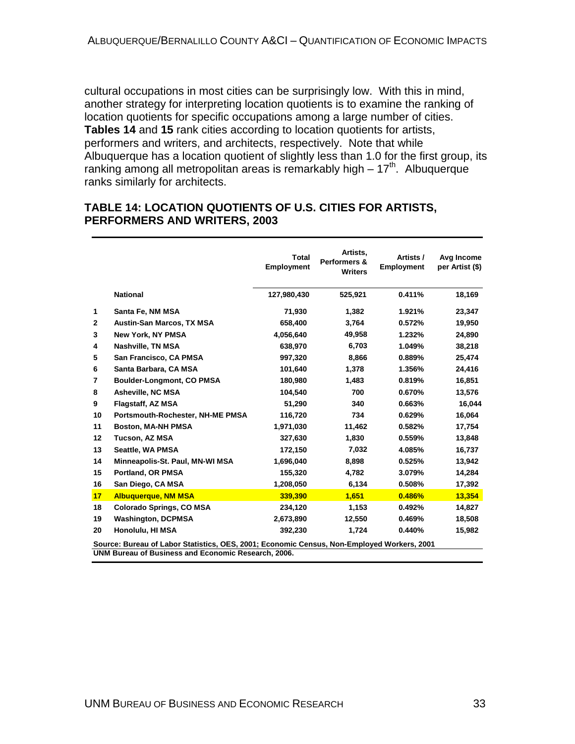cultural occupations in most cities can be surprisingly low. With this in mind, another strategy for interpreting location quotients is to examine the ranking of location quotients for specific occupations among a large number of cities. **Tables 14** and **15** rank cities according to location quotients for artists, performers and writers, and architects, respectively. Note that while Albuquerque has a location quotient of slightly less than 1.0 for the first group, its ranking among all metropolitan areas is remarkably high  $-17<sup>th</sup>$ . Albuquerque ranks similarly for architects.

#### **TABLE 14: LOCATION QUOTIENTS OF U.S. CITIES FOR ARTISTS, PERFORMERS AND WRITERS, 2003**

|              |                                                                                                                                                   | <b>Total</b><br><b>Employment</b> | Artists,<br>Performers &<br><b>Writers</b> | Artists /<br><b>Employment</b> | Avg Income<br>per Artist (\$) |
|--------------|---------------------------------------------------------------------------------------------------------------------------------------------------|-----------------------------------|--------------------------------------------|--------------------------------|-------------------------------|
|              | <b>National</b>                                                                                                                                   | 127,980,430                       | 525,921                                    | 0.411%                         | 18,169                        |
| 1            | Santa Fe, NM MSA                                                                                                                                  | 71,930                            | 1,382                                      | 1.921%                         | 23,347                        |
| $\mathbf{2}$ | <b>Austin-San Marcos, TX MSA</b>                                                                                                                  | 658,400                           | 3,764                                      | 0.572%                         | 19,950                        |
| 3            | <b>New York, NY PMSA</b>                                                                                                                          | 4,056,640                         | 49,958                                     | 1.232%                         | 24,890                        |
| 4            | Nashville, TN MSA                                                                                                                                 | 638,970                           | 6,703                                      | 1.049%                         | 38,218                        |
| 5            | San Francisco, CA PMSA                                                                                                                            | 997,320                           | 8,866                                      | 0.889%                         | 25,474                        |
| 6            | Santa Barbara, CA MSA                                                                                                                             | 101,640                           | 1.378                                      | 1.356%                         | 24,416                        |
| 7            | Boulder-Longmont, CO PMSA                                                                                                                         | 180,980                           | 1,483                                      | 0.819%                         | 16,851                        |
| 8            | Asheville, NC MSA                                                                                                                                 | 104,540                           | 700                                        | 0.670%                         | 13,576                        |
| 9            | Flagstaff, AZ MSA                                                                                                                                 | 51,290                            | 340                                        | 0.663%                         | 16,044                        |
| 10           | Portsmouth-Rochester, NH-ME PMSA                                                                                                                  | 116,720                           | 734                                        | 0.629%                         | 16,064                        |
| 11           | <b>Boston, MA-NH PMSA</b>                                                                                                                         | 1,971,030                         | 11,462                                     | 0.582%                         | 17,754                        |
| 12           | Tucson, AZ MSA                                                                                                                                    | 327,630                           | 1,830                                      | 0.559%                         | 13,848                        |
| 13           | Seattle, WA PMSA                                                                                                                                  | 172,150                           | 7,032                                      | 4.085%                         | 16,737                        |
| 14           | Minneapolis-St. Paul, MN-WI MSA                                                                                                                   | 1,696,040                         | 8,898                                      | 0.525%                         | 13,942                        |
| 15           | Portland, OR PMSA                                                                                                                                 | 155,320                           | 4,782                                      | 3.079%                         | 14,284                        |
| 16           | San Diego, CA MSA                                                                                                                                 | 1,208,050                         | 6,134                                      | 0.508%                         | 17,392                        |
| 17           | <b>Albuquerque, NM MSA</b>                                                                                                                        | 339,390                           | 1,651                                      | 0.486%                         | 13,354                        |
| 18           | <b>Colorado Springs, CO MSA</b>                                                                                                                   | 234,120                           | 1,153                                      | 0.492%                         | 14,827                        |
| 19           | <b>Washington, DCPMSA</b>                                                                                                                         | 2,673,890                         | 12,550                                     | 0.469%                         | 18,508                        |
| 20           | Honolulu, HI MSA                                                                                                                                  | 392,230                           | 1,724                                      | 0.440%                         | 15,982                        |
|              | Source: Bureau of Labor Statistics, OES, 2001; Economic Census, Non-Employed Workers, 2001<br>UNM Bureau of Business and Economic Research, 2006. |                                   |                                            |                                |                               |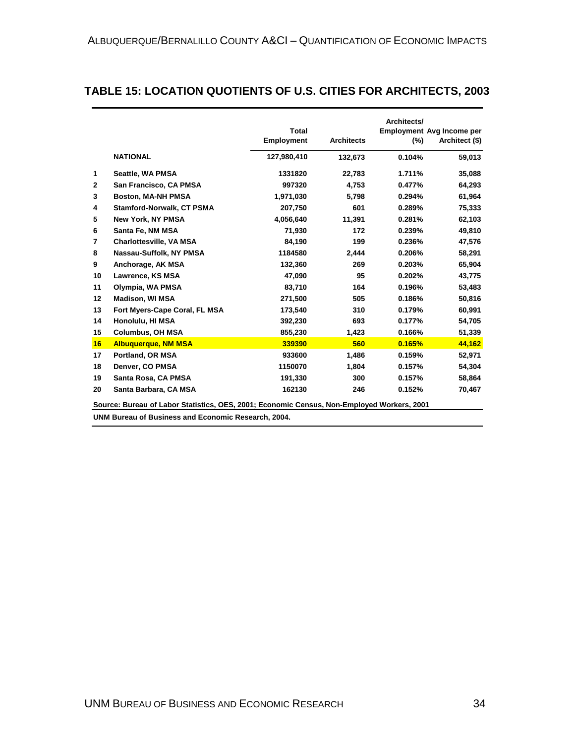#### **TABLE 15: LOCATION QUOTIENTS OF U.S. CITIES FOR ARCHITECTS, 2003**

|                |                                                                                            | <b>Total</b><br><b>Employment</b> | <b>Architects</b> | Architects/<br>$(\%)$ | <b>Employment Avg Income per</b><br>Architect (\$) |  |  |
|----------------|--------------------------------------------------------------------------------------------|-----------------------------------|-------------------|-----------------------|----------------------------------------------------|--|--|
|                | <b>NATIONAL</b>                                                                            | 127,980,410                       | 132,673           | 0.104%                | 59,013                                             |  |  |
| 1              | Seattle, WA PMSA                                                                           | 1331820                           | 22,783            | 1.711%                | 35,088                                             |  |  |
| $\mathbf{2}$   | San Francisco, CA PMSA                                                                     | 997320                            | 4,753             | 0.477%                | 64,293                                             |  |  |
| 3              | <b>Boston, MA-NH PMSA</b>                                                                  | 1,971,030                         | 5,798             | 0.294%                | 61,964                                             |  |  |
| 4              | Stamford-Norwalk, CT PSMA                                                                  | 207,750                           | 601               | 0.289%                | 75,333                                             |  |  |
| 5              | <b>New York, NY PMSA</b>                                                                   | 4.056.640                         | 11,391            | 0.281%                | 62,103                                             |  |  |
| 6              | Santa Fe, NM MSA                                                                           | 71,930                            | 172               | 0.239%                | 49,810                                             |  |  |
| $\overline{7}$ | <b>Charlottesville, VA MSA</b>                                                             | 84,190                            | 199               | 0.236%                | 47,576                                             |  |  |
| 8              | Nassau-Suffolk, NY PMSA                                                                    | 1184580                           | 2,444             | 0.206%                | 58,291                                             |  |  |
| 9              | Anchorage, AK MSA                                                                          | 132,360                           | 269               | 0.203%                | 65,904                                             |  |  |
| 10             | Lawrence, KS MSA                                                                           | 47.090                            | 95                | 0.202%                | 43,775                                             |  |  |
| 11             | Olympia, WA PMSA                                                                           | 83.710                            | 164               | 0.196%                | 53,483                                             |  |  |
| $12 \,$        | <b>Madison, WI MSA</b>                                                                     | 271,500                           | 505               | 0.186%                | 50,816                                             |  |  |
| 13             | Fort Myers-Cape Coral, FL MSA                                                              | 173,540                           | 310               | 0.179%                | 60,991                                             |  |  |
| 14             | Honolulu, HI MSA                                                                           | 392,230                           | 693               | 0.177%                | 54,705                                             |  |  |
| 15             | <b>Columbus, OH MSA</b>                                                                    | 855,230                           | 1,423             | 0.166%                | 51,339                                             |  |  |
| 16             | <b>Albuquerque, NM MSA</b>                                                                 | 339390                            | 560               | 0.165%                | 44,162                                             |  |  |
| 17             | Portland, OR MSA                                                                           | 933600                            | 1,486             | 0.159%                | 52,971                                             |  |  |
| 18             | Denver, CO PMSA                                                                            | 1150070                           | 1,804             | 0.157%                | 54,304                                             |  |  |
| 19             | Santa Rosa, CA PMSA                                                                        | 191,330                           | 300               | 0.157%                | 58,864                                             |  |  |
| 20             | Santa Barbara, CA MSA                                                                      | 162130                            | 246               | 0.152%                | 70,467                                             |  |  |
|                | Source: Bureau of Labor Statistics, OES, 2001; Economic Census, Non-Employed Workers, 2001 |                                   |                   |                       |                                                    |  |  |

**UNM Bureau of Business and Economic Research, 2004.**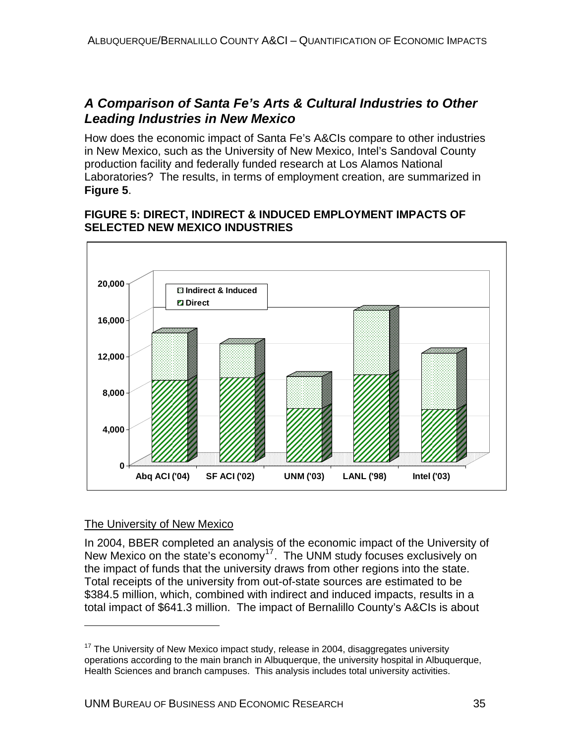# *A Comparison of Santa Fe's Arts & Cultural Industries to Other Leading Industries in New Mexico*

How does the economic impact of Santa Fe's A&CIs compare to other industries in New Mexico, such as the University of New Mexico, Intel's Sandoval County production facility and federally funded research at Los Alamos National Laboratories? The results, in terms of employment creation, are summarized in **Figure 5**.

#### **FIGURE 5: DIRECT, INDIRECT & INDUCED EMPLOYMENT IMPACTS OF SELECTED NEW MEXICO INDUSTRIES**



#### The University of New Mexico

 $\overline{a}$ 

In 2004, BBER completed an analysis of the economic impact of the University of New Mexico on the state's economy<sup>[17](#page-44-0)</sup>. The UNM study focuses exclusively on the impact of funds that the university draws from other regions into the state. Total receipts of the university from out-of-state sources are estimated to be \$384.5 million, which, combined with indirect and induced impacts, results in a total impact of \$641.3 million. The impact of Bernalillo County's A&CIs is about

<span id="page-44-0"></span> $17$  The University of New Mexico impact study, release in 2004, disaggregates university operations according to the main branch in Albuquerque, the university hospital in Albuquerque, Health Sciences and branch campuses. This analysis includes total university activities.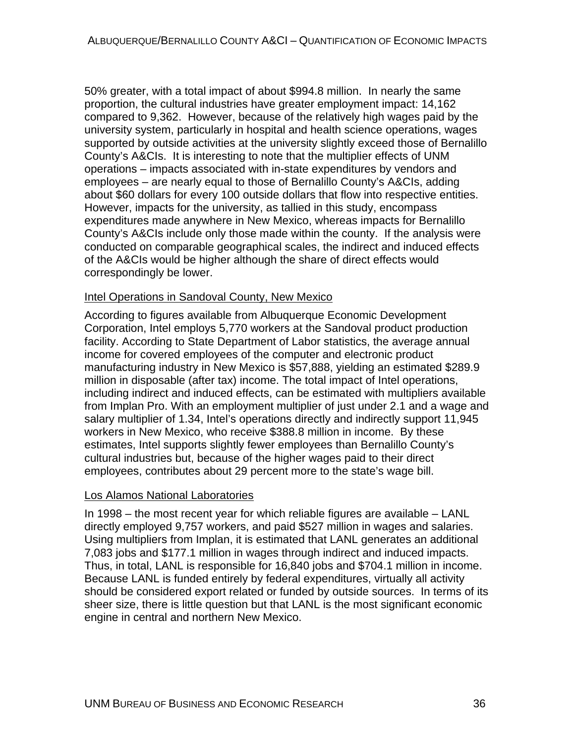50% greater, with a total impact of about \$994.8 million. In nearly the same proportion, the cultural industries have greater employment impact: 14,162 compared to 9,362. However, because of the relatively high wages paid by the university system, particularly in hospital and health science operations, wages supported by outside activities at the university slightly exceed those of Bernalillo County's A&CIs. It is interesting to note that the multiplier effects of UNM operations – impacts associated with in-state expenditures by vendors and employees – are nearly equal to those of Bernalillo County's A&CIs, adding about \$60 dollars for every 100 outside dollars that flow into respective entities. However, impacts for the university, as tallied in this study, encompass expenditures made anywhere in New Mexico, whereas impacts for Bernalillo County's A&CIs include only those made within the county. If the analysis were conducted on comparable geographical scales, the indirect and induced effects of the A&CIs would be higher although the share of direct effects would correspondingly be lower.

#### Intel Operations in Sandoval County, New Mexico

According to figures available from Albuquerque Economic Development Corporation, Intel employs 5,770 workers at the Sandoval product production facility. According to State Department of Labor statistics, the average annual income for covered employees of the computer and electronic product manufacturing industry in New Mexico is \$57,888, yielding an estimated \$289.9 million in disposable (after tax) income. The total impact of Intel operations, including indirect and induced effects, can be estimated with multipliers available from Implan Pro. With an employment multiplier of just under 2.1 and a wage and salary multiplier of 1.34, Intel's operations directly and indirectly support 11,945 workers in New Mexico, who receive \$388.8 million in income. By these estimates, Intel supports slightly fewer employees than Bernalillo County's cultural industries but, because of the higher wages paid to their direct employees, contributes about 29 percent more to the state's wage bill.

#### Los Alamos National Laboratories

In 1998 – the most recent year for which reliable figures are available – LANL directly employed 9,757 workers, and paid \$527 million in wages and salaries. Using multipliers from Implan, it is estimated that LANL generates an additional 7,083 jobs and \$177.1 million in wages through indirect and induced impacts. Thus, in total, LANL is responsible for 16,840 jobs and \$704.1 million in income. Because LANL is funded entirely by federal expenditures, virtually all activity should be considered export related or funded by outside sources. In terms of its sheer size, there is little question but that LANL is the most significant economic engine in central and northern New Mexico.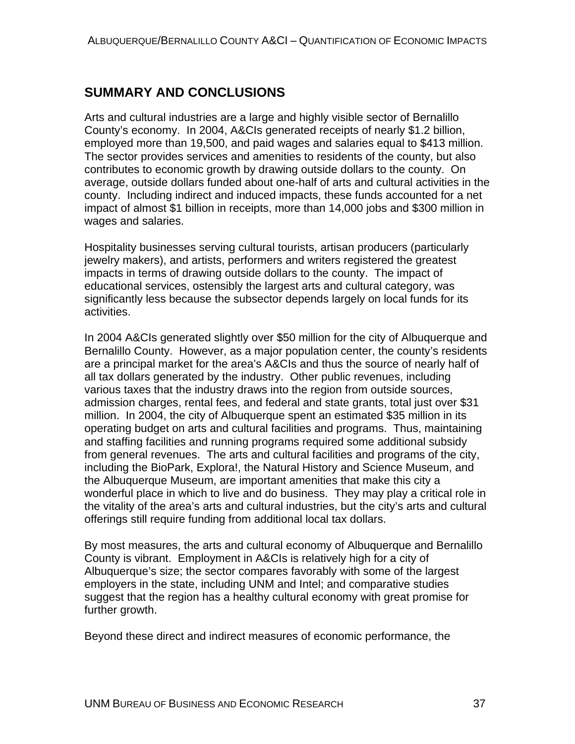# **SUMMARY AND CONCLUSIONS**

Arts and cultural industries are a large and highly visible sector of Bernalillo County's economy. In 2004, A&CIs generated receipts of nearly \$1.2 billion, employed more than 19,500, and paid wages and salaries equal to \$413 million. The sector provides services and amenities to residents of the county, but also contributes to economic growth by drawing outside dollars to the county. On average, outside dollars funded about one-half of arts and cultural activities in the county. Including indirect and induced impacts, these funds accounted for a net impact of almost \$1 billion in receipts, more than 14,000 jobs and \$300 million in wages and salaries.

Hospitality businesses serving cultural tourists, artisan producers (particularly jewelry makers), and artists, performers and writers registered the greatest impacts in terms of drawing outside dollars to the county. The impact of educational services, ostensibly the largest arts and cultural category, was significantly less because the subsector depends largely on local funds for its activities.

In 2004 A&CIs generated slightly over \$50 million for the city of Albuquerque and Bernalillo County. However, as a major population center, the county's residents are a principal market for the area's A&CIs and thus the source of nearly half of all tax dollars generated by the industry. Other public revenues, including various taxes that the industry draws into the region from outside sources, admission charges, rental fees, and federal and state grants, total just over \$31 million. In 2004, the city of Albuquerque spent an estimated \$35 million in its operating budget on arts and cultural facilities and programs. Thus, maintaining and staffing facilities and running programs required some additional subsidy from general revenues. The arts and cultural facilities and programs of the city, including the BioPark, Explora!, the Natural History and Science Museum, and the Albuquerque Museum, are important amenities that make this city a wonderful place in which to live and do business. They may play a critical role in the vitality of the area's arts and cultural industries, but the city's arts and cultural offerings still require funding from additional local tax dollars.

By most measures, the arts and cultural economy of Albuquerque and Bernalillo County is vibrant. Employment in A&CIs is relatively high for a city of Albuquerque's size; the sector compares favorably with some of the largest employers in the state, including UNM and Intel; and comparative studies suggest that the region has a healthy cultural economy with great promise for further growth.

Beyond these direct and indirect measures of economic performance, the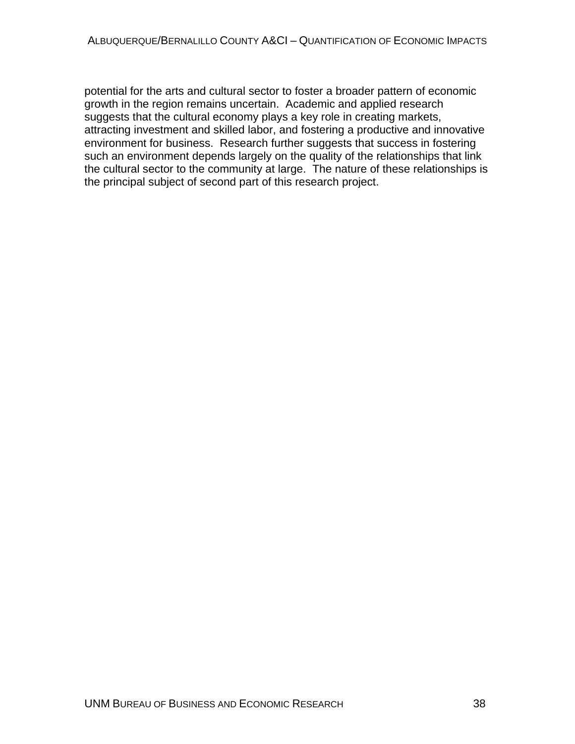potential for the arts and cultural sector to foster a broader pattern of economic growth in the region remains uncertain. Academic and applied research suggests that the cultural economy plays a key role in creating markets, attracting investment and skilled labor, and fostering a productive and innovative environment for business. Research further suggests that success in fostering such an environment depends largely on the quality of the relationships that link the cultural sector to the community at large. The nature of these relationships is the principal subject of second part of this research project.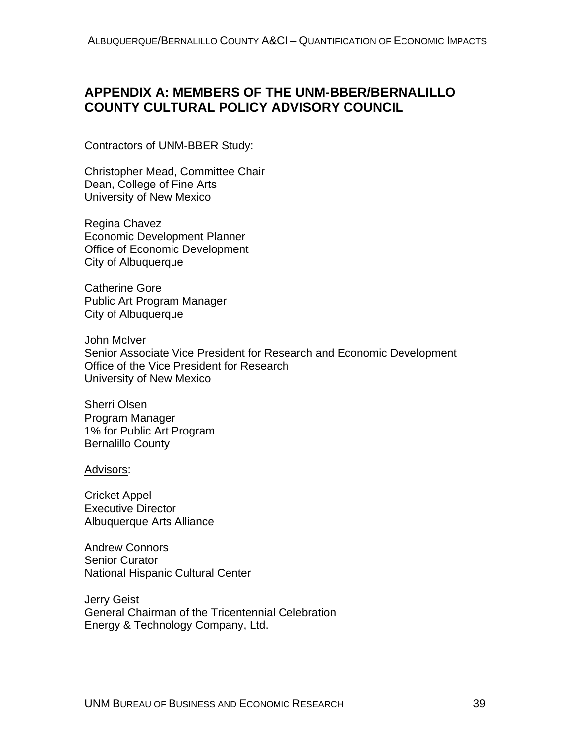# **APPENDIX A: MEMBERS OF THE UNM-BBER/BERNALILLO COUNTY CULTURAL POLICY ADVISORY COUNCIL**

#### Contractors of UNM-BBER Study:

Christopher Mead, Committee Chair Dean, College of Fine Arts University of New Mexico

Regina Chavez Economic Development Planner Office of Economic Development City of Albuquerque

Catherine Gore Public Art Program Manager City of Albuquerque

John McIver Senior Associate Vice President for Research and Economic Development Office of the Vice President for Research University of New Mexico

Sherri Olsen Program Manager 1% for Public Art Program Bernalillo County

Advisors:

Cricket Appel Executive Director Albuquerque Arts Alliance

Andrew Connors Senior Curator National Hispanic Cultural Center

Jerry Geist General Chairman of the Tricentennial Celebration Energy & Technology Company, Ltd.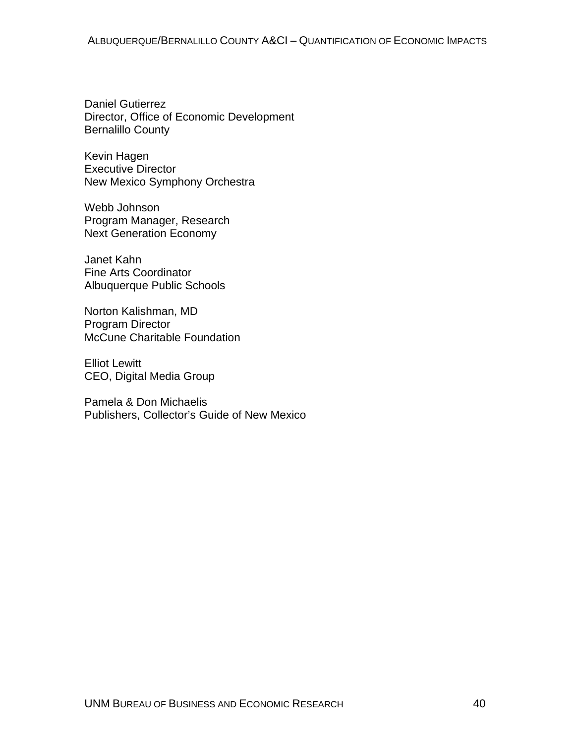Daniel Gutierrez Director, Office of Economic Development Bernalillo County

Kevin Hagen Executive Director New Mexico Symphony Orchestra

Webb Johnson Program Manager, Research Next Generation Economy

Janet Kahn Fine Arts Coordinator Albuquerque Public Schools

Norton Kalishman, MD Program Director McCune Charitable Foundation

Elliot Lewitt CEO, Digital Media Group

Pamela & Don Michaelis Publishers, Collector's Guide of New Mexico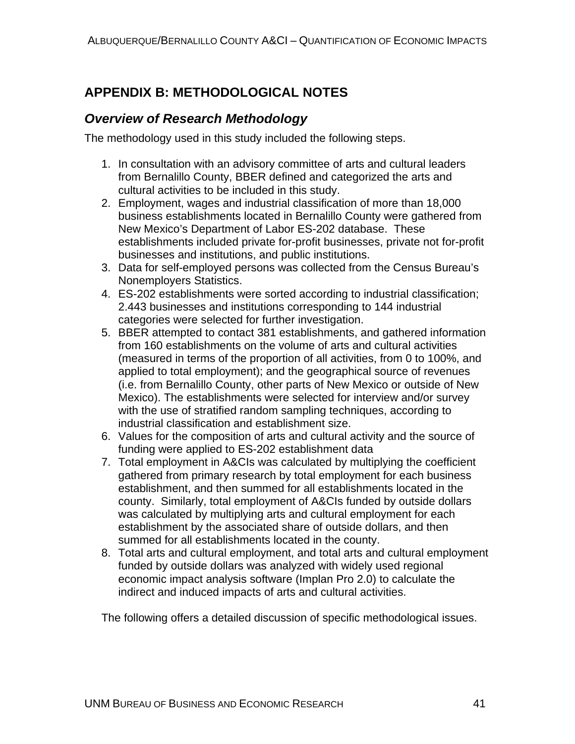# **APPENDIX B: METHODOLOGICAL NOTES**

### *Overview of Research Methodology*

The methodology used in this study included the following steps.

- 1. In consultation with an advisory committee of arts and cultural leaders from Bernalillo County, BBER defined and categorized the arts and cultural activities to be included in this study.
- 2. Employment, wages and industrial classification of more than 18,000 business establishments located in Bernalillo County were gathered from New Mexico's Department of Labor ES-202 database. These establishments included private for-profit businesses, private not for-profit businesses and institutions, and public institutions.
- 3. Data for self-employed persons was collected from the Census Bureau's Nonemployers Statistics.
- 4. ES-202 establishments were sorted according to industrial classification; 2.443 businesses and institutions corresponding to 144 industrial categories were selected for further investigation.
- 5. BBER attempted to contact 381 establishments, and gathered information from 160 establishments on the volume of arts and cultural activities (measured in terms of the proportion of all activities, from 0 to 100%, and applied to total employment); and the geographical source of revenues (i.e. from Bernalillo County, other parts of New Mexico or outside of New Mexico). The establishments were selected for interview and/or survey with the use of stratified random sampling techniques, according to industrial classification and establishment size.
- 6. Values for the composition of arts and cultural activity and the source of funding were applied to ES-202 establishment data
- 7. Total employment in A&CIs was calculated by multiplying the coefficient gathered from primary research by total employment for each business establishment, and then summed for all establishments located in the county. Similarly, total employment of A&CIs funded by outside dollars was calculated by multiplying arts and cultural employment for each establishment by the associated share of outside dollars, and then summed for all establishments located in the county.
- 8. Total arts and cultural employment, and total arts and cultural employment funded by outside dollars was analyzed with widely used regional economic impact analysis software (Implan Pro 2.0) to calculate the indirect and induced impacts of arts and cultural activities.

The following offers a detailed discussion of specific methodological issues.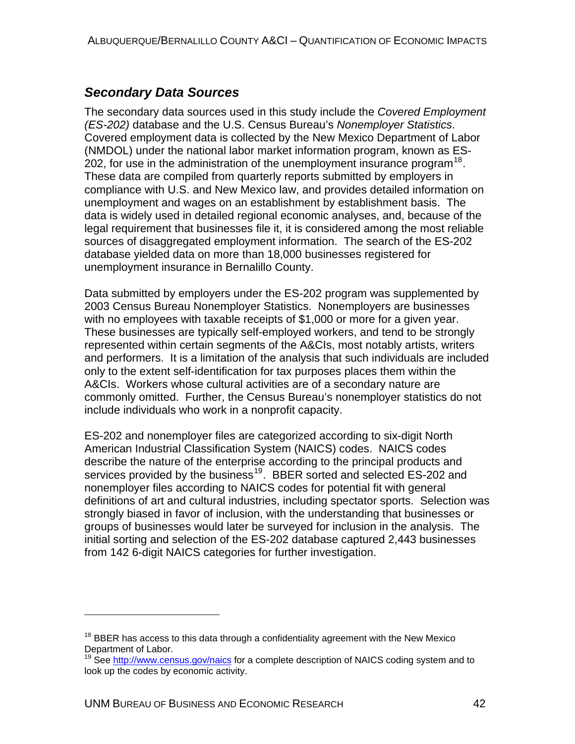## *Secondary Data Sources*

The secondary data sources used in this study include the *Covered Employment (ES-202)* database and the U.S. Census Bureau's *Nonemployer Statistics*. Covered employment data is collected by the New Mexico Department of Labor (NMDOL) under the national labor market information program, known as ES-202, for use in the administration of the unemployment insurance program<sup>[18](#page-51-0)</sup>. These data are compiled from quarterly reports submitted by employers in compliance with U.S. and New Mexico law, and provides detailed information on unemployment and wages on an establishment by establishment basis. The data is widely used in detailed regional economic analyses, and, because of the legal requirement that businesses file it, it is considered among the most reliable sources of disaggregated employment information. The search of the ES-202 database yielded data on more than 18,000 businesses registered for unemployment insurance in Bernalillo County.

Data submitted by employers under the ES-202 program was supplemented by 2003 Census Bureau Nonemployer Statistics. Nonemployers are businesses with no employees with taxable receipts of \$1,000 or more for a given year. These businesses are typically self-employed workers, and tend to be strongly represented within certain segments of the A&CIs, most notably artists, writers and performers. It is a limitation of the analysis that such individuals are included only to the extent self-identification for tax purposes places them within the A&CIs. Workers whose cultural activities are of a secondary nature are commonly omitted. Further, the Census Bureau's nonemployer statistics do not include individuals who work in a nonprofit capacity.

ES-202 and nonemployer files are categorized according to six-digit North American Industrial Classification System (NAICS) codes. NAICS codes describe the nature of the enterprise according to the principal products and services provided by the business<sup>[19](#page-51-1)</sup>. BBER sorted and selected ES-202 and nonemployer files according to NAICS codes for potential fit with general definitions of art and cultural industries, including spectator sports. Selection was strongly biased in favor of inclusion, with the understanding that businesses or groups of businesses would later be surveyed for inclusion in the analysis. The initial sorting and selection of the ES-202 database captured 2,443 businesses from 142 6-digit NAICS categories for further investigation.

 $\overline{a}$ 

<span id="page-51-0"></span><sup>&</sup>lt;sup>18</sup> BBER has access to this data through a confidentiality agreement with the New Mexico Department of Labor.

<span id="page-51-1"></span><sup>&</sup>lt;sup>19</sup> See <http://www.census.gov/naics>for a complete description of NAICS coding system and to look up the codes by economic activity.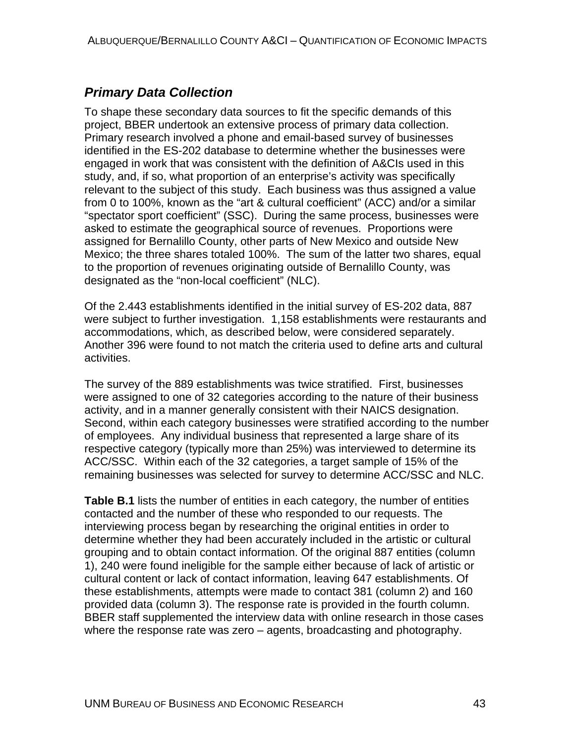# *Primary Data Collection*

To shape these secondary data sources to fit the specific demands of this project, BBER undertook an extensive process of primary data collection. Primary research involved a phone and email-based survey of businesses identified in the ES-202 database to determine whether the businesses were engaged in work that was consistent with the definition of A&CIs used in this study, and, if so, what proportion of an enterprise's activity was specifically relevant to the subject of this study. Each business was thus assigned a value from 0 to 100%, known as the "art & cultural coefficient" (ACC) and/or a similar "spectator sport coefficient" (SSC). During the same process, businesses were asked to estimate the geographical source of revenues. Proportions were assigned for Bernalillo County, other parts of New Mexico and outside New Mexico; the three shares totaled 100%. The sum of the latter two shares, equal to the proportion of revenues originating outside of Bernalillo County, was designated as the "non-local coefficient" (NLC).

Of the 2.443 establishments identified in the initial survey of ES-202 data, 887 were subject to further investigation. 1,158 establishments were restaurants and accommodations, which, as described below, were considered separately. Another 396 were found to not match the criteria used to define arts and cultural activities.

The survey of the 889 establishments was twice stratified. First, businesses were assigned to one of 32 categories according to the nature of their business activity, and in a manner generally consistent with their NAICS designation. Second, within each category businesses were stratified according to the number of employees. Any individual business that represented a large share of its respective category (typically more than 25%) was interviewed to determine its ACC/SSC. Within each of the 32 categories, a target sample of 15% of the remaining businesses was selected for survey to determine ACC/SSC and NLC.

**Table B.1** lists the number of entities in each category, the number of entities contacted and the number of these who responded to our requests. The interviewing process began by researching the original entities in order to determine whether they had been accurately included in the artistic or cultural grouping and to obtain contact information. Of the original 887 entities (column 1), 240 were found ineligible for the sample either because of lack of artistic or cultural content or lack of contact information, leaving 647 establishments. Of these establishments, attempts were made to contact 381 (column 2) and 160 provided data (column 3). The response rate is provided in the fourth column. BBER staff supplemented the interview data with online research in those cases where the response rate was zero – agents, broadcasting and photography.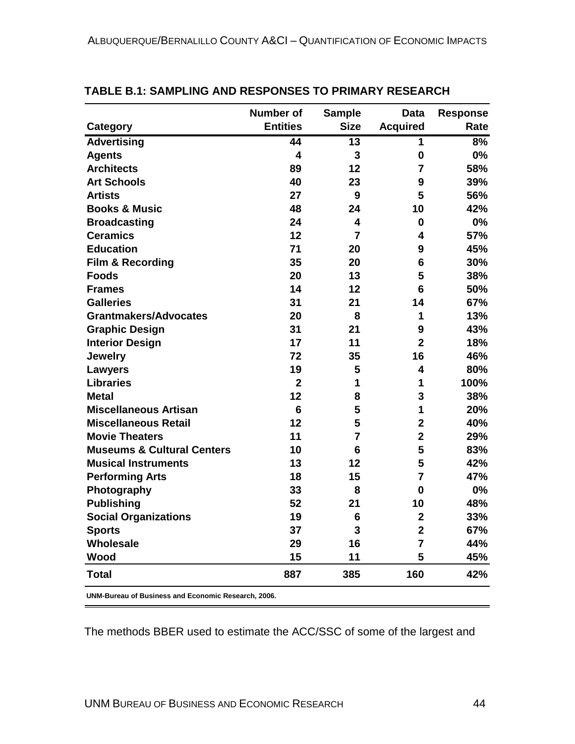|                                       | <b>Number of</b>        | <b>Sample</b>  | <b>Data</b>             | <b>Response</b> |
|---------------------------------------|-------------------------|----------------|-------------------------|-----------------|
| <b>Category</b>                       | <b>Entities</b>         | <b>Size</b>    | <b>Acquired</b>         | Rate            |
| <b>Advertising</b>                    | 44                      | 13             | $\mathbf{1}$            | 8%              |
| <b>Agents</b>                         | $\overline{\mathbf{4}}$ | 3              | $\mathbf 0$             | 0%              |
| <b>Architects</b>                     | 89                      | 12             | $\overline{7}$          | 58%             |
| <b>Art Schools</b>                    | 40                      | 23             | 9                       | 39%             |
| <b>Artists</b>                        | 27                      | 9              | 5                       | 56%             |
| <b>Books &amp; Music</b>              | 48                      | 24             | 10                      | 42%             |
| <b>Broadcasting</b>                   | 24                      | 4              | 0                       | 0%              |
| <b>Ceramics</b>                       | 12                      | $\overline{7}$ | 4                       | 57%             |
| <b>Education</b>                      | 71                      | 20             | 9                       | 45%             |
| <b>Film &amp; Recording</b>           | 35                      | 20             | 6                       | 30%             |
| <b>Foods</b>                          | 20                      | 13             | 5                       | 38%             |
| <b>Frames</b>                         | 14                      | 12             | 6                       | 50%             |
| <b>Galleries</b>                      | 31                      | 21             | 14                      | 67%             |
| <b>Grantmakers/Advocates</b>          | 20                      | 8              | 1                       | 13%             |
| <b>Graphic Design</b>                 | 31                      | 21             | 9                       | 43%             |
| <b>Interior Design</b>                | 17                      | 11             | $\overline{2}$          | 18%             |
| <b>Jewelry</b>                        | 72                      | 35             | 16                      | 46%             |
| Lawyers                               | 19                      | 5              | 4                       | 80%             |
| <b>Libraries</b>                      | $\overline{2}$          | 1              | 1                       | 100%            |
| <b>Metal</b>                          | 12                      | 8              | 3                       | 38%             |
| <b>Miscellaneous Artisan</b>          | 6                       | 5              | 1                       | 20%             |
| <b>Miscellaneous Retail</b>           | 12                      | 5              | $\overline{2}$          | 40%             |
| <b>Movie Theaters</b>                 | 11                      | $\overline{7}$ | $\overline{2}$          | 29%             |
| <b>Museums &amp; Cultural Centers</b> | 10                      | 6              | 5                       | 83%             |
| <b>Musical Instruments</b>            | 13                      | 12             | 5                       | 42%             |
| <b>Performing Arts</b>                | 18                      | 15             | $\overline{7}$          | 47%             |
| Photography                           | 33                      | 8              | $\mathbf{0}$            | 0%              |
| <b>Publishing</b>                     | 52                      | 21             | 10                      | 48%             |
| <b>Social Organizations</b>           | 19                      | 6              | $\overline{\mathbf{2}}$ | 33%             |
| <b>Sports</b>                         | 37                      | 3              | $\overline{2}$          | 67%             |
| <b>Wholesale</b>                      | 29                      | 16             | 7                       | 44%             |
| Wood                                  | 15                      | 11             | 5                       | 45%             |
| <b>Total</b>                          | 887                     | 385            | 160                     | 42%             |

#### **TABLE B.1: SAMPLING AND RESPONSES TO PRIMARY RESEARCH**

**UNM-Bureau of Business and Economic Research, 2006.**

The methods BBER used to estimate the ACC/SSC of some of the largest and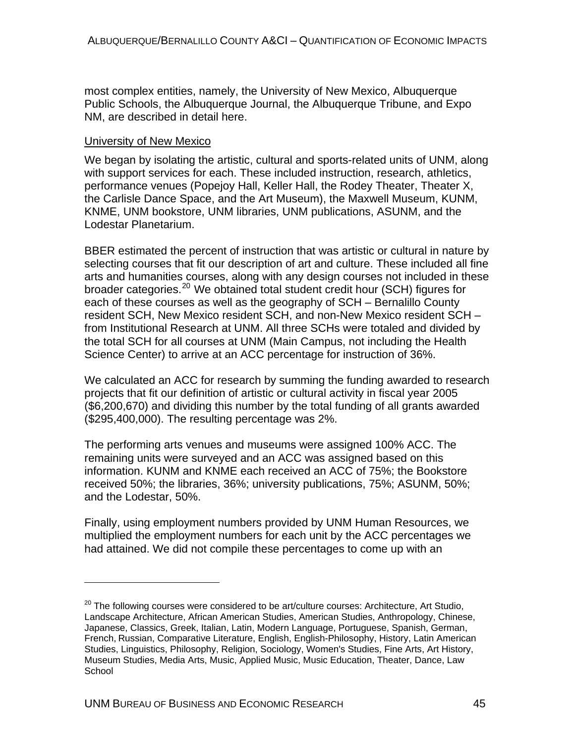most complex entities, namely, the University of New Mexico, Albuquerque Public Schools, the Albuquerque Journal, the Albuquerque Tribune, and Expo NM, are described in detail here.

#### University of New Mexico

 $\overline{a}$ 

We began by isolating the artistic, cultural and sports-related units of UNM, along with support services for each. These included instruction, research, athletics, performance venues (Popejoy Hall, Keller Hall, the Rodey Theater, Theater X, the Carlisle Dance Space, and the Art Museum), the Maxwell Museum, KUNM, KNME, UNM bookstore, UNM libraries, UNM publications, ASUNM, and the Lodestar Planetarium.

BBER estimated the percent of instruction that was artistic or cultural in nature by selecting courses that fit our description of art and culture. These included all fine arts and humanities courses, along with any design courses not included in these broader categories.<sup>[20](#page-54-0)</sup> We obtained total student credit hour (SCH) figures for each of these courses as well as the geography of SCH – Bernalillo County resident SCH, New Mexico resident SCH, and non-New Mexico resident SCH – from Institutional Research at UNM. All three SCHs were totaled and divided by the total SCH for all courses at UNM (Main Campus, not including the Health Science Center) to arrive at an ACC percentage for instruction of 36%.

We calculated an ACC for research by summing the funding awarded to research projects that fit our definition of artistic or cultural activity in fiscal year 2005 (\$6,200,670) and dividing this number by the total funding of all grants awarded (\$295,400,000). The resulting percentage was 2%.

The performing arts venues and museums were assigned 100% ACC. The remaining units were surveyed and an ACC was assigned based on this information. KUNM and KNME each received an ACC of 75%; the Bookstore received 50%; the libraries, 36%; university publications, 75%; ASUNM, 50%; and the Lodestar, 50%.

Finally, using employment numbers provided by UNM Human Resources, we multiplied the employment numbers for each unit by the ACC percentages we had attained. We did not compile these percentages to come up with an

<span id="page-54-0"></span> $20$  The following courses were considered to be art/culture courses: Architecture, Art Studio, Landscape Architecture, African American Studies, American Studies, Anthropology, Chinese, Japanese, Classics, Greek, Italian, Latin, Modern Language, Portuguese, Spanish, German, French, Russian, Comparative Literature, English, English-Philosophy, History, Latin American Studies, Linguistics, Philosophy, Religion, Sociology, Women's Studies, Fine Arts, Art History, Museum Studies, Media Arts, Music, Applied Music, Music Education, Theater, Dance, Law **School**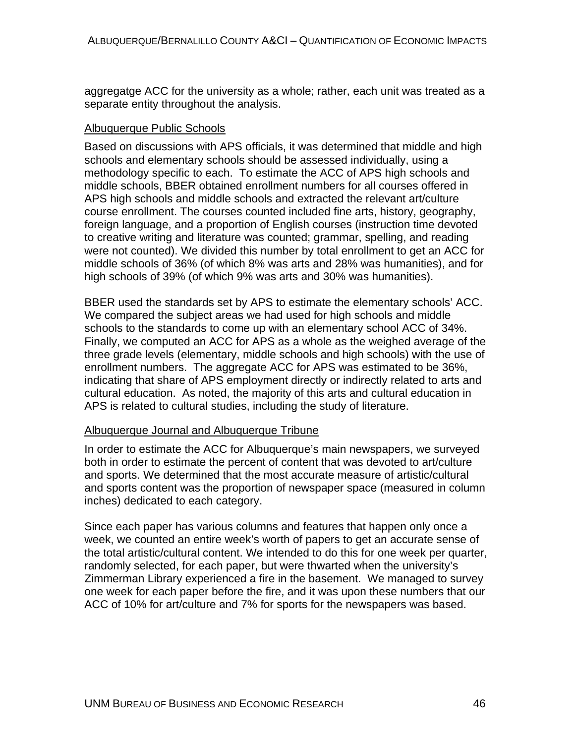aggregatge ACC for the university as a whole; rather, each unit was treated as a separate entity throughout the analysis.

#### Albuquerque Public Schools

Based on discussions with APS officials, it was determined that middle and high schools and elementary schools should be assessed individually, using a methodology specific to each. To estimate the ACC of APS high schools and middle schools, BBER obtained enrollment numbers for all courses offered in APS high schools and middle schools and extracted the relevant art/culture course enrollment. The courses counted included fine arts, history, geography, foreign language, and a proportion of English courses (instruction time devoted to creative writing and literature was counted; grammar, spelling, and reading were not counted). We divided this number by total enrollment to get an ACC for middle schools of 36% (of which 8% was arts and 28% was humanities), and for high schools of 39% (of which 9% was arts and 30% was humanities).

BBER used the standards set by APS to estimate the elementary schools' ACC. We compared the subject areas we had used for high schools and middle schools to the standards to come up with an elementary school ACC of 34%. Finally, we computed an ACC for APS as a whole as the weighed average of the three grade levels (elementary, middle schools and high schools) with the use of enrollment numbers. The aggregate ACC for APS was estimated to be 36%, indicating that share of APS employment directly or indirectly related to arts and cultural education. As noted, the majority of this arts and cultural education in APS is related to cultural studies, including the study of literature.

#### Albuquerque Journal and Albuquerque Tribune

In order to estimate the ACC for Albuquerque's main newspapers, we surveyed both in order to estimate the percent of content that was devoted to art/culture and sports. We determined that the most accurate measure of artistic/cultural and sports content was the proportion of newspaper space (measured in column inches) dedicated to each category.

Since each paper has various columns and features that happen only once a week, we counted an entire week's worth of papers to get an accurate sense of the total artistic/cultural content. We intended to do this for one week per quarter, randomly selected, for each paper, but were thwarted when the university's Zimmerman Library experienced a fire in the basement. We managed to survey one week for each paper before the fire, and it was upon these numbers that our ACC of 10% for art/culture and 7% for sports for the newspapers was based.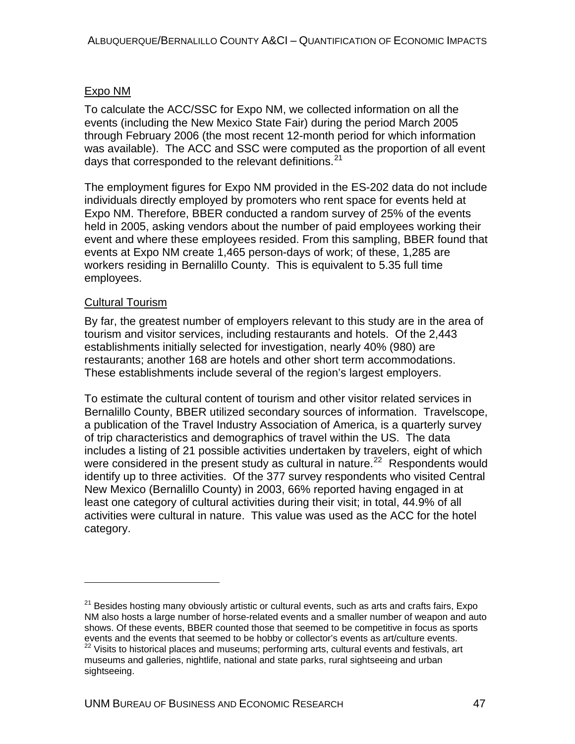#### Expo NM

To calculate the ACC/SSC for Expo NM, we collected information on all the events (including the New Mexico State Fair) during the period March 2005 through February 2006 (the most recent 12-month period for which information was available). The ACC and SSC were computed as the proportion of all event days that corresponded to the relevant definitions.<sup>[21](#page-56-0)</sup>

The employment figures for Expo NM provided in the ES-202 data do not include individuals directly employed by promoters who rent space for events held at Expo NM. Therefore, BBER conducted a random survey of 25% of the events held in 2005, asking vendors about the number of paid employees working their event and where these employees resided. From this sampling, BBER found that events at Expo NM create 1,465 person-days of work; of these, 1,285 are workers residing in Bernalillo County. This is equivalent to 5.35 full time employees.

#### Cultural Tourism

 $\overline{a}$ 

By far, the greatest number of employers relevant to this study are in the area of tourism and visitor services, including restaurants and hotels. Of the 2,443 establishments initially selected for investigation, nearly 40% (980) are restaurants; another 168 are hotels and other short term accommodations. These establishments include several of the region's largest employers.

To estimate the cultural content of tourism and other visitor related services in Bernalillo County, BBER utilized secondary sources of information. Travelscope, a publication of the Travel Industry Association of America, is a quarterly survey of trip characteristics and demographics of travel within the US. The data includes a listing of 21 possible activities undertaken by travelers, eight of which were considered in the present study as cultural in nature.<sup>[22](#page-56-1)</sup> Respondents would identify up to three activities. Of the 377 survey respondents who visited Central New Mexico (Bernalillo County) in 2003, 66% reported having engaged in at least one category of cultural activities during their visit; in total, 44.9% of all activities were cultural in nature. This value was used as the ACC for the hotel category.

<span id="page-56-1"></span><span id="page-56-0"></span><sup>&</sup>lt;sup>21</sup> Besides hosting many obviously artistic or cultural events, such as arts and crafts fairs, Expo NM also hosts a large number of horse-related events and a smaller number of weapon and auto shows. Of these events, BBER counted those that seemed to be competitive in focus as sports events and the events that seemed to be hobby or collector's events as art/culture events. <sup>22</sup> Visits to historical places and museums; performing arts, cultural events and festivals, art museums and galleries, nightlife, national and state parks, rural sightseeing and urban sightseeing.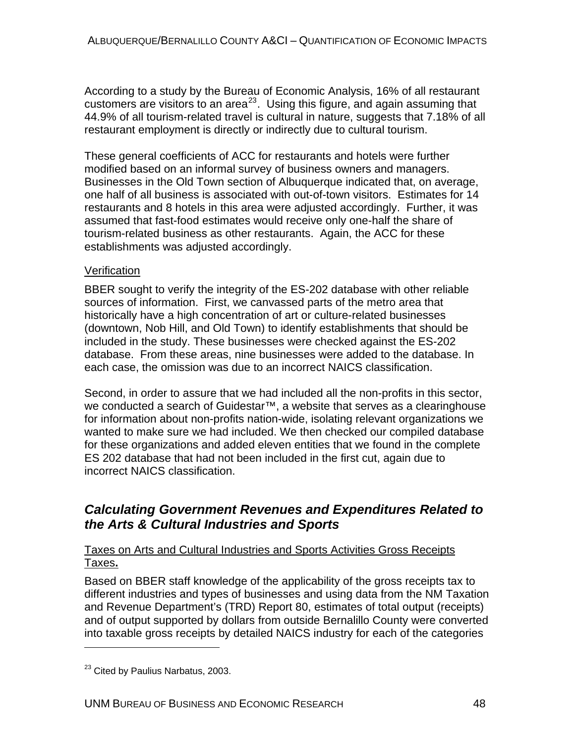According to a study by the Bureau of Economic Analysis, 16% of all restaurant customers are visitors to an area<sup>[23](#page-57-0)</sup>. Using this figure, and again assuming that 44.9% of all tourism-related travel is cultural in nature, suggests that 7.18% of all restaurant employment is directly or indirectly due to cultural tourism.

These general coefficients of ACC for restaurants and hotels were further modified based on an informal survey of business owners and managers. Businesses in the Old Town section of Albuquerque indicated that, on average, one half of all business is associated with out-of-town visitors. Estimates for 14 restaurants and 8 hotels in this area were adjusted accordingly. Further, it was assumed that fast-food estimates would receive only one-half the share of tourism-related business as other restaurants. Again, the ACC for these establishments was adjusted accordingly.

#### **Verification**

BBER sought to verify the integrity of the ES-202 database with other reliable sources of information. First, we canvassed parts of the metro area that historically have a high concentration of art or culture-related businesses (downtown, Nob Hill, and Old Town) to identify establishments that should be included in the study. These businesses were checked against the ES-202 database. From these areas, nine businesses were added to the database. In each case, the omission was due to an incorrect NAICS classification.

Second, in order to assure that we had included all the non-profits in this sector, we conducted a search of Guidestar™, a website that serves as a clearinghouse for information about non-profits nation-wide, isolating relevant organizations we wanted to make sure we had included. We then checked our compiled database for these organizations and added eleven entities that we found in the complete ES 202 database that had not been included in the first cut, again due to incorrect NAICS classification.

### *Calculating Government Revenues and Expenditures Related to the Arts & Cultural Industries and Sports*

#### Taxes on Arts and Cultural Industries and Sports Activities Gross Receipts Taxes**.**

Based on BBER staff knowledge of the applicability of the gross receipts tax to different industries and types of businesses and using data from the NM Taxation and Revenue Department's (TRD) Report 80, estimates of total output (receipts) and of output supported by dollars from outside Bernalillo County were converted into taxable gross receipts by detailed NAICS industry for each of the categories

 $\overline{a}$ 

<span id="page-57-0"></span><sup>&</sup>lt;sup>23</sup> Cited by Paulius Narbatus, 2003.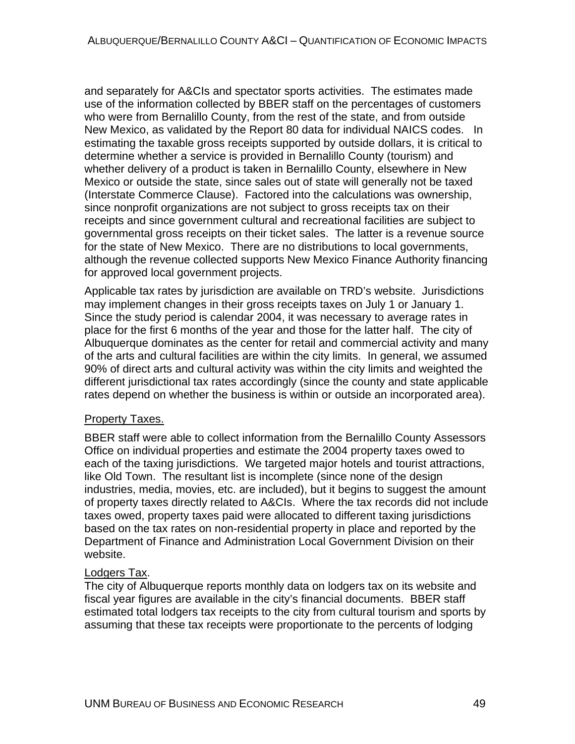and separately for A&CIs and spectator sports activities. The estimates made use of the information collected by BBER staff on the percentages of customers who were from Bernalillo County, from the rest of the state, and from outside New Mexico, as validated by the Report 80 data for individual NAICS codes. In estimating the taxable gross receipts supported by outside dollars, it is critical to determine whether a service is provided in Bernalillo County (tourism) and whether delivery of a product is taken in Bernalillo County, elsewhere in New Mexico or outside the state, since sales out of state will generally not be taxed (Interstate Commerce Clause). Factored into the calculations was ownership, since nonprofit organizations are not subject to gross receipts tax on their receipts and since government cultural and recreational facilities are subject to governmental gross receipts on their ticket sales. The latter is a revenue source for the state of New Mexico. There are no distributions to local governments, although the revenue collected supports New Mexico Finance Authority financing for approved local government projects.

Applicable tax rates by jurisdiction are available on TRD's website. Jurisdictions may implement changes in their gross receipts taxes on July 1 or January 1. Since the study period is calendar 2004, it was necessary to average rates in place for the first 6 months of the year and those for the latter half. The city of Albuquerque dominates as the center for retail and commercial activity and many of the arts and cultural facilities are within the city limits. In general, we assumed 90% of direct arts and cultural activity was within the city limits and weighted the different jurisdictional tax rates accordingly (since the county and state applicable rates depend on whether the business is within or outside an incorporated area).

#### Property Taxes.

BBER staff were able to collect information from the Bernalillo County Assessors Office on individual properties and estimate the 2004 property taxes owed to each of the taxing jurisdictions. We targeted major hotels and tourist attractions, like Old Town. The resultant list is incomplete (since none of the design industries, media, movies, etc. are included), but it begins to suggest the amount of property taxes directly related to A&CIs. Where the tax records did not include taxes owed, property taxes paid were allocated to different taxing jurisdictions based on the tax rates on non-residential property in place and reported by the Department of Finance and Administration Local Government Division on their website.

#### Lodgers Tax.

The city of Albuquerque reports monthly data on lodgers tax on its website and fiscal year figures are available in the city's financial documents. BBER staff estimated total lodgers tax receipts to the city from cultural tourism and sports by assuming that these tax receipts were proportionate to the percents of lodging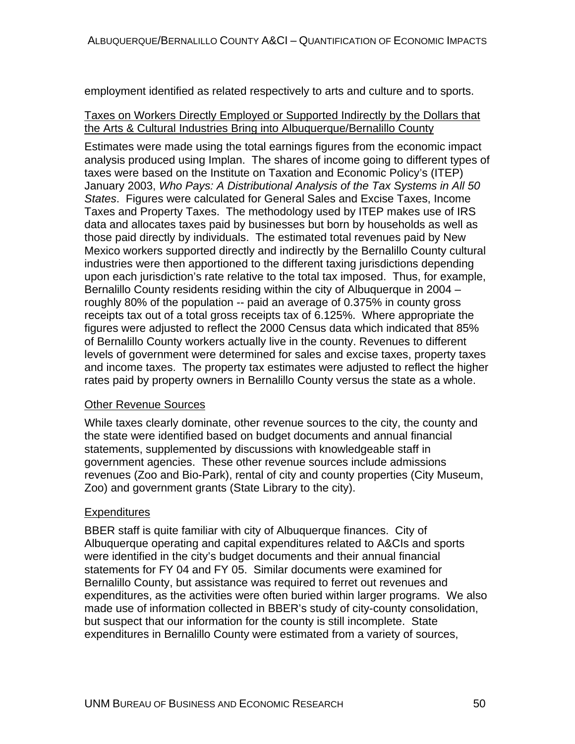employment identified as related respectively to arts and culture and to sports.

#### Taxes on Workers Directly Employed or Supported Indirectly by the Dollars that the Arts & Cultural Industries Bring into Albuquerque/Bernalillo County

Estimates were made using the total earnings figures from the economic impact analysis produced using Implan. The shares of income going to different types of taxes were based on the Institute on Taxation and Economic Policy's (ITEP) January 2003, *Who Pays: A Distributional Analysis of the Tax Systems in All 50 States*. Figures were calculated for General Sales and Excise Taxes, Income Taxes and Property Taxes. The methodology used by ITEP makes use of IRS data and allocates taxes paid by businesses but born by households as well as those paid directly by individuals. The estimated total revenues paid by New Mexico workers supported directly and indirectly by the Bernalillo County cultural industries were then apportioned to the different taxing jurisdictions depending upon each jurisdiction's rate relative to the total tax imposed. Thus, for example, Bernalillo County residents residing within the city of Albuquerque in 2004 – roughly 80% of the population -- paid an average of 0.375% in county gross receipts tax out of a total gross receipts tax of 6.125%. Where appropriate the figures were adjusted to reflect the 2000 Census data which indicated that 85% of Bernalillo County workers actually live in the county. Revenues to different levels of government were determined for sales and excise taxes, property taxes and income taxes. The property tax estimates were adjusted to reflect the higher rates paid by property owners in Bernalillo County versus the state as a whole.

#### Other Revenue Sources

While taxes clearly dominate, other revenue sources to the city, the county and the state were identified based on budget documents and annual financial statements, supplemented by discussions with knowledgeable staff in government agencies. These other revenue sources include admissions revenues (Zoo and Bio-Park), rental of city and county properties (City Museum, Zoo) and government grants (State Library to the city).

#### **Expenditures**

BBER staff is quite familiar with city of Albuquerque finances. City of Albuquerque operating and capital expenditures related to A&CIs and sports were identified in the city's budget documents and their annual financial statements for FY 04 and FY 05. Similar documents were examined for Bernalillo County, but assistance was required to ferret out revenues and expenditures, as the activities were often buried within larger programs. We also made use of information collected in BBER's study of city-county consolidation, but suspect that our information for the county is still incomplete. State expenditures in Bernalillo County were estimated from a variety of sources,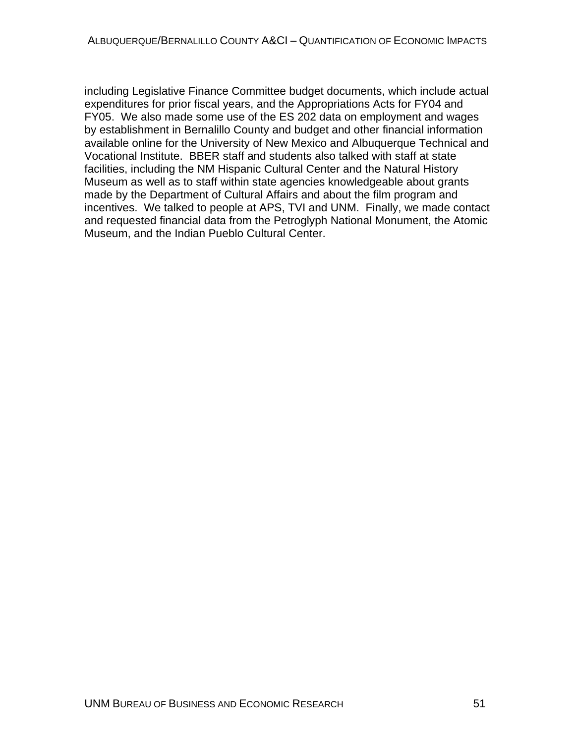including Legislative Finance Committee budget documents, which include actual expenditures for prior fiscal years, and the Appropriations Acts for FY04 and FY05. We also made some use of the ES 202 data on employment and wages by establishment in Bernalillo County and budget and other financial information available online for the University of New Mexico and Albuquerque Technical and Vocational Institute. BBER staff and students also talked with staff at state facilities, including the NM Hispanic Cultural Center and the Natural History Museum as well as to staff within state agencies knowledgeable about grants made by the Department of Cultural Affairs and about the film program and incentives. We talked to people at APS, TVI and UNM. Finally, we made contact and requested financial data from the Petroglyph National Monument, the Atomic Museum, and the Indian Pueblo Cultural Center.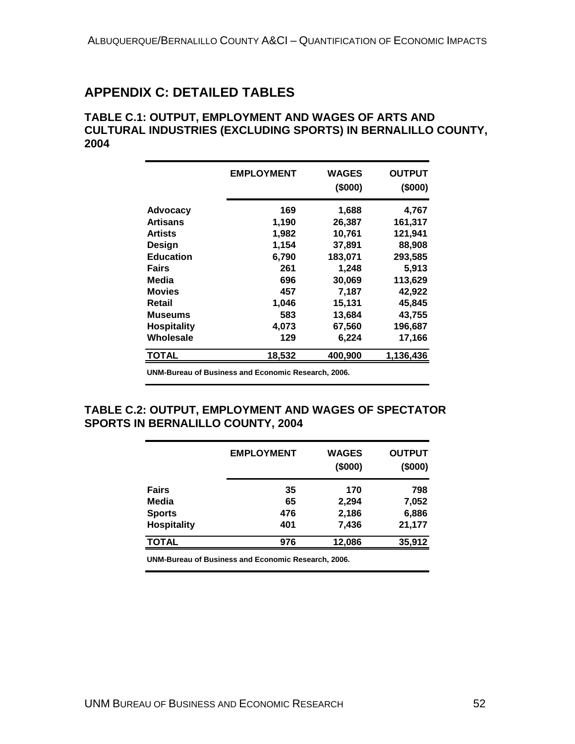# **APPENDIX C: DETAILED TABLES**

#### **TABLE C.1: OUTPUT, EMPLOYMENT AND WAGES OF ARTS AND CULTURAL INDUSTRIES (EXCLUDING SPORTS) IN BERNALILLO COUNTY, 2004**

|                    | <b>EMPLOYMENT</b> | <b>WAGES</b><br>(\$000) | <b>OUTPUT</b><br>(\$000) |
|--------------------|-------------------|-------------------------|--------------------------|
| Advocacy           | 169               | 1,688                   | 4,767                    |
| <b>Artisans</b>    | 1,190             | 26,387                  | 161,317                  |
| <b>Artists</b>     | 1,982             | 10,761                  | 121,941                  |
| Design             | 1,154             | 37,891                  | 88,908                   |
| <b>Education</b>   | 6,790             | 183,071                 | 293,585                  |
| Fairs              | 261               | 1,248                   | 5,913                    |
| Media              | 696               | 30,069                  | 113,629                  |
| <b>Movies</b>      | 457               | 7,187                   | 42,922                   |
| Retail             | 1,046             | 15,131                  | 45,845                   |
| <b>Museums</b>     | 583               | 13,684                  | 43,755                   |
| <b>Hospitality</b> | 4,073             | 67,560                  | 196,687                  |
| Wholesale          | 129               | 6,224                   | 17,166                   |
| TOTAL              | 18,532            | 400,900                 | 1,136,436                |

**UNM-Bureau of Business and Economic Research, 2006.**

#### **TABLE C.2: OUTPUT, EMPLOYMENT AND WAGES OF SPECTATOR SPORTS IN BERNALILLO COUNTY, 2004**

|                    | <b>EMPLOYMENT</b>                                   | <b>WAGES</b><br>(\$000) | <b>OUTPUT</b><br>(\$000) |
|--------------------|-----------------------------------------------------|-------------------------|--------------------------|
| <b>Fairs</b>       | 35                                                  | 170                     | 798                      |
| Media              | 65                                                  | 2,294                   | 7,052                    |
| <b>Sports</b>      | 476                                                 | 2,186                   | 6,886                    |
| <b>Hospitality</b> | 401                                                 | 7,436                   | 21,177                   |
| <b>TOTAL</b>       | 976                                                 | 12,086                  | 35,912                   |
|                    | UNM-Bureau of Business and Economic Research, 2006. |                         |                          |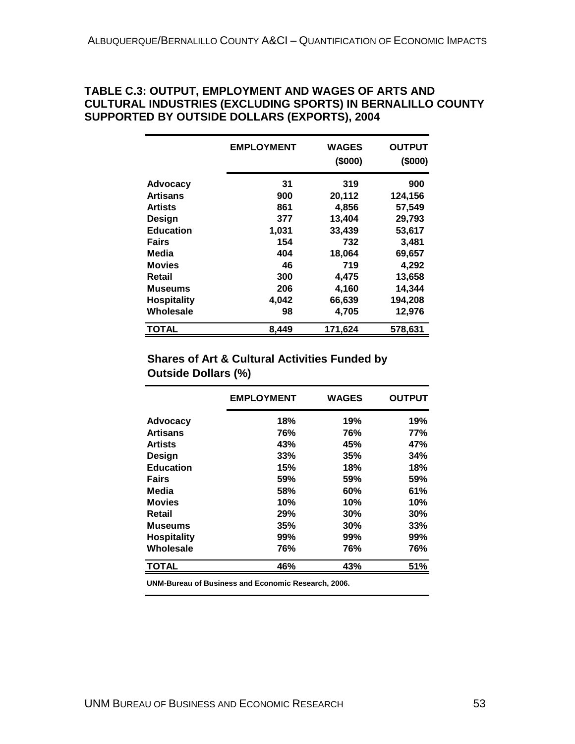#### **TABLE C.3: OUTPUT, EMPLOYMENT AND WAGES OF ARTS AND CULTURAL INDUSTRIES (EXCLUDING SPORTS) IN BERNALILLO COUNTY SUPPORTED BY OUTSIDE DOLLARS (EXPORTS), 2004**

|                    | <b>EMPLOYMENT</b> | <b>WAGES</b><br>(\$000) | <b>OUTPUT</b><br>(\$000) |
|--------------------|-------------------|-------------------------|--------------------------|
| <b>Advocacy</b>    | 31                | 319                     | 900                      |
| <b>Artisans</b>    | 900               | 20,112                  | 124,156                  |
| <b>Artists</b>     | 861               | 4,856                   | 57,549                   |
| Design             | 377               | 13,404                  | 29,793                   |
| <b>Education</b>   | 1,031             | 33,439                  | 53,617                   |
| Fairs              | 154               | 732                     | 3,481                    |
| Media              | 404               | 18,064                  | 69,657                   |
| <b>Movies</b>      | 46                | 719                     | 4,292                    |
| Retail             | 300               | 4,475                   | 13,658                   |
| Museums            | 206               | 4,160                   | 14,344                   |
| <b>Hospitality</b> | 4,042             | 66,639                  | 194,208                  |
| Wholesale          | 98                | 4,705                   | 12,976                   |
| <b>TOTAL</b>       | 8,449             | 171,624                 | 578,631                  |

#### **Shares of Art & Cultural Activities Funded by Outside Dollars (%)**

|                    | <b>EMPLOYMENT</b> | <b>WAGES</b> | <b>OUTPUT</b> |
|--------------------|-------------------|--------------|---------------|
| <b>Advocacy</b>    | 18%               | 19%          | 19%           |
| <b>Artisans</b>    | 76%               | 76%          | <b>77%</b>    |
| <b>Artists</b>     | 43%               | 45%          | 47%           |
| <b>Design</b>      | 33%               | 35%          | 34%           |
| <b>Education</b>   | 15%               | 18%          | 18%           |
| <b>Fairs</b>       | 59%               | 59%          | 59%           |
| Media              | 58%               | 60%          | 61%           |
| <b>Movies</b>      | 10%               | 10%          | 10%           |
| Retail             | 29%               | 30%          | 30%           |
| <b>Museums</b>     | 35%               | 30%          | 33%           |
| <b>Hospitality</b> | 99%               | 99%          | 99%           |
| Wholesale          | 76%               | 76%          | 76%           |
| <b>TOTAL</b>       | 46%               | 43%          | 51%           |

**UNM-Bureau of Business and Economic Research, 2006.**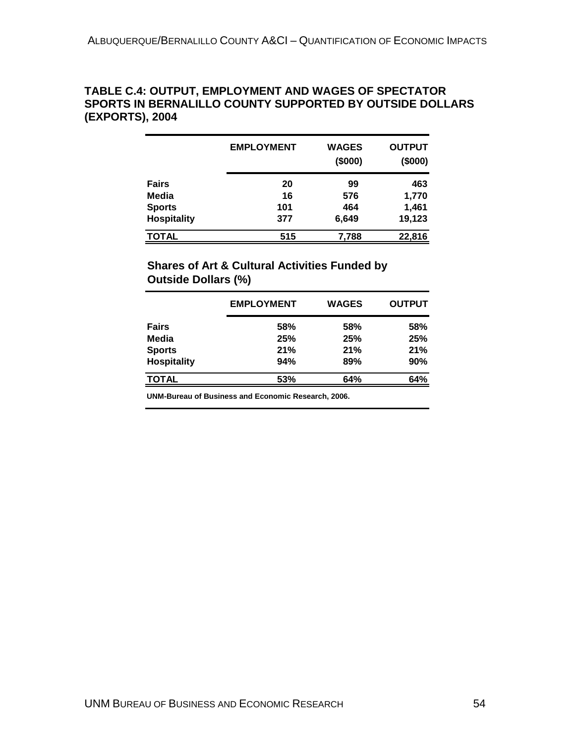#### **TABLE C.4: OUTPUT, EMPLOYMENT AND WAGES OF SPECTATOR SPORTS IN BERNALILLO COUNTY SUPPORTED BY OUTSIDE DOLLARS (EXPORTS), 2004**

|                    | <b>EMPLOYMENT</b> | <b>WAGES</b><br>(\$000) | <b>OUTPUT</b><br>(\$000) |
|--------------------|-------------------|-------------------------|--------------------------|
| <b>Fairs</b>       | 20                | 99                      | 463                      |
| Media              | 16                | 576                     | 1,770                    |
| <b>Sports</b>      | 101               | 464                     | 1,461                    |
| <b>Hospitality</b> | 377               | 6,649                   | 19,123                   |
| <b>TOTAL</b>       | 515               | 7,788                   | 22,816                   |

### **Shares of Art & Cultural Activities Funded by Outside Dollars (%)**

|                    | <b>EMPLOYMENT</b> | <b>WAGES</b> | <b>OUTPUT</b> |
|--------------------|-------------------|--------------|---------------|
| <b>Fairs</b>       | 58%               | 58%          | 58%           |
| Media              | 25%               | 25%          | 25%           |
| <b>Sports</b>      | 21%               | 21%          | 21%           |
| <b>Hospitality</b> | 94%               | 89%          | 90%           |
| <b>TOTAL</b>       | 53%               | 64%          | 64%           |

**UNM-Bureau of Business and Economic Research, 2006.**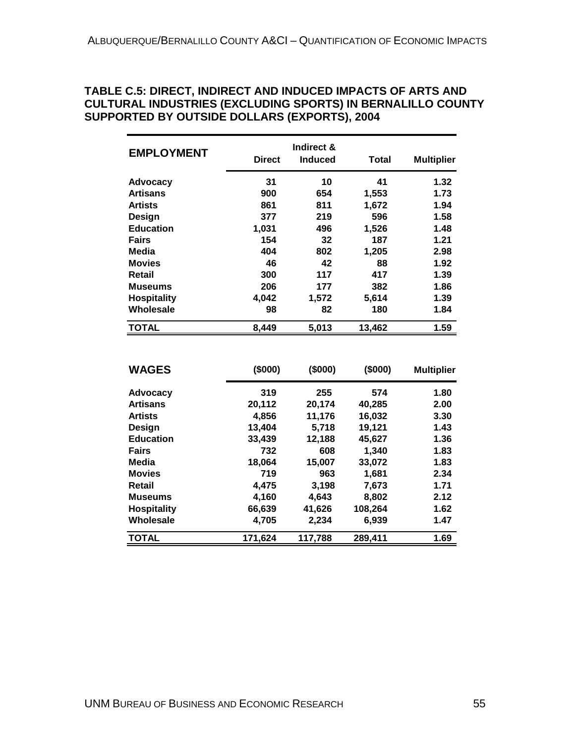#### **TABLE C.5: DIRECT, INDIRECT AND INDUCED IMPACTS OF ARTS AND CULTURAL INDUSTRIES (EXCLUDING SPORTS) IN BERNALILLO COUNTY SUPPORTED BY OUTSIDE DOLLARS (EXPORTS), 2004**

| <b>EMPLOYMENT</b>  | <b>Direct</b> | Indirect &<br><b>Induced</b> | Total  | <b>Multiplier</b> |
|--------------------|---------------|------------------------------|--------|-------------------|
| <b>Advocacy</b>    | 31            | 10                           | 41     | 1.32              |
| <b>Artisans</b>    | 900           | 654                          | 1,553  | 1.73              |
| <b>Artists</b>     | 861           | 811                          | 1,672  | 1.94              |
| Design             | 377           | 219                          | 596    | 1.58              |
| <b>Education</b>   | 1,031         | 496                          | 1,526  | 1.48              |
| <b>Fairs</b>       | 154           | 32                           | 187    | 1.21              |
| Media              | 404           | 802                          | 1,205  | 2.98              |
| <b>Movies</b>      | 46            | 42                           | 88     | 1.92              |
| Retail             | 300           | 117                          | 417    | 1.39              |
| <b>Museums</b>     | 206           | 177                          | 382    | 1.86              |
| <b>Hospitality</b> | 4,042         | 1,572                        | 5,614  | 1.39              |
| Wholesale          | 98            | 82                           | 180    | 1.84              |
| <b>TOTAL</b>       | 8,449         | 5,013                        | 13,462 | 1.59              |
|                    |               |                              |        |                   |

| <b>WAGES</b>       | (\$000) | (\$000) | (\$000) | <b>Multiplier</b> |
|--------------------|---------|---------|---------|-------------------|
| <b>Advocacy</b>    | 319     | 255     | 574     | 1.80              |
| <b>Artisans</b>    | 20,112  | 20,174  | 40,285  | 2.00              |
| <b>Artists</b>     | 4,856   | 11,176  | 16,032  | 3.30              |
| Design             | 13,404  | 5,718   | 19,121  | 1.43              |
| <b>Education</b>   | 33,439  | 12,188  | 45,627  | 1.36              |
| <b>Fairs</b>       | 732     | 608     | 1,340   | 1.83              |
| Media              | 18,064  | 15,007  | 33,072  | 1.83              |
| <b>Movies</b>      | 719     | 963     | 1,681   | 2.34              |
| Retail             | 4,475   | 3,198   | 7,673   | 1.71              |
| <b>Museums</b>     | 4.160   | 4.643   | 8,802   | 2.12              |
| <b>Hospitality</b> | 66,639  | 41,626  | 108,264 | 1.62              |
| Wholesale          | 4.705   | 2.234   | 6,939   | 1.47              |
| <b>TOTAL</b>       | 171,624 | 117,788 | 289,411 | 1.69              |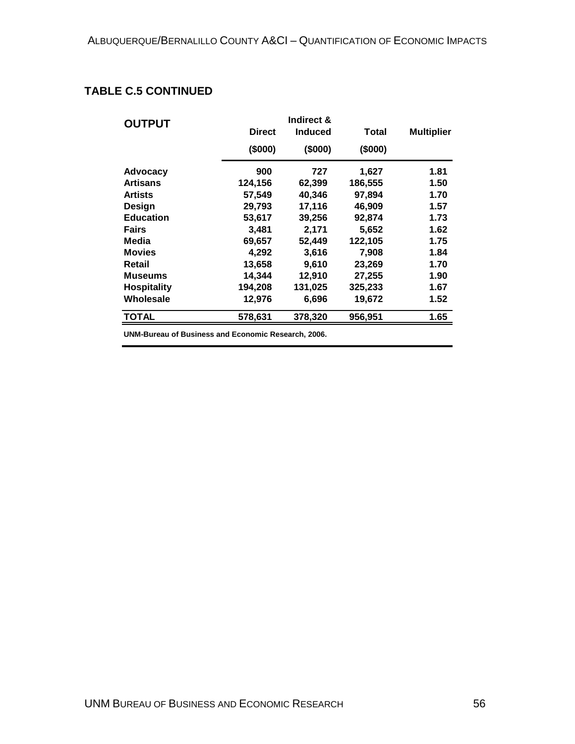### **TABLE C.5 CONTINUED**

| <b>OUTPUT</b>      |               |                |         |                   |
|--------------------|---------------|----------------|---------|-------------------|
|                    | <b>Direct</b> | <b>Induced</b> | Total   | <b>Multiplier</b> |
|                    | (\$000)       | (\$000)        | (\$000) |                   |
| <b>Advocacy</b>    | 900           | 727            | 1,627   | 1.81              |
| <b>Artisans</b>    | 124,156       | 62,399         | 186,555 | 1.50              |
| <b>Artists</b>     | 57,549        | 40,346         | 97,894  | 1.70              |
| Design             | 29,793        | 17,116         | 46.909  | 1.57              |
| <b>Education</b>   | 53,617        | 39,256         | 92,874  | 1.73              |
| <b>Fairs</b>       | 3,481         | 2,171          | 5,652   | 1.62              |
| Media              | 69,657        | 52,449         | 122,105 | 1.75              |
| <b>Movies</b>      | 4,292         | 3,616          | 7,908   | 1.84              |
| Retail             | 13,658        | 9,610          | 23,269  | 1.70              |
| <b>Museums</b>     | 14,344        | 12,910         | 27,255  | 1.90              |
| <b>Hospitality</b> | 194,208       | 131,025        | 325,233 | 1.67              |
| Wholesale          | 12,976        | 6,696          | 19,672  | 1.52              |
| <b>TOTAL</b>       | 578,631       | 378,320        | 956,951 | 1.65              |

**UNM-Bureau of Business and Economic Research, 2006.**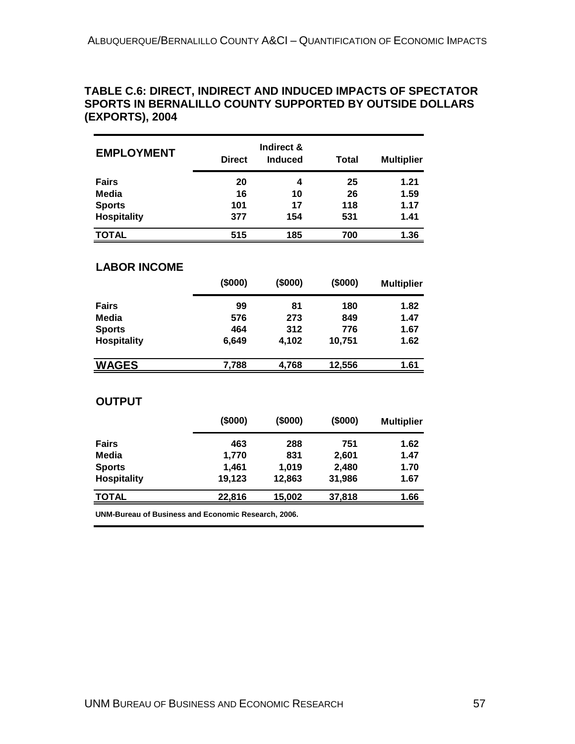#### **TABLE C.6: DIRECT, INDIRECT AND INDUCED IMPACTS OF SPECTATOR SPORTS IN BERNALILLO COUNTY SUPPORTED BY OUTSIDE DOLLARS (EXPORTS), 2004**

| <b>EMPLOYMENT</b>  | <b>Direct</b> | Indirect &<br><b>Induced</b> | <b>Total</b> | <b>Multiplier</b> |
|--------------------|---------------|------------------------------|--------------|-------------------|
| <b>Fairs</b>       | 20            | 4                            | 25           | 1.21              |
| Media              | 16            | 10                           | 26           | 1.59              |
| <b>Sports</b>      | 101           | 17                           | 118          | 1.17              |
| <b>Hospitality</b> | 377           | 154                          | 531          | 1.41              |
| <b>TOTAL</b>       | 515           | 185                          | 700          | 1.36              |

#### **LABOR INCOME**

|                    | (\$000) | (\$000) | (\$000) | <b>Multiplier</b> |
|--------------------|---------|---------|---------|-------------------|
| <b>Fairs</b>       | 99      | 81      | 180     | 1.82              |
| Media              | 576     | 273     | 849     | 1.47              |
| <b>Sports</b>      | 464     | 312     | 776     | 1.67              |
| <b>Hospitality</b> | 6,649   | 4,102   | 10,751  | 1.62              |
| <b>WAGES</b>       | 7,788   | 4,768   | 12,556  | 1.61              |

#### **OUTPUT**

|                    | (\$000) | (\$000) | (\$000) | <b>Multiplier</b> |
|--------------------|---------|---------|---------|-------------------|
| <b>Fairs</b>       | 463     | 288     | 751     | 1.62              |
| Media              | 1,770   | 831     | 2,601   | 1.47              |
| <b>Sports</b>      | 1,461   | 1.019   | 2,480   | 1.70              |
| <b>Hospitality</b> | 19,123  | 12,863  | 31,986  | 1.67              |
| <b>TOTAL</b>       | 22,816  | 15,002  | 37,818  | 1.66              |
|                    |         |         |         |                   |

**UNM-Bureau of Business and Economic Research, 2006.**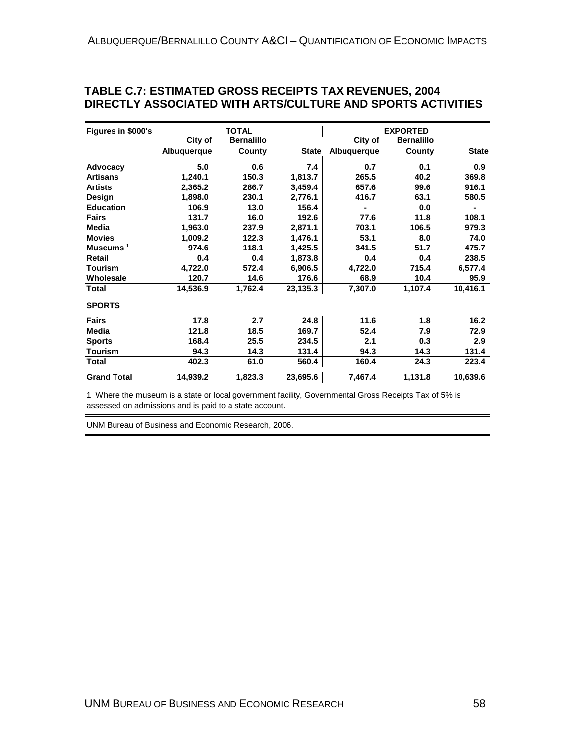| TABLE C.7: ESTIMATED GROSS RECEIPTS TAX REVENUES, 2004      |
|-------------------------------------------------------------|
| DIRECTLY ASSOCIATED WITH ARTS/CULTURE AND SPORTS ACTIVITIES |

| Figures in \$000's   |             | <b>TOTAL</b>      |              |             | <b>EXPORTED</b>   |              |
|----------------------|-------------|-------------------|--------------|-------------|-------------------|--------------|
|                      | City of     | <b>Bernalillo</b> |              | City of     | <b>Bernalillo</b> |              |
|                      | Albuquerque | County            | <b>State</b> | Albuquerque | County            | <b>State</b> |
| Advocacy             | 5.0         | 0.6               | 7.4          | 0.7         | 0.1               | 0.9          |
| <b>Artisans</b>      | 1,240.1     | 150.3             | 1,813.7      | 265.5       | 40.2              | 369.8        |
| <b>Artists</b>       | 2,365.2     | 286.7             | 3,459.4      | 657.6       | 99.6              | 916.1        |
| Design               | 1,898.0     | 230.1             | 2,776.1      | 416.7       | 63.1              | 580.5        |
| <b>Education</b>     | 106.9       | 13.0              | 156.4        |             | 0.0               |              |
| <b>Fairs</b>         | 131.7       | 16.0              | 192.6        | 77.6        | 11.8              | 108.1        |
| Media                | 1,963.0     | 237.9             | 2,871.1      | 703.1       | 106.5             | 979.3        |
| <b>Movies</b>        | 1,009.2     | 122.3             | 1,476.1      | 53.1        | 8.0               | 74.0         |
| Museums <sup>1</sup> | 974.6       | 118.1             | 1,425.5      | 341.5       | 51.7              | 475.7        |
| Retail               | 0.4         | 0.4               | 1,873.8      | 0.4         | 0.4               | 238.5        |
| <b>Tourism</b>       | 4,722.0     | 572.4             | 6,906.5      | 4,722.0     | 715.4             | 6,577.4      |
| Wholesale            | 120.7       | 14.6              | 176.6        | 68.9        | 10.4              | 95.9         |
| <b>Total</b>         | 14,536.9    | 1,762.4           | 23,135.3     | 7,307.0     | 1,107.4           | 10,416.1     |
| <b>SPORTS</b>        |             |                   |              |             |                   |              |
| <b>Fairs</b>         | 17.8        | 2.7               | 24.8         | 11.6        | 1.8               | 16.2         |
| <b>Media</b>         | 121.8       | 18.5              | 169.7        | 52.4        | 7.9               | 72.9         |
| <b>Sports</b>        | 168.4       | 25.5              | 234.5        | 2.1         | 0.3               | 2.9          |
| <b>Tourism</b>       | 94.3        | 14.3              | 131.4        | 94.3        | 14.3              | 131.4        |
| <b>Total</b>         | 402.3       | 61.0              | 560.4        | 160.4       | 24.3              | 223.4        |
| <b>Grand Total</b>   | 14,939.2    | 1,823.3           | 23,695.6     | 7.467.4     | 1,131.8           | 10,639.6     |

1 Where the museum is a state or local government facility, Governmental Gross Receipts Tax of 5% is assessed on admissions and is paid to a state account.

UNM Bureau of Business and Economic Research, 2006.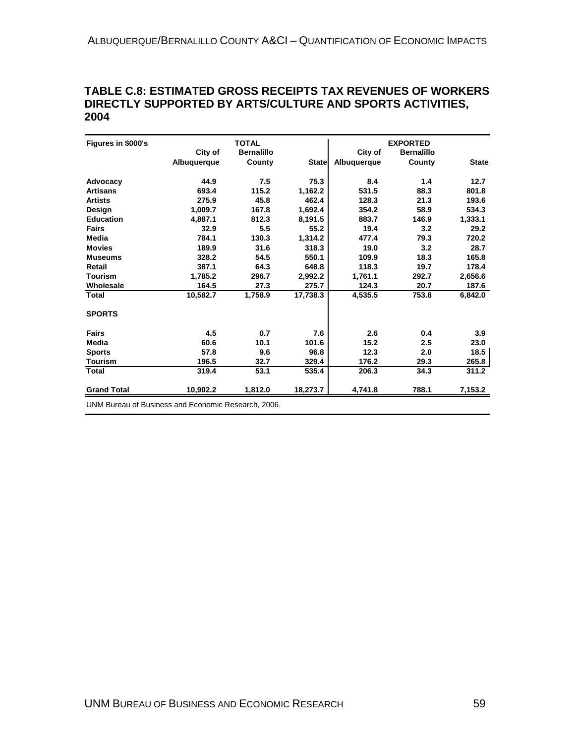#### **TABLE C.8: ESTIMATED GROSS RECEIPTS TAX REVENUES OF WORKERS DIRECTLY SUPPORTED BY ARTS/CULTURE AND SPORTS ACTIVITIES, 2004**

| City of<br>Albuquerque<br>44.9<br>693.4 | <b>Bernalillo</b><br>County<br>7.5 | <b>State</b> | City of<br>Albuquerque | <b>Bernalillo</b><br>County | <b>State</b>                                                |
|-----------------------------------------|------------------------------------|--------------|------------------------|-----------------------------|-------------------------------------------------------------|
|                                         |                                    |              |                        |                             |                                                             |
|                                         |                                    |              |                        |                             |                                                             |
|                                         |                                    | 75.3         | 8.4                    | 1.4                         | 12.7                                                        |
|                                         | 115.2                              | 1,162.2      | 531.5                  | 88.3                        | 801.8                                                       |
| 275.9                                   | 45.8                               | 462.4        | 128.3                  | 21.3                        | 193.6                                                       |
| 1.009.7                                 | 167.8                              | 1,692.4      | 354.2                  | 58.9                        | 534.3                                                       |
| 4.887.1                                 | 812.3                              | 8,191.5      | 883.7                  | 146.9                       | 1,333.1                                                     |
| 32.9                                    | 5.5                                | 55.2         | 19.4                   | 3.2                         | 29.2                                                        |
| 784.1                                   | 130.3                              |              | 477.4                  | 79.3                        | 720.2                                                       |
| 189.9                                   | 31.6                               | 318.3        | 19.0                   | 3.2                         | 28.7                                                        |
| 328.2                                   | 54.5                               | 550.1        | 109.9                  | 18.3                        | 165.8                                                       |
| 387.1                                   | 64.3                               | 648.8        | 118.3                  | 19.7                        | 178.4                                                       |
| 1.785.2                                 | 296.7                              | 2.992.2      | 1.761.1                | 292.7                       | 2,656.6                                                     |
| 164.5                                   | 27.3                               | 275.7        | 124.3                  | 20.7                        | 187.6                                                       |
| 10.582.7                                | 1,758.9                            | 17,738.3     | 4,535.5                | 753.8                       | 6,842.0                                                     |
|                                         |                                    |              |                        |                             |                                                             |
| 4.5                                     | 0.7                                | 7.6          | 2.6                    | 0.4                         | 3.9                                                         |
| 60.6                                    | 10.1                               | 101.6        | 15.2                   | 2.5                         | 23.0                                                        |
| 57.8                                    | 9.6                                | 96.8         | 12.3                   | 2.0                         | 18.5                                                        |
| 196.5                                   | 32.7                               | 329.4        | 176.2                  | 29.3                        | 265.8                                                       |
| 319.4                                   | 53.1                               | 535.4        | 206.3                  | 34.3                        | 311.2                                                       |
| 10,902.2                                | 1,812.0                            | 18,273.7     | 4.741.8                | 788.1                       | 7,153.2                                                     |
|                                         |                                    |              | 1,314.2                |                             | <b>LINIM Burgau of Business and Economic Pessarch, 2006</b> |

UNM Bureau of Business and Economic Research, 2006.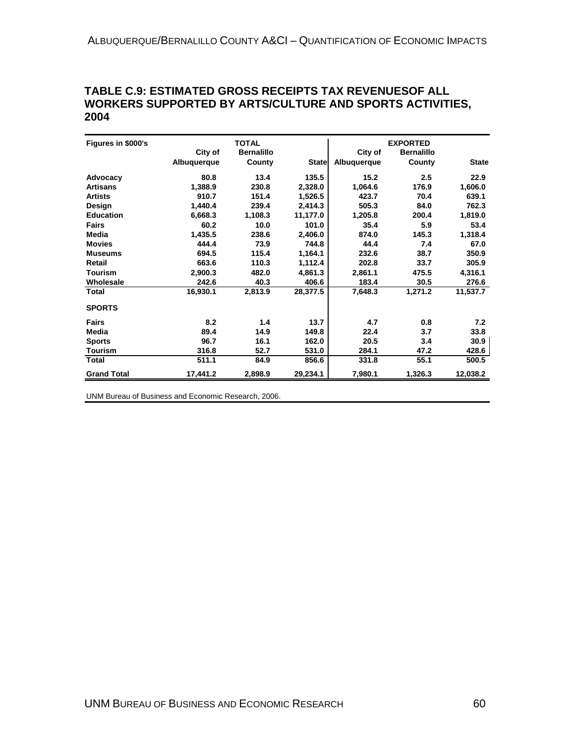#### **TABLE C.9: ESTIMATED GROSS RECEIPTS TAX REVENUESOF ALL WORKERS SUPPORTED BY ARTS/CULTURE AND SPORTS ACTIVITIES, 2004**

| Figures in \$000's |             | <b>TOTAL</b>      |              |             | <b>EXPORTED</b>   |              |
|--------------------|-------------|-------------------|--------------|-------------|-------------------|--------------|
|                    | City of     | <b>Bernalillo</b> |              | City of     | <b>Bernalillo</b> |              |
|                    | Albuquerque | County            | <b>State</b> | Albuquerque | County            | <b>State</b> |
| Advocacy           | 80.8        | 13.4              | 135.5        | 15.2        | 2.5               | 22.9         |
| <b>Artisans</b>    | 1,388.9     | 230.8             | 2,328.0      | 1,064.6     | 176.9             | 1,606.0      |
| <b>Artists</b>     | 910.7       | 151.4             | 1,526.5      | 423.7       | 70.4              | 639.1        |
| Design             | 1,440.4     | 239.4             | 2,414.3      | 505.3       | 84.0              | 762.3        |
| <b>Education</b>   | 6,668.3     | 1,108.3           | 11,177.0     | 1,205.8     | 200.4             | 1,819.0      |
| <b>Fairs</b>       | 60.2        | 10.0              | 101.0        | 35.4        | 5.9               | 53.4         |
| Media              | 1,435.5     | 238.6             | 2,406.0      | 874.0       | 145.3             | 1,318.4      |
| <b>Movies</b>      | 444.4       | 73.9              | 744.8        | 44.4        | 7.4               | 67.0         |
| <b>Museums</b>     | 694.5       | 115.4             | 1,164.1      | 232.6       | 38.7              | 350.9        |
| Retail             | 663.6       | 110.3             | 1,112.4      | 202.8       | 33.7              | 305.9        |
| <b>Tourism</b>     | 2.900.3     | 482.0             | 4,861.3      | 2.861.1     | 475.5             | 4,316.1      |
| Wholesale          | 242.6       | 40.3              | 406.6        | 183.4       | 30.5              | 276.6        |
| Total              | 16,930.1    | 2,813.9           | 28,377.5     | 7,648.3     | 1,271.2           | 11,537.7     |
| <b>SPORTS</b>      |             |                   |              |             |                   |              |
| <b>Fairs</b>       | 8.2         | 1.4               | 13.7         | 4.7         | 0.8               | 7.2          |
| Media              | 89.4        | 14.9              | 149.8        | 22.4        | 3.7               | 33.8         |
| <b>Sports</b>      | 96.7        | 16.1              | 162.0        | 20.5        | 3.4               | 30.9         |
| <b>Tourism</b>     | 316.8       | 52.7              | 531.0        | 284.1       | 47.2              | 428.6        |
| Total              | 511.1       | 84.9              | 856.6        | 331.8       | 55.1              | 500.5        |
| <b>Grand Total</b> | 17,441.2    | 2,898.9           | 29,234.1     | 7,980.1     | 1,326.3           | 12,038.2     |

UNM Bureau of Business and Economic Research, 2006.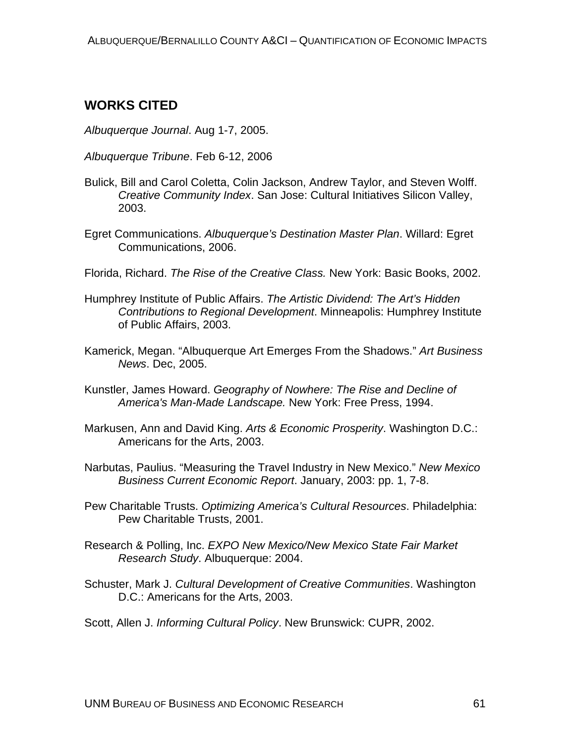## **WORKS CITED**

*Albuquerque Journal*. Aug 1-7, 2005.

- *Albuquerque Tribune*. Feb 6-12, 2006
- Bulick, Bill and Carol Coletta, Colin Jackson, Andrew Taylor, and Steven Wolff. *Creative Community Index*. San Jose: Cultural Initiatives Silicon Valley, 2003.
- Egret Communications. *Albuquerque's Destination Master Plan*. Willard: Egret Communications, 2006.
- Florida, Richard. *The Rise of the Creative Class.* New York: Basic Books, 2002.
- Humphrey Institute of Public Affairs. *The Artistic Dividend: The Art's Hidden Contributions to Regional Development*. Minneapolis: Humphrey Institute of Public Affairs, 2003.
- Kamerick, Megan. "Albuquerque Art Emerges From the Shadows." *Art Business News*. Dec, 2005.
- Kunstler, James Howard. *Geography of Nowhere: The Rise and Decline of America's Man-Made Landscape.* New York: Free Press, 1994.
- Markusen, Ann and David King. *Arts & Economic Prosperity*. Washington D.C.: Americans for the Arts, 2003.
- Narbutas, Paulius. "Measuring the Travel Industry in New Mexico." *New Mexico Business Current Economic Report*. January, 2003: pp. 1, 7-8.
- Pew Charitable Trusts. *Optimizing America's Cultural Resources*. Philadelphia: Pew Charitable Trusts, 2001.
- Research & Polling, Inc. *EXPO New Mexico/New Mexico State Fair Market Research Study*. Albuquerque: 2004.
- Schuster, Mark J. *Cultural Development of Creative Communities*. Washington D.C.: Americans for the Arts, 2003.
- Scott, Allen J. *Informing Cultural Policy*. New Brunswick: CUPR, 2002.